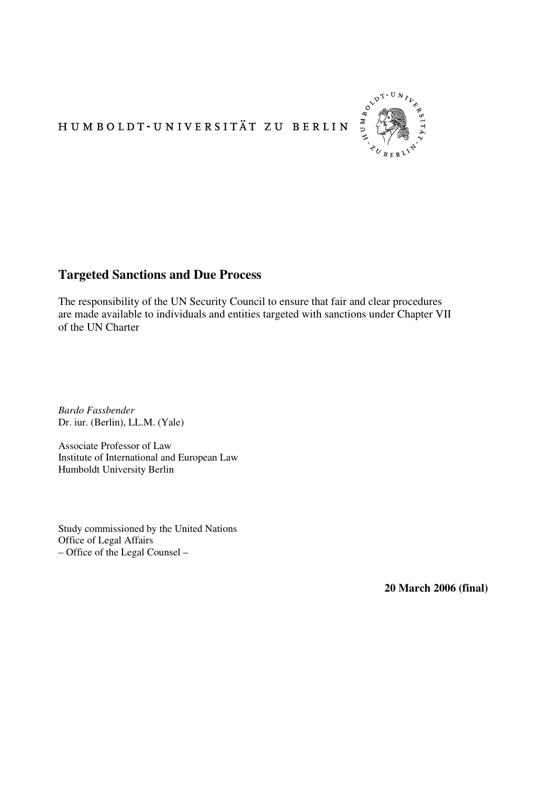# HUMBOLDT-UNIVERSITÄT ZU BERLIN



## **Targeted Sanctions and Due Process**

The responsibility of the UN Security Council to ensure that fair and clear procedures are made available to individuals and entities targeted with sanctions under Chapter VII of the UN Charter

*Bardo Fassbender* Dr. iur. (Berlin), LL.M. (Yale)

Associate Professor of Law Institute of International and European Law Humboldt University Berlin

Study commissioned by the United Nations Office of Legal Affairs – Office of the Legal Counsel –

**20 March 2006 (final)**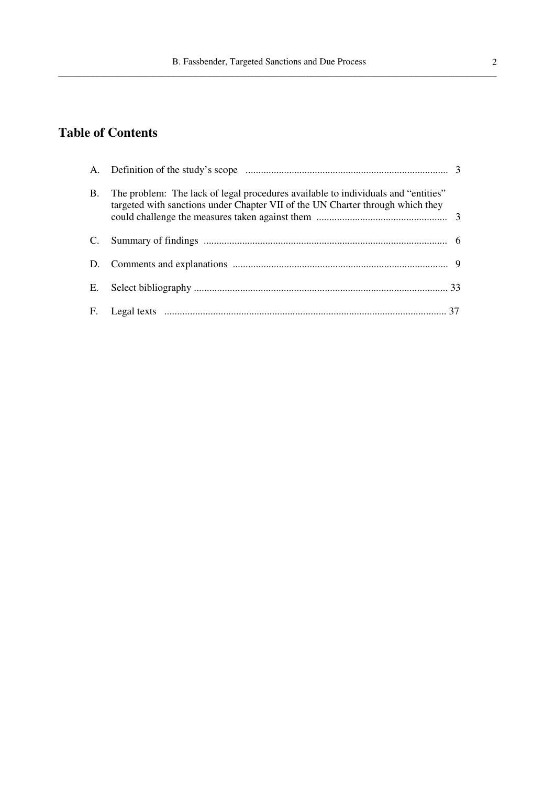# **Table of Contents**

| <b>B.</b> | The problem: The lack of legal procedures available to individuals and "entities"<br>targeted with sanctions under Chapter VII of the UN Charter through which they |  |
|-----------|---------------------------------------------------------------------------------------------------------------------------------------------------------------------|--|
| C.        |                                                                                                                                                                     |  |
|           |                                                                                                                                                                     |  |
| E.        |                                                                                                                                                                     |  |
|           |                                                                                                                                                                     |  |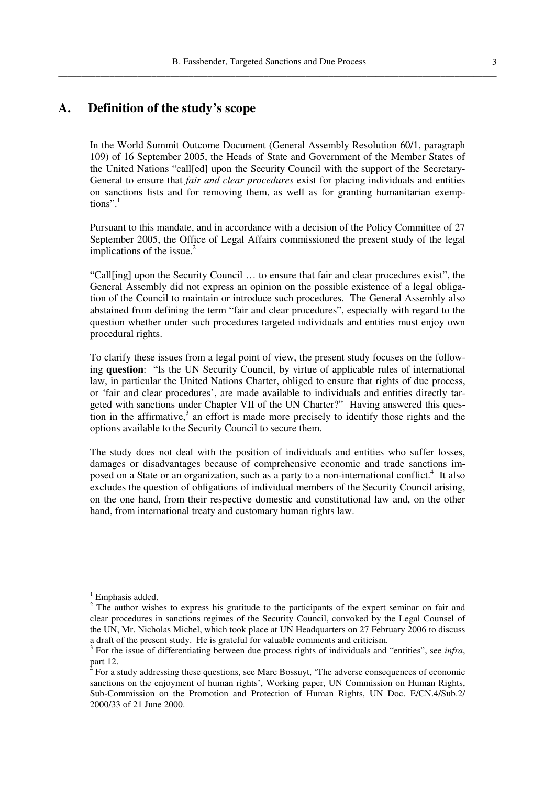## **A. Definition of the study's scope**

In the World Summit Outcome Document (General Assembly Resolution 60/1, paragraph 109) of 16 September 2005, the Heads of State and Government of the Member States of the United Nations "call[ed] upon the Security Council with the support of the Secretary-General to ensure that *fair and clear procedures* exist for placing individuals and entities on sanctions lists and for removing them, as well as for granting humanitarian exemp $tions$ <sup>".1</sup>

Pursuant to this mandate, and in accordance with a decision of the Policy Committee of 27 September 2005, the Office of Legal Affairs commissioned the present study of the legal implications of the issue. $<sup>2</sup>$ </sup>

"Call[ing] upon the Security Council … to ensure that fair and clear procedures exist", the General Assembly did not express an opinion on the possible existence of a legal obligation of the Council to maintain or introduce such procedures. The General Assembly also abstained from defining the term "fair and clear procedures", especially with regard to the question whether under such procedures targeted individuals and entities must enjoy own procedural rights.

To clarify these issues from a legal point of view, the present study focuses on the following **question**: "Is the UN Security Council, by virtue of applicable rules of international law, in particular the United Nations Charter, obliged to ensure that rights of due process, or 'fair and clear procedures', are made available to individuals and entities directly targeted with sanctions under Chapter VII of the UN Charter?" Having answered this question in the affirmative, $3$  an effort is made more precisely to identify those rights and the options available to the Security Council to secure them.

The study does not deal with the position of individuals and entities who suffer losses, damages or disadvantages because of comprehensive economic and trade sanctions imposed on a State or an organization, such as a party to a non-international conflict.<sup>4</sup> It also excludes the question of obligations of individual members of the Security Council arising, on the one hand, from their respective domestic and constitutional law and, on the other hand, from international treaty and customary human rights law.

<sup>&</sup>lt;sup>1</sup> Emphasis added.

 $2^{2}$  The author wishes to express his gratitude to the participants of the expert seminar on fair and clear procedures in sanctions regimes of the Security Council, convoked by the Legal Counsel of the UN, Mr. Nicholas Michel, which took place at UN Headquarters on 27 February 2006 to discuss a draft of the present study. He is grateful for valuable comments and criticism.

<sup>3</sup> For the issue of differentiating between due process rights of individuals and "entities", see *infra*, part 12.

<sup>4</sup> For a study addressing these questions, see Marc Bossuyt, 'The adverse consequences of economic sanctions on the enjoyment of human rights', Working paper, UN Commission on Human Rights, Sub-Commission on the Promotion and Protection of Human Rights, UN Doc. E/CN.4/Sub.2/ 2000/33 of 21 June 2000.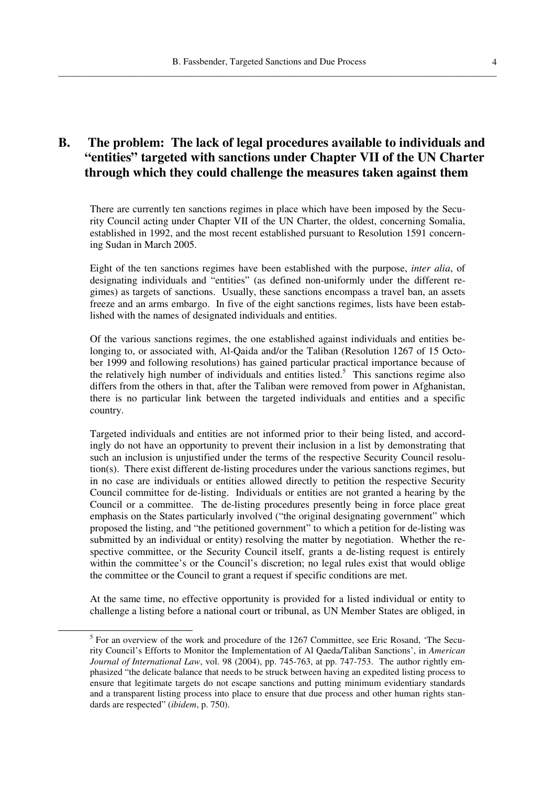## **B. The problem: The lack of legal procedures available to individuals and "entities" targeted with sanctions under Chapter VII of the UN Charter through which they could challenge the measures taken against them**

There are currently ten sanctions regimes in place which have been imposed by the Security Council acting under Chapter VII of the UN Charter, the oldest, concerning Somalia, established in 1992, and the most recent established pursuant to Resolution 1591 concerning Sudan in March 2005.

Eight of the ten sanctions regimes have been established with the purpose, *inter alia*, of designating individuals and "entities" (as defined non-uniformly under the different regimes) as targets of sanctions. Usually, these sanctions encompass a travel ban, an assets freeze and an arms embargo. In five of the eight sanctions regimes, lists have been established with the names of designated individuals and entities.

Of the various sanctions regimes, the one established against individuals and entities belonging to, or associated with, Al-Qaida and/or the Taliban (Resolution 1267 of 15 October 1999 and following resolutions) has gained particular practical importance because of the relatively high number of individuals and entities listed.<sup>5</sup> This sanctions regime also differs from the others in that, after the Taliban were removed from power in Afghanistan, there is no particular link between the targeted individuals and entities and a specific country.

Targeted individuals and entities are not informed prior to their being listed, and accordingly do not have an opportunity to prevent their inclusion in a list by demonstrating that such an inclusion is unjustified under the terms of the respective Security Council resolution(s). There exist different de-listing procedures under the various sanctions regimes, but in no case are individuals or entities allowed directly to petition the respective Security Council committee for de-listing. Individuals or entities are not granted a hearing by the Council or a committee. The de-listing procedures presently being in force place great emphasis on the States particularly involved ("the original designating government" which proposed the listing, and "the petitioned government" to which a petition for de-listing was submitted by an individual or entity) resolving the matter by negotiation. Whether the respective committee, or the Security Council itself, grants a de-listing request is entirely within the committee's or the Council's discretion; no legal rules exist that would oblige the committee or the Council to grant a request if specific conditions are met.

At the same time, no effective opportunity is provided for a listed individual or entity to challenge a listing before a national court or tribunal, as UN Member States are obliged, in

<sup>&</sup>lt;sup>5</sup> For an overview of the work and procedure of the 1267 Committee, see Eric Rosand, 'The Security Council's Efforts to Monitor the Implementation of Al Qaeda/Taliban Sanctions', in *American Journal of International Law*, vol. 98 (2004), pp. 745-763, at pp. 747-753. The author rightly emphasized "the delicate balance that needs to be struck between having an expedited listing process to ensure that legitimate targets do not escape sanctions and putting minimum evidentiary standards and a transparent listing process into place to ensure that due process and other human rights standards are respected" (*ibidem*, p. 750).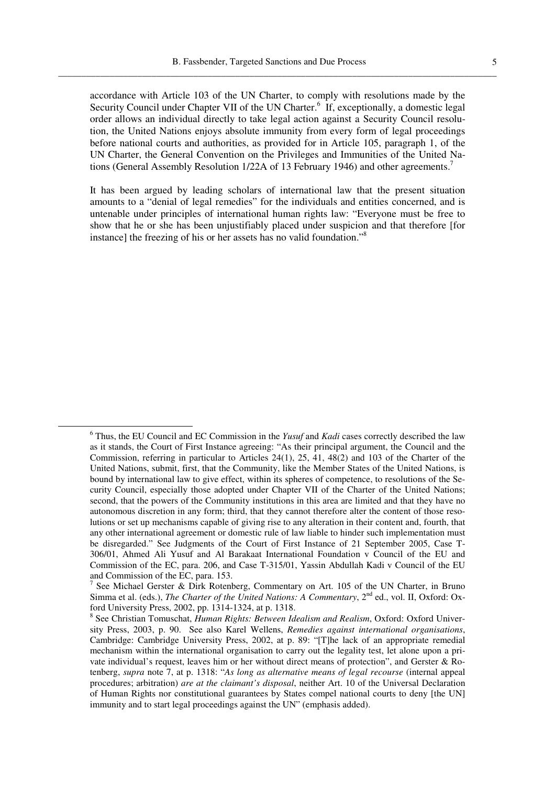accordance with Article 103 of the UN Charter, to comply with resolutions made by the Security Council under Chapter VII of the UN Charter.<sup>6</sup> If, exceptionally, a domestic legal order allows an individual directly to take legal action against a Security Council resolution, the United Nations enjoys absolute immunity from every form of legal proceedings before national courts and authorities, as provided for in Article 105, paragraph 1, of the UN Charter, the General Convention on the Privileges and Immunities of the United Nations (General Assembly Resolution 1/22A of 13 February 1946) and other agreements.<sup>7</sup>

It has been argued by leading scholars of international law that the present situation amounts to a "denial of legal remedies" for the individuals and entities concerned, and is untenable under principles of international human rights law: "Everyone must be free to show that he or she has been unjustifiably placed under suspicion and that therefore [for instance] the freezing of his or her assets has no valid foundation."<sup>8</sup>

<sup>6</sup> Thus, the EU Council and EC Commission in the *Yusuf* and *Kadi* cases correctly described the law as it stands, the Court of First Instance agreeing: "As their principal argument, the Council and the Commission, referring in particular to Articles 24(1), 25, 41, 48(2) and 103 of the Charter of the United Nations, submit, first, that the Community, like the Member States of the United Nations, is bound by international law to give effect, within its spheres of competence, to resolutions of the Security Council, especially those adopted under Chapter VII of the Charter of the United Nations; second, that the powers of the Community institutions in this area are limited and that they have no autonomous discretion in any form; third, that they cannot therefore alter the content of those resolutions or set up mechanisms capable of giving rise to any alteration in their content and, fourth, that any other international agreement or domestic rule of law liable to hinder such implementation must be disregarded." See Judgments of the Court of First Instance of 21 September 2005, Case T-306/01, Ahmed Ali Yusuf and Al Barakaat International Foundation v Council of the EU and Commission of the EC, para. 206, and Case T-315/01, Yassin Abdullah Kadi v Council of the EU and Commission of the EC, para. 153.

<sup>&</sup>lt;sup>7</sup> See Michael Gerster & Dirk Rotenberg, Commentary on Art. 105 of the UN Charter, in Bruno Simma et al. (eds.), *The Charter of the United Nations: A Commentary*, 2<sup>nd</sup> ed., vol. II, Oxford: Oxford University Press, 2002, pp. 1314-1324, at p. 1318.

<sup>8</sup> See Christian Tomuschat, *Human Rights: Between Idealism and Realism*, Oxford: Oxford University Press, 2003, p. 90. See also Karel Wellens, *Remedies against international organisations*, Cambridge: Cambridge University Press, 2002, at p. 89: "[T]he lack of an appropriate remedial mechanism within the international organisation to carry out the legality test, let alone upon a private individual's request, leaves him or her without direct means of protection", and Gerster & Rotenberg, *supra* note 7, at p. 1318: "*As long as alternative means of legal recourse* (internal appeal procedures; arbitration) *are at the claimant's disposal*, neither Art. 10 of the Universal Declaration of Human Rights nor constitutional guarantees by States compel national courts to deny [the UN] immunity and to start legal proceedings against the UN" (emphasis added).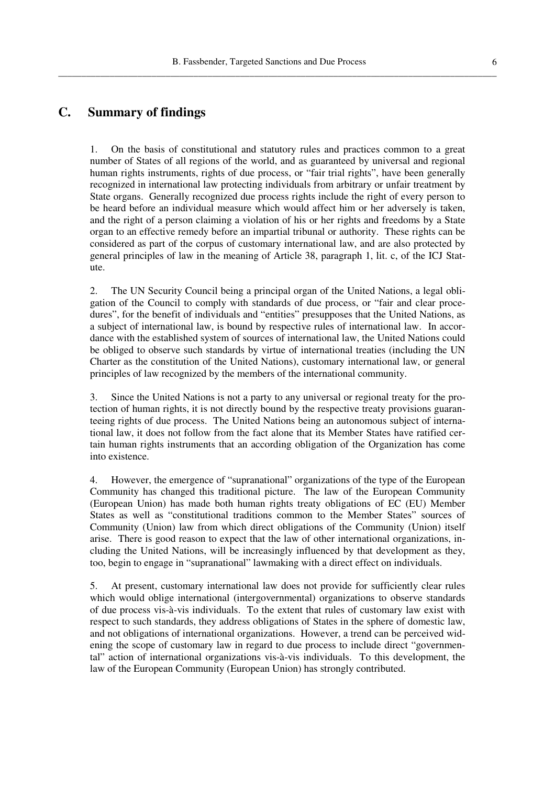## **C. Summary of findings**

1. On the basis of constitutional and statutory rules and practices common to a great number of States of all regions of the world, and as guaranteed by universal and regional human rights instruments, rights of due process, or "fair trial rights", have been generally recognized in international law protecting individuals from arbitrary or unfair treatment by State organs. Generally recognized due process rights include the right of every person to be heard before an individual measure which would affect him or her adversely is taken, and the right of a person claiming a violation of his or her rights and freedoms by a State organ to an effective remedy before an impartial tribunal or authority. These rights can be considered as part of the corpus of customary international law, and are also protected by general principles of law in the meaning of Article 38, paragraph 1, lit. c, of the ICJ Statute.

2. The UN Security Council being a principal organ of the United Nations, a legal obligation of the Council to comply with standards of due process, or "fair and clear procedures", for the benefit of individuals and "entities" presupposes that the United Nations, as a subject of international law, is bound by respective rules of international law. In accordance with the established system of sources of international law, the United Nations could be obliged to observe such standards by virtue of international treaties (including the UN Charter as the constitution of the United Nations), customary international law, or general principles of law recognized by the members of the international community.

3. Since the United Nations is not a party to any universal or regional treaty for the protection of human rights, it is not directly bound by the respective treaty provisions guaranteeing rights of due process. The United Nations being an autonomous subject of international law, it does not follow from the fact alone that its Member States have ratified certain human rights instruments that an according obligation of the Organization has come into existence.

4. However, the emergence of "supranational" organizations of the type of the European Community has changed this traditional picture. The law of the European Community (European Union) has made both human rights treaty obligations of EC (EU) Member States as well as "constitutional traditions common to the Member States" sources of Community (Union) law from which direct obligations of the Community (Union) itself arise. There is good reason to expect that the law of other international organizations, including the United Nations, will be increasingly influenced by that development as they, too, begin to engage in "supranational" lawmaking with a direct effect on individuals.

5. At present, customary international law does not provide for sufficiently clear rules which would oblige international (intergovernmental) organizations to observe standards of due process vis-à-vis individuals. To the extent that rules of customary law exist with respect to such standards, they address obligations of States in the sphere of domestic law, and not obligations of international organizations. However, a trend can be perceived widening the scope of customary law in regard to due process to include direct "governmental" action of international organizations vis-à-vis individuals. To this development, the law of the European Community (European Union) has strongly contributed.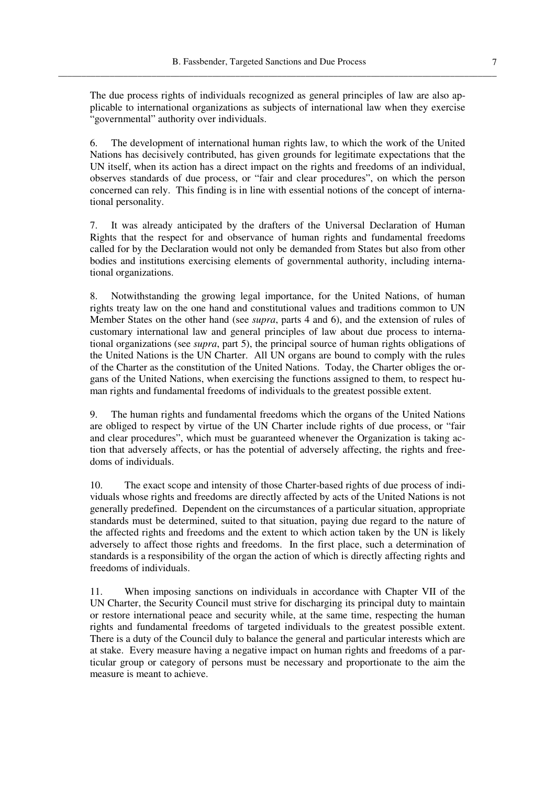The due process rights of individuals recognized as general principles of law are also applicable to international organizations as subjects of international law when they exercise "governmental" authority over individuals.

\_\_\_\_\_\_\_\_\_\_\_\_\_\_\_\_\_\_\_\_\_\_\_\_\_\_\_\_\_\_\_\_\_\_\_\_\_\_\_\_\_\_\_\_\_\_\_\_\_\_\_\_\_\_\_\_\_\_\_\_\_\_\_\_\_\_\_\_\_\_\_\_\_\_\_\_\_\_\_\_\_\_\_\_\_\_\_\_\_\_\_\_\_\_

6. The development of international human rights law, to which the work of the United Nations has decisively contributed, has given grounds for legitimate expectations that the UN itself, when its action has a direct impact on the rights and freedoms of an individual, observes standards of due process, or "fair and clear procedures", on which the person concerned can rely. This finding is in line with essential notions of the concept of international personality.

7. It was already anticipated by the drafters of the Universal Declaration of Human Rights that the respect for and observance of human rights and fundamental freedoms called for by the Declaration would not only be demanded from States but also from other bodies and institutions exercising elements of governmental authority, including international organizations.

8. Notwithstanding the growing legal importance, for the United Nations, of human rights treaty law on the one hand and constitutional values and traditions common to UN Member States on the other hand (see *supra*, parts 4 and 6), and the extension of rules of customary international law and general principles of law about due process to international organizations (see *supra*, part 5), the principal source of human rights obligations of the United Nations is the UN Charter. All UN organs are bound to comply with the rules of the Charter as the constitution of the United Nations. Today, the Charter obliges the organs of the United Nations, when exercising the functions assigned to them, to respect human rights and fundamental freedoms of individuals to the greatest possible extent.

9. The human rights and fundamental freedoms which the organs of the United Nations are obliged to respect by virtue of the UN Charter include rights of due process, or "fair and clear procedures", which must be guaranteed whenever the Organization is taking action that adversely affects, or has the potential of adversely affecting, the rights and freedoms of individuals.

10. The exact scope and intensity of those Charter-based rights of due process of individuals whose rights and freedoms are directly affected by acts of the United Nations is not generally predefined. Dependent on the circumstances of a particular situation, appropriate standards must be determined, suited to that situation, paying due regard to the nature of the affected rights and freedoms and the extent to which action taken by the UN is likely adversely to affect those rights and freedoms. In the first place, such a determination of standards is a responsibility of the organ the action of which is directly affecting rights and freedoms of individuals.

11. When imposing sanctions on individuals in accordance with Chapter VII of the UN Charter, the Security Council must strive for discharging its principal duty to maintain or restore international peace and security while, at the same time, respecting the human rights and fundamental freedoms of targeted individuals to the greatest possible extent. There is a duty of the Council duly to balance the general and particular interests which are at stake. Every measure having a negative impact on human rights and freedoms of a particular group or category of persons must be necessary and proportionate to the aim the measure is meant to achieve.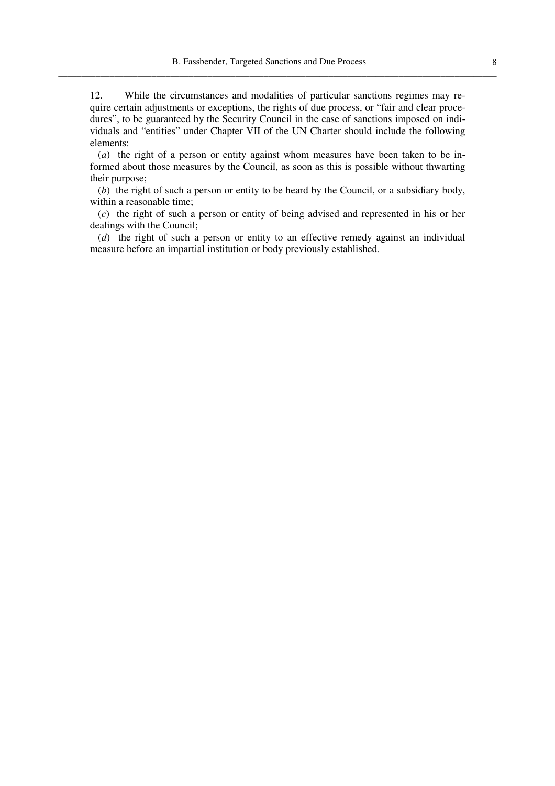12. While the circumstances and modalities of particular sanctions regimes may require certain adjustments or exceptions, the rights of due process, or "fair and clear procedures", to be guaranteed by the Security Council in the case of sanctions imposed on individuals and "entities" under Chapter VII of the UN Charter should include the following elements:

\_\_\_\_\_\_\_\_\_\_\_\_\_\_\_\_\_\_\_\_\_\_\_\_\_\_\_\_\_\_\_\_\_\_\_\_\_\_\_\_\_\_\_\_\_\_\_\_\_\_\_\_\_\_\_\_\_\_\_\_\_\_\_\_\_\_\_\_\_\_\_\_\_\_\_\_\_\_\_\_\_\_\_\_\_\_\_\_\_\_\_\_\_\_

(*a*) the right of a person or entity against whom measures have been taken to be informed about those measures by the Council, as soon as this is possible without thwarting their purpose;

(*b*) the right of such a person or entity to be heard by the Council, or a subsidiary body, within a reasonable time;

(*c*) the right of such a person or entity of being advised and represented in his or her dealings with the Council;

(*d*) the right of such a person or entity to an effective remedy against an individual measure before an impartial institution or body previously established.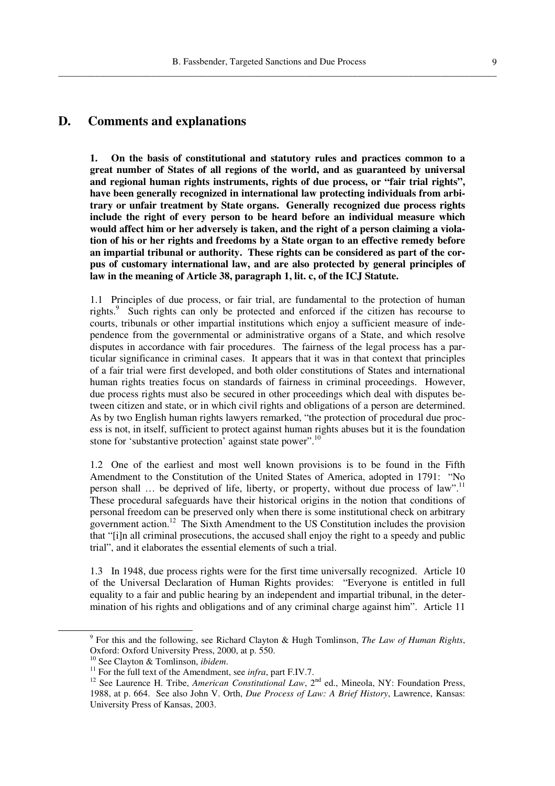## **D. Comments and explanations**

**1. On the basis of constitutional and statutory rules and practices common to a great number of States of all regions of the world, and as guaranteed by universal and regional human rights instruments, rights of due process, or "fair trial rights", have been generally recognized in international law protecting individuals from arbitrary or unfair treatment by State organs. Generally recognized due process rights include the right of every person to be heard before an individual measure which would affect him or her adversely is taken, and the right of a person claiming a violation of his or her rights and freedoms by a State organ to an effective remedy before an impartial tribunal or authority. These rights can be considered as part of the corpus of customary international law, and are also protected by general principles of law in the meaning of Article 38, paragraph 1, lit. c, of the ICJ Statute.**

1.1 Principles of due process, or fair trial, are fundamental to the protection of human rights.<sup>9</sup> Such rights can only be protected and enforced if the citizen has recourse to courts, tribunals or other impartial institutions which enjoy a sufficient measure of independence from the governmental or administrative organs of a State, and which resolve disputes in accordance with fair procedures. The fairness of the legal process has a particular significance in criminal cases. It appears that it was in that context that principles of a fair trial were first developed, and both older constitutions of States and international human rights treaties focus on standards of fairness in criminal proceedings. However, due process rights must also be secured in other proceedings which deal with disputes between citizen and state, or in which civil rights and obligations of a person are determined. As by two English human rights lawyers remarked, "the protection of procedural due process is not, in itself, sufficient to protect against human rights abuses but it is the foundation stone for 'substantive protection' against state power".<sup>10</sup>

1.2 One of the earliest and most well known provisions is to be found in the Fifth Amendment to the Constitution of the United States of America, adopted in 1791: "No person shall ... be deprived of life, liberty, or property, without due process of law".<sup>11</sup> These procedural safeguards have their historical origins in the notion that conditions of personal freedom can be preserved only when there is some institutional check on arbitrary government action.<sup>12</sup> The Sixth Amendment to the US Constitution includes the provision that "[i]n all criminal prosecutions, the accused shall enjoy the right to a speedy and public trial", and it elaborates the essential elements of such a trial.

1.3 In 1948, due process rights were for the first time universally recognized. Article 10 of the Universal Declaration of Human Rights provides: "Everyone is entitled in full equality to a fair and public hearing by an independent and impartial tribunal, in the determination of his rights and obligations and of any criminal charge against him". Article 11

<sup>9</sup> For this and the following, see Richard Clayton & Hugh Tomlinson, *The Law of Human Rights*, Oxford: Oxford University Press, 2000, at p. 550.

<sup>10</sup> See Clayton & Tomlinson, *ibidem*.

<sup>&</sup>lt;sup>11</sup> For the full text of the Amendment, see *infra*, part F.IV.7.

<sup>&</sup>lt;sup>12</sup> See Laurence H. Tribe, *American Constitutional Law*, 2<sup>nd</sup> ed., Mineola, NY: Foundation Press, 1988, at p. 664. See also John V. Orth, *Due Process of Law: A Brief History*, Lawrence, Kansas: University Press of Kansas, 2003.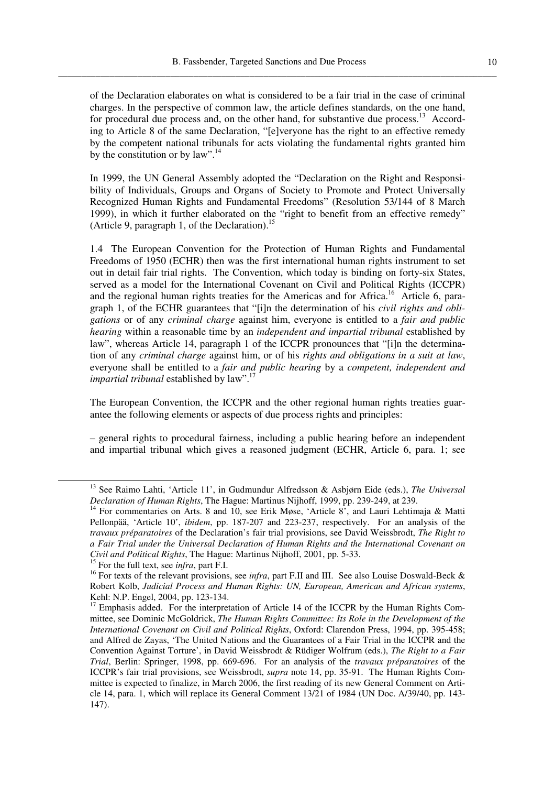of the Declaration elaborates on what is considered to be a fair trial in the case of criminal charges. In the perspective of common law, the article defines standards, on the one hand, for procedural due process and, on the other hand, for substantive due process.<sup>13</sup> According to Article 8 of the same Declaration, "[e]veryone has the right to an effective remedy by the competent national tribunals for acts violating the fundamental rights granted him by the constitution or by law".<sup>14</sup>

In 1999, the UN General Assembly adopted the "Declaration on the Right and Responsibility of Individuals, Groups and Organs of Society to Promote and Protect Universally Recognized Human Rights and Fundamental Freedoms" (Resolution 53/144 of 8 March 1999), in which it further elaborated on the "right to benefit from an effective remedy" (Article 9, paragraph 1, of the Declaration).<sup>15</sup>

1.4 The European Convention for the Protection of Human Rights and Fundamental Freedoms of 1950 (ECHR) then was the first international human rights instrument to set out in detail fair trial rights. The Convention, which today is binding on forty-six States, served as a model for the International Covenant on Civil and Political Rights (ICCPR) and the regional human rights treaties for the Americas and for Africa.<sup>16</sup> Article 6, paragraph 1, of the ECHR guarantees that "[i]n the determination of his *civil rights and obligations* or of any *criminal charge* against him, everyone is entitled to a *fair and public hearing* within a reasonable time by an *independent and impartial tribunal* established by law", whereas Article 14, paragraph 1 of the ICCPR pronounces that "[i]n the determination of any *criminal charge* against him, or of his *rights and obligations in a suit at law*, everyone shall be entitled to a *fair and public hearing* by a *competent, independent and impartial tribunal* established by law".<sup>17</sup>

The European Convention, the ICCPR and the other regional human rights treaties guarantee the following elements or aspects of due process rights and principles:

– general rights to procedural fairness, including a public hearing before an independent and impartial tribunal which gives a reasoned judgment (ECHR, Article 6, para. 1; see

 $\overline{a}$ 

<sup>13</sup> See Raimo Lahti, 'Article 11', in Gudmundur Alfredsson & Asbjørn Eide (eds.), *The Universal Declaration of Human Rights*, The Hague: Martinus Nijhoff, 1999, pp. 239-249, at 239.

<sup>&</sup>lt;sup>14</sup> For commentaries on Arts. 8 and 10, see Erik Møse, 'Article 8', and Lauri Lehtimaja & Matti Pellonpää, 'Article 10', *ibidem*, pp. 187-207 and 223-237, respectively. For an analysis of the *travaux préparatoires* of the Declaration's fair trial provisions, see David Weissbrodt, *The Right to a Fair Trial under the Universal Declaration of Human Rights and the International Covenant on Civil and Political Rights*, The Hague: Martinus Nijhoff, 2001, pp. 5-33.

<sup>&</sup>lt;sup>15</sup> For the full text, see *infra*, part F.I.

<sup>&</sup>lt;sup>16</sup> For texts of the relevant provisions, see *infra*, part F.II and III. See also Louise Doswald-Beck & Robert Kolb, *Judicial Process and Human Rights: UN, European, American and African systems*, Kehl: N.P. Engel, 2004, pp. 123-134.

 $17$  Emphasis added. For the interpretation of Article 14 of the ICCPR by the Human Rights Committee, see Dominic McGoldrick, *The Human Rights Committee: Its Role in the Development of the International Covenant on Civil and Political Rights*, Oxford: Clarendon Press, 1994, pp. 395-458; and Alfred de Zayas, 'The United Nations and the Guarantees of a Fair Trial in the ICCPR and the Convention Against Torture', in David Weissbrodt & Rüdiger Wolfrum (eds.), *The Right to a Fair Trial*, Berlin: Springer, 1998, pp. 669-696. For an analysis of the *travaux préparatoires* of the ICCPR's fair trial provisions, see Weissbrodt, *supra* note 14, pp. 35-91. The Human Rights Committee is expected to finalize, in March 2006, the first reading of its new General Comment on Article 14, para. 1, which will replace its General Comment 13/21 of 1984 (UN Doc. A/39/40, pp. 143- 147).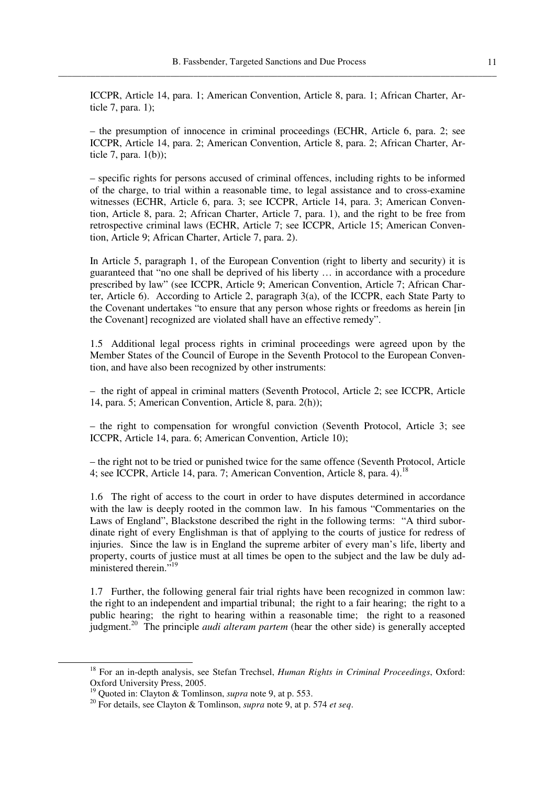ICCPR, Article 14, para. 1; American Convention, Article 8, para. 1; African Charter, Article 7, para. 1);

\_\_\_\_\_\_\_\_\_\_\_\_\_\_\_\_\_\_\_\_\_\_\_\_\_\_\_\_\_\_\_\_\_\_\_\_\_\_\_\_\_\_\_\_\_\_\_\_\_\_\_\_\_\_\_\_\_\_\_\_\_\_\_\_\_\_\_\_\_\_\_\_\_\_\_\_\_\_\_\_\_\_\_\_\_\_\_\_\_\_\_\_\_\_

– the presumption of innocence in criminal proceedings (ECHR, Article 6, para. 2; see ICCPR, Article 14, para. 2; American Convention, Article 8, para. 2; African Charter, Article 7, para.  $1(b)$ ;

– specific rights for persons accused of criminal offences, including rights to be informed of the charge, to trial within a reasonable time, to legal assistance and to cross-examine witnesses (ECHR, Article 6, para. 3; see ICCPR, Article 14, para. 3; American Convention, Article 8, para. 2; African Charter, Article 7, para. 1), and the right to be free from retrospective criminal laws (ECHR, Article 7; see ICCPR, Article 15; American Convention, Article 9; African Charter, Article 7, para. 2).

In Article 5, paragraph 1, of the European Convention (right to liberty and security) it is guaranteed that "no one shall be deprived of his liberty … in accordance with a procedure prescribed by law" (see ICCPR, Article 9; American Convention, Article 7; African Charter, Article 6). According to Article 2, paragraph 3(a), of the ICCPR, each State Party to the Covenant undertakes "to ensure that any person whose rights or freedoms as herein [in the Covenant] recognized are violated shall have an effective remedy".

1.5 Additional legal process rights in criminal proceedings were agreed upon by the Member States of the Council of Europe in the Seventh Protocol to the European Convention, and have also been recognized by other instruments:

– the right of appeal in criminal matters (Seventh Protocol, Article 2; see ICCPR, Article 14, para. 5; American Convention, Article 8, para. 2(h));

– the right to compensation for wrongful conviction (Seventh Protocol, Article 3; see ICCPR, Article 14, para. 6; American Convention, Article 10);

– the right not to be tried or punished twice for the same offence (Seventh Protocol, Article 4; see ICCPR, Article 14, para. 7; American Convention, Article 8, para. 4).<sup>18</sup>

1.6 The right of access to the court in order to have disputes determined in accordance with the law is deeply rooted in the common law. In his famous "Commentaries on the Laws of England", Blackstone described the right in the following terms: "A third subordinate right of every Englishman is that of applying to the courts of justice for redress of injuries. Since the law is in England the supreme arbiter of every man's life, liberty and property, courts of justice must at all times be open to the subject and the law be duly administered therein."<sup>19</sup>

1.7 Further, the following general fair trial rights have been recognized in common law: the right to an independent and impartial tribunal; the right to a fair hearing; the right to a public hearing; the right to hearing within a reasonable time; the right to a reasoned judgment.<sup>20</sup> The principle *audi alteram partem* (hear the other side) is generally accepted

l

<sup>18</sup> For an in-depth analysis, see Stefan Trechsel, *Human Rights in Criminal Proceedings*, Oxford: Oxford University Press, 2005.

<sup>19</sup> Quoted in: Clayton & Tomlinson, *supra* note 9, at p. 553.

<sup>20</sup> For details, see Clayton & Tomlinson, *supra* note 9, at p. 574 *et seq*.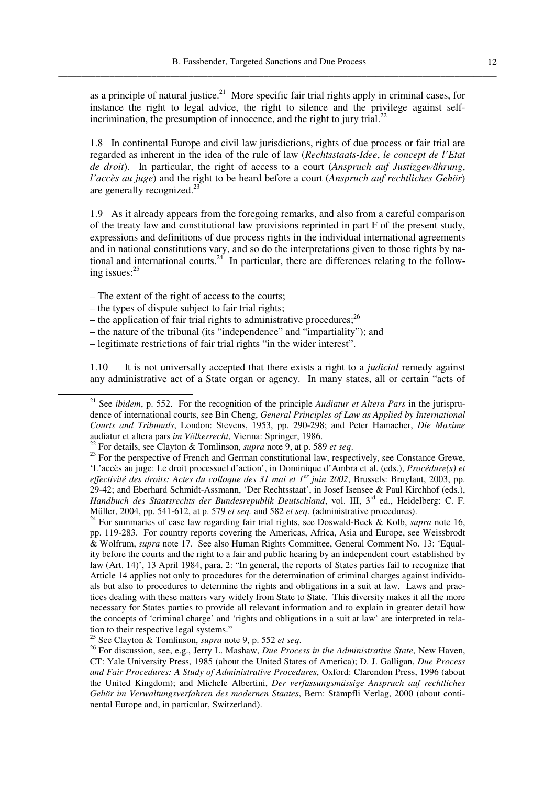as a principle of natural justice.<sup>21</sup> More specific fair trial rights apply in criminal cases, for instance the right to legal advice, the right to silence and the privilege against selfincrimination, the presumption of innocence, and the right to jury trial. $^{22}$ 

\_\_\_\_\_\_\_\_\_\_\_\_\_\_\_\_\_\_\_\_\_\_\_\_\_\_\_\_\_\_\_\_\_\_\_\_\_\_\_\_\_\_\_\_\_\_\_\_\_\_\_\_\_\_\_\_\_\_\_\_\_\_\_\_\_\_\_\_\_\_\_\_\_\_\_\_\_\_\_\_\_\_\_\_\_\_\_\_\_\_\_\_\_\_

1.8 In continental Europe and civil law jurisdictions, rights of due process or fair trial are regarded as inherent in the idea of the rule of law (*Rechtsstaats-Idee*, *le concept de l'Etat de droit*). In particular, the right of access to a court (*Anspruch auf Justizgewährung*, *l'accès au juge*) and the right to be heard before a court (*Anspruch auf rechtliches Gehör*) are generally recognized.<sup>23</sup>

1.9 As it already appears from the foregoing remarks, and also from a careful comparison of the treaty law and constitutional law provisions reprinted in part F of the present study, expressions and definitions of due process rights in the individual international agreements and in national constitutions vary, and so do the interpretations given to those rights by national and international courts.<sup>24</sup> In particular, there are differences relating to the following issues:<sup>25</sup>

- The extent of the right of access to the courts;
- the types of dispute subject to fair trial rights;

j

- the application of fair trial rights to administrative procedures;  $^{26}$
- the nature of the tribunal (its "independence" and "impartiality"); and
- legitimate restrictions of fair trial rights "in the wider interest".

1.10 It is not universally accepted that there exists a right to a *judicial* remedy against any administrative act of a State organ or agency. In many states, all or certain "acts of

<sup>21</sup> See *ibidem*, p. 552. For the recognition of the principle *Audiatur et Altera Pars* in the jurisprudence of international courts, see Bin Cheng, *General Principles of Law as Applied by International Courts and Tribunals*, London: Stevens, 1953, pp. 290-298; and Peter Hamacher, *Die Maxime* audiatur et altera pars *im Völkerrecht*, Vienna: Springer, 1986.

<sup>22</sup> For details, see Clayton & Tomlinson, *supra* note 9, at p. 589 *et seq*.

<sup>&</sup>lt;sup>23</sup> For the perspective of French and German constitutional law, respectively, see Constance Grewe, 'L'accès au juge: Le droit processuel d'action', in Dominique d'Ambra et al. (eds.), *Procédure(s) et effectivité des droits: Actes du colloque des 31 mai et 1er juin 2002*, Brussels: Bruylant, 2003, pp. 29-42; and Eberhard Schmidt-Assmann, 'Der Rechtsstaat', in Josef Isensee & Paul Kirchhof (eds.), *Handbuch des Staatsrechts der Bundesrepublik Deutschland*, vol. III, 3rd ed., Heidelberg: C. F. Müller, 2004, pp. 541-612, at p. 579 *et seq.* and 582 *et seq.* (administrative procedures).

<sup>24</sup> For summaries of case law regarding fair trial rights, see Doswald-Beck & Kolb, *supra* note 16, pp. 119-283. For country reports covering the Americas, Africa, Asia and Europe, see Weissbrodt & Wolfrum, *supra* note 17. See also Human Rights Committee, General Comment No. 13: 'Equality before the courts and the right to a fair and public hearing by an independent court established by law (Art. 14)', 13 April 1984, para. 2: "In general, the reports of States parties fail to recognize that Article 14 applies not only to procedures for the determination of criminal charges against individuals but also to procedures to determine the rights and obligations in a suit at law. Laws and practices dealing with these matters vary widely from State to State. This diversity makes it all the more necessary for States parties to provide all relevant information and to explain in greater detail how the concepts of 'criminal charge' and 'rights and obligations in a suit at law' are interpreted in relation to their respective legal systems."

<sup>25</sup> See Clayton & Tomlinson, *supra* note 9, p. 552 *et seq*.

<sup>26</sup> For discussion, see, e.g., Jerry L. Mashaw, *Due Process in the Administrative State*, New Haven, CT: Yale University Press, 1985 (about the United States of America); D. J. Galligan, *Due Process and Fair Procedures: A Study of Administrative Procedures*, Oxford: Clarendon Press, 1996 (about the United Kingdom); and Michele Albertini, *Der verfassungsmässige Anspruch auf rechtliches Gehör im Verwaltungsverfahren des modernen Staates*, Bern: Stämpfli Verlag, 2000 (about continental Europe and, in particular, Switzerland).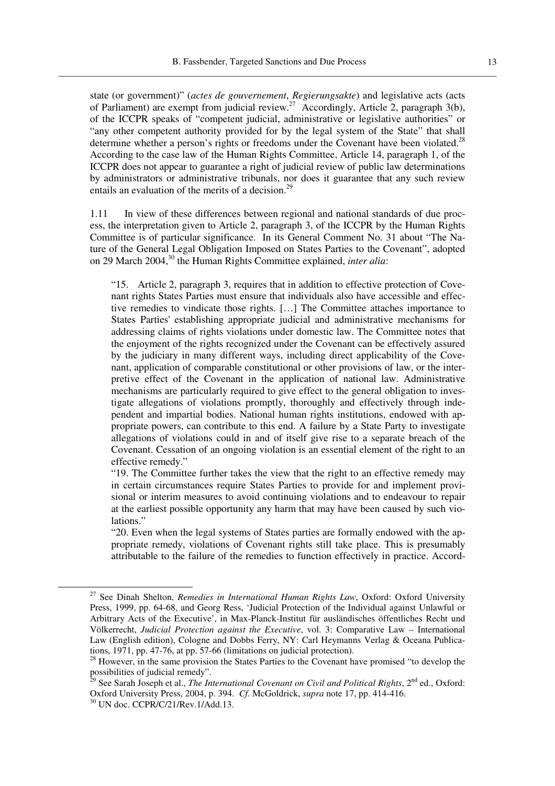state (or government)" (*actes de gouvernement*, *Regierungsakte*) and legislative acts (acts of Parliament) are exempt from judicial review.<sup>27</sup> Accordingly, Article 2, paragraph 3(b), of the ICCPR speaks of "competent judicial, administrative or legislative authorities" or "any other competent authority provided for by the legal system of the State" that shall determine whether a person's rights or freedoms under the Covenant have been violated.<sup>28</sup> According to the case law of the Human Rights Committee, Article 14, paragraph 1, of the ICCPR does not appear to guarantee a right of judicial review of public law determinations by administrators or administrative tribunals, nor does it guarantee that any such review entails an evaluation of the merits of a decision.<sup>29</sup>

1.11 In view of these differences between regional and national standards of due process, the interpretation given to Article 2, paragraph 3, of the ICCPR by the Human Rights Committee is of particular significance. In its General Comment No. 31 about "The Nature of the General Legal Obligation Imposed on States Parties to the Covenant", adopted on 29 March 2004,<sup>30</sup> the Human Rights Committee explained, *inter alia*:

"15. Article 2, paragraph 3, requires that in addition to effective protection of Covenant rights States Parties must ensure that individuals also have accessible and effective remedies to vindicate those rights. […] The Committee attaches importance to States Parties' establishing appropriate judicial and administrative mechanisms for addressing claims of rights violations under domestic law. The Committee notes that the enjoyment of the rights recognized under the Covenant can be effectively assured by the judiciary in many different ways, including direct applicability of the Covenant, application of comparable constitutional or other provisions of law, or the interpretive effect of the Covenant in the application of national law. Administrative mechanisms are particularly required to give effect to the general obligation to investigate allegations of violations promptly, thoroughly and effectively through independent and impartial bodies. National human rights institutions, endowed with appropriate powers, can contribute to this end. A failure by a State Party to investigate allegations of violations could in and of itself give rise to a separate breach of the Covenant. Cessation of an ongoing violation is an essential element of the right to an effective remedy."

"19. The Committee further takes the view that the right to an effective remedy may in certain circumstances require States Parties to provide for and implement provisional or interim measures to avoid continuing violations and to endeavour to repair at the earliest possible opportunity any harm that may have been caused by such violations."

"20. Even when the legal systems of States parties are formally endowed with the appropriate remedy, violations of Covenant rights still take place. This is presumably attributable to the failure of the remedies to function effectively in practice. Accord-

<sup>27</sup> See Dinah Shelton, *Remedies in International Human Rights Law*, Oxford: Oxford University Press, 1999, pp. 64-68, and Georg Ress, 'Judicial Protection of the Individual against Unlawful or Arbitrary Acts of the Executive', in Max-Planck-Institut für ausländisches öffentliches Recht und Völkerrecht, *Judicial Protection against the Executive*, vol. 3: Comparative Law – International Law (English edition), Cologne and Dobbs Ferry, NY: Carl Heymanns Verlag & Oceana Publications, 1971, pp. 47-76, at pp. 57-66 (limitations on judicial protection).

However, in the same provision the States Parties to the Covenant have promised "to develop the possibilities of judicial remedy".

See Sarah Joseph et al., *The International Covenant on Civil and Political Rights*, 2<sup>nd</sup> ed., Oxford: Oxford University Press, 2004, p. 394. *Cf.* McGoldrick, *supra* note 17, pp. 414-416.

<sup>30</sup> UN doc. CCPR/C/21/Rev.1/Add.13.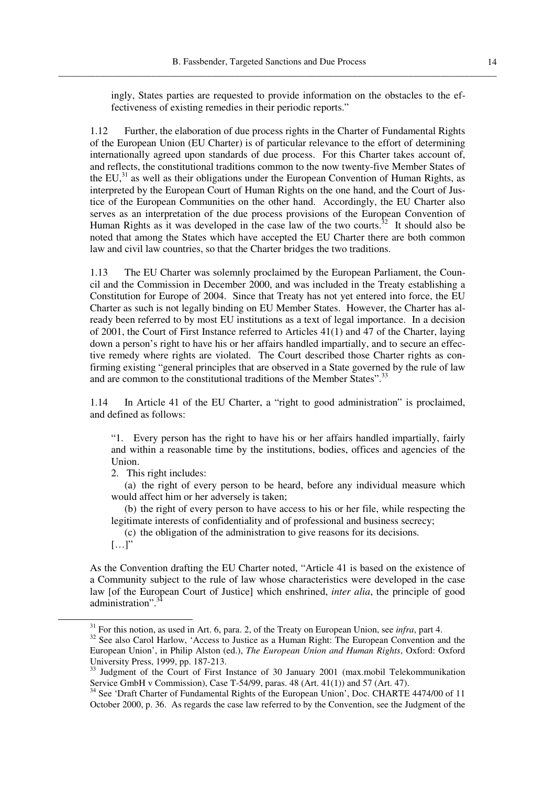ingly, States parties are requested to provide information on the obstacles to the effectiveness of existing remedies in their periodic reports."

1.12 Further, the elaboration of due process rights in the Charter of Fundamental Rights of the European Union (EU Charter) is of particular relevance to the effort of determining internationally agreed upon standards of due process. For this Charter takes account of, and reflects, the constitutional traditions common to the now twenty-five Member States of the  $EU<sup>31</sup>$  as well as their obligations under the European Convention of Human Rights, as interpreted by the European Court of Human Rights on the one hand, and the Court of Justice of the European Communities on the other hand. Accordingly, the EU Charter also serves as an interpretation of the due process provisions of the European Convention of Human Rights as it was developed in the case law of the two courts.<sup>32</sup> It should also be noted that among the States which have accepted the EU Charter there are both common law and civil law countries, so that the Charter bridges the two traditions.

1.13 The EU Charter was solemnly proclaimed by the European Parliament, the Council and the Commission in December 2000, and was included in the Treaty establishing a Constitution for Europe of 2004. Since that Treaty has not yet entered into force, the EU Charter as such is not legally binding on EU Member States. However, the Charter has already been referred to by most EU institutions as a text of legal importance. In a decision of 2001, the Court of First Instance referred to Articles 41(1) and 47 of the Charter, laying down a person's right to have his or her affairs handled impartially, and to secure an effective remedy where rights are violated. The Court described those Charter rights as confirming existing "general principles that are observed in a State governed by the rule of law and are common to the constitutional traditions of the Member States".<sup>33</sup>

1.14 In Article 41 of the EU Charter, a "right to good administration" is proclaimed, and defined as follows:

"1. Every person has the right to have his or her affairs handled impartially, fairly and within a reasonable time by the institutions, bodies, offices and agencies of the Union.

2. This right includes:

(a) the right of every person to be heard, before any individual measure which would affect him or her adversely is taken;

(b) the right of every person to have access to his or her file, while respecting the legitimate interests of confidentiality and of professional and business secrecy;

(c) the obligation of the administration to give reasons for its decisions.

 $[...]$ "

j

As the Convention drafting the EU Charter noted, "Article 41 is based on the existence of a Community subject to the rule of law whose characteristics were developed in the case law [of the European Court of Justice] which enshrined, *inter alia*, the principle of good administration".<sup>3</sup>

<sup>31</sup> For this notion, as used in Art. 6, para. 2, of the Treaty on European Union, see *infra*, part 4.

<sup>&</sup>lt;sup>32</sup> See also Carol Harlow, 'Access to Justice as a Human Right: The European Convention and the European Union', in Philip Alston (ed.), *The European Union and Human Rights*, Oxford: Oxford University Press, 1999, pp. 187-213.

<sup>33</sup> Judgment of the Court of First Instance of 30 January 2001 (max.mobil Telekommunikation Service GmbH v Commission), Case T-54/99, paras. 48 (Art. 41(1)) and 57 (Art. 47).

<sup>&</sup>lt;sup>34</sup> See 'Draft Charter of Fundamental Rights of the European Union', Doc. CHARTE 4474/00 of 11 October 2000, p. 36. As regards the case law referred to by the Convention, see the Judgment of the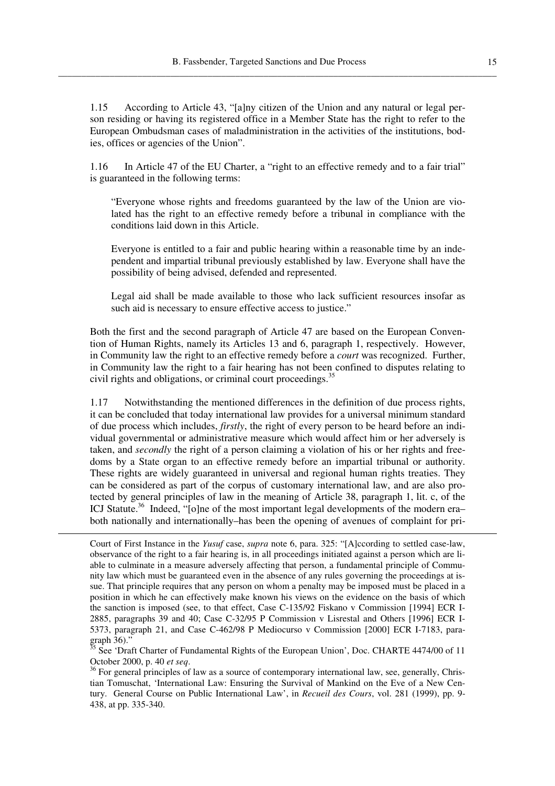1.15 According to Article 43, "[a]ny citizen of the Union and any natural or legal person residing or having its registered office in a Member State has the right to refer to the European Ombudsman cases of maladministration in the activities of the institutions, bodies, offices or agencies of the Union".

1.16 In Article 47 of the EU Charter, a "right to an effective remedy and to a fair trial" is guaranteed in the following terms:

"Everyone whose rights and freedoms guaranteed by the law of the Union are violated has the right to an effective remedy before a tribunal in compliance with the conditions laid down in this Article.

Everyone is entitled to a fair and public hearing within a reasonable time by an independent and impartial tribunal previously established by law. Everyone shall have the possibility of being advised, defended and represented.

Legal aid shall be made available to those who lack sufficient resources insofar as such aid is necessary to ensure effective access to justice."

Both the first and the second paragraph of Article 47 are based on the European Convention of Human Rights, namely its Articles 13 and 6, paragraph 1, respectively. However, in Community law the right to an effective remedy before a *court* was recognized. Further, in Community law the right to a fair hearing has not been confined to disputes relating to civil rights and obligations, or criminal court proceedings.<sup>35</sup>

1.17 Notwithstanding the mentioned differences in the definition of due process rights, it can be concluded that today international law provides for a universal minimum standard of due process which includes, *firstly*, the right of every person to be heard before an individual governmental or administrative measure which would affect him or her adversely is taken, and *secondly* the right of a person claiming a violation of his or her rights and freedoms by a State organ to an effective remedy before an impartial tribunal or authority. These rights are widely guaranteed in universal and regional human rights treaties. They can be considered as part of the corpus of customary international law, and are also protected by general principles of law in the meaning of Article 38, paragraph 1, lit. c, of the ICJ Statute.<sup>36</sup> Indeed, "[o]ne of the most important legal developments of the modern era– both nationally and internationally–has been the opening of avenues of complaint for pri-

 $\overline{a}$ 

Court of First Instance in the *Yusuf* case, *supra* note 6, para. 325: "[A]ccording to settled case-law, observance of the right to a fair hearing is, in all proceedings initiated against a person which are liable to culminate in a measure adversely affecting that person, a fundamental principle of Community law which must be guaranteed even in the absence of any rules governing the proceedings at issue. That principle requires that any person on whom a penalty may be imposed must be placed in a position in which he can effectively make known his views on the evidence on the basis of which the sanction is imposed (see, to that effect, Case C-135/92 Fiskano v Commission [1994] ECR I-2885, paragraphs 39 and 40; Case C-32/95 P Commission v Lisrestal and Others [1996] ECR I-5373, paragraph 21, and Case C-462/98 P Mediocurso v Commission [2000] ECR I-7183, para $graph\,36$ ."

See 'Draft Charter of Fundamental Rights of the European Union', Doc. CHARTE 4474/00 of 11 October 2000, p. 40 *et seq*.

 $36$  For general principles of law as a source of contemporary international law, see, generally, Christian Tomuschat, 'International Law: Ensuring the Survival of Mankind on the Eve of a New Century. General Course on Public International Law', in *Recueil des Cours*, vol. 281 (1999), pp. 9- 438, at pp. 335-340.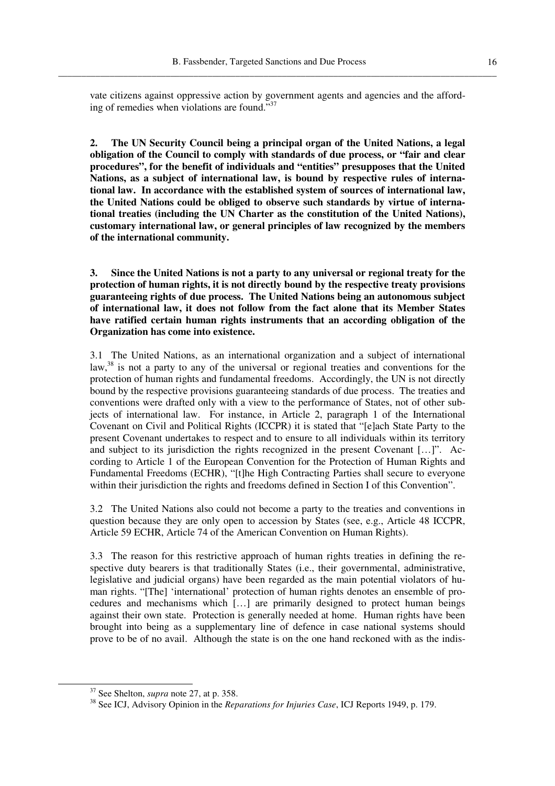vate citizens against oppressive action by government agents and agencies and the affording of remedies when violations are found."<sup>37</sup>

\_\_\_\_\_\_\_\_\_\_\_\_\_\_\_\_\_\_\_\_\_\_\_\_\_\_\_\_\_\_\_\_\_\_\_\_\_\_\_\_\_\_\_\_\_\_\_\_\_\_\_\_\_\_\_\_\_\_\_\_\_\_\_\_\_\_\_\_\_\_\_\_\_\_\_\_\_\_\_\_\_\_\_\_\_\_\_\_\_\_\_\_\_\_

**2. The UN Security Council being a principal organ of the United Nations, a legal obligation of the Council to comply with standards of due process, or "fair and clear procedures", for the benefit of individuals and "entities" presupposes that the United Nations, as a subject of international law, is bound by respective rules of international law. In accordance with the established system of sources of international law, the United Nations could be obliged to observe such standards by virtue of international treaties (including the UN Charter as the constitution of the United Nations), customary international law, or general principles of law recognized by the members of the international community.**

**3. Since the United Nations is not a party to any universal or regional treaty for the protection of human rights, it is not directly bound by the respective treaty provisions guaranteeing rights of due process. The United Nations being an autonomous subject of international law, it does not follow from the fact alone that its Member States have ratified certain human rights instruments that an according obligation of the Organization has come into existence.**

3.1 The United Nations, as an international organization and a subject of international  $\text{law}^{\,38}$  is not a party to any of the universal or regional treaties and conventions for the protection of human rights and fundamental freedoms. Accordingly, the UN is not directly bound by the respective provisions guaranteeing standards of due process. The treaties and conventions were drafted only with a view to the performance of States, not of other subjects of international law. For instance, in Article 2, paragraph 1 of the International Covenant on Civil and Political Rights (ICCPR) it is stated that "[e]ach State Party to the present Covenant undertakes to respect and to ensure to all individuals within its territory and subject to its jurisdiction the rights recognized in the present Covenant […]". According to Article 1 of the European Convention for the Protection of Human Rights and Fundamental Freedoms (ECHR), "[t]he High Contracting Parties shall secure to everyone within their jurisdiction the rights and freedoms defined in Section I of this Convention".

3.2 The United Nations also could not become a party to the treaties and conventions in question because they are only open to accession by States (see, e.g., Article 48 ICCPR, Article 59 ECHR, Article 74 of the American Convention on Human Rights).

3.3 The reason for this restrictive approach of human rights treaties in defining the respective duty bearers is that traditionally States (i.e., their governmental, administrative, legislative and judicial organs) have been regarded as the main potential violators of human rights. "[The] 'international' protection of human rights denotes an ensemble of procedures and mechanisms which […] are primarily designed to protect human beings against their own state. Protection is generally needed at home. Human rights have been brought into being as a supplementary line of defence in case national systems should prove to be of no avail. Although the state is on the one hand reckoned with as the indis-

 $\overline{a}$ 

<sup>37</sup> See Shelton, *supra* note 27, at p. 358.

<sup>38</sup> See ICJ, Advisory Opinion in the *Reparations for Injuries Case*, ICJ Reports 1949, p. 179.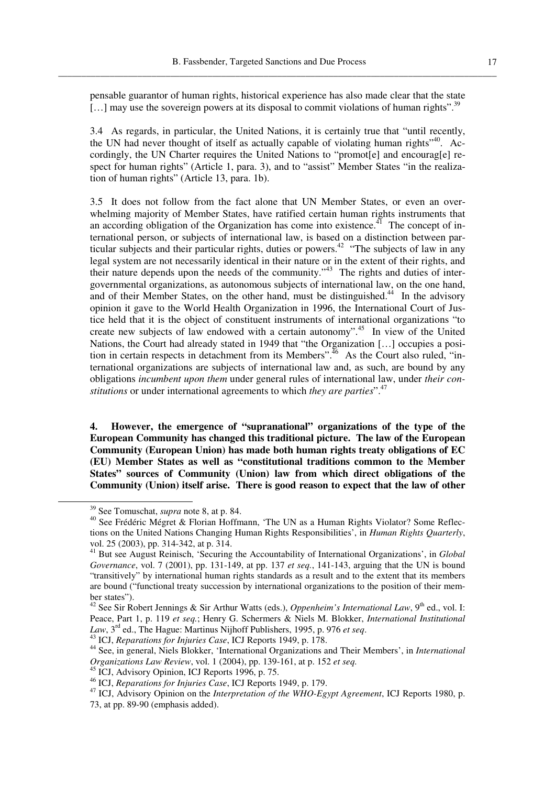pensable guarantor of human rights, historical experience has also made clear that the state  $\lceil \ldots \rceil$  may use the sovereign powers at its disposal to commit violations of human rights".<sup>39</sup>

\_\_\_\_\_\_\_\_\_\_\_\_\_\_\_\_\_\_\_\_\_\_\_\_\_\_\_\_\_\_\_\_\_\_\_\_\_\_\_\_\_\_\_\_\_\_\_\_\_\_\_\_\_\_\_\_\_\_\_\_\_\_\_\_\_\_\_\_\_\_\_\_\_\_\_\_\_\_\_\_\_\_\_\_\_\_\_\_\_\_\_\_\_\_

3.4 As regards, in particular, the United Nations, it is certainly true that "until recently, the UN had never thought of itself as actually capable of violating human rights<sup>"40</sup>. Accordingly, the UN Charter requires the United Nations to "promot[e] and encourag[e] respect for human rights" (Article 1, para. 3), and to "assist" Member States "in the realization of human rights" (Article 13, para. 1b).

3.5 It does not follow from the fact alone that UN Member States, or even an overwhelming majority of Member States, have ratified certain human rights instruments that an according obligation of the Organization has come into existence.<sup>41</sup> The concept of international person, or subjects of international law, is based on a distinction between particular subjects and their particular rights, duties or powers.<sup>42</sup> "The subjects of law in any legal system are not necessarily identical in their nature or in the extent of their rights, and their nature depends upon the needs of the community."<sup>43</sup> The rights and duties of intergovernmental organizations, as autonomous subjects of international law, on the one hand, and of their Member States, on the other hand, must be distinguished.<sup>44</sup> In the advisory opinion it gave to the World Health Organization in 1996, the International Court of Justice held that it is the object of constituent instruments of international organizations "to create new subjects of law endowed with a certain autonomy".<sup>45</sup> In view of the United Nations, the Court had already stated in 1949 that "the Organization […] occupies a position in certain respects in detachment from its Members".<sup>46</sup> As the Court also ruled, "international organizations are subjects of international law and, as such, are bound by any obligations *incumbent upon them* under general rules of international law, under *their constitutions* or under international agreements to which *they are parties*".<sup>47</sup>

**4. However, the emergence of "supranational" organizations of the type of the European Community has changed this traditional picture. The law of the European Community (European Union) has made both human rights treaty obligations of EC (EU) Member States as well as "constitutional traditions common to the Member States" sources of Community (Union) law from which direct obligations of the Community (Union) itself arise. There is good reason to expect that the law of other**

l

<sup>39</sup> See Tomuschat, *supra* note 8, at p. 84.

<sup>&</sup>lt;sup>40</sup> See Frédéric Mégret & Florian Hoffmann, 'The UN as a Human Rights Violator? Some Reflections on the United Nations Changing Human Rights Responsibilities', in *Human Rights Quarterly*, vol. 25 (2003), pp. 314-342, at p. 314.

<sup>41</sup> But see August Reinisch, 'Securing the Accountability of International Organizations', in *Global Governance*, vol. 7 (2001), pp. 131-149, at pp. 137 *et seq.*, 141-143, arguing that the UN is bound "transitively" by international human rights standards as a result and to the extent that its members are bound ("functional treaty succession by international organizations to the position of their member states").

<sup>&</sup>lt;sup>42</sup> See Sir Robert Jennings & Sir Arthur Watts (eds.), *Oppenheim's International Law*, 9<sup>th</sup> ed., vol. I: Peace, Part 1, p. 119 *et seq.*; Henry G. Schermers & Niels M. Blokker, *International Institutional Law*, 3rd ed., The Hague: Martinus Nijhoff Publishers, 1995, p. 976 *et seq*.

<sup>43</sup> ICJ, *Reparations for Injuries Case*, ICJ Reports 1949, p. 178.

<sup>44</sup> See, in general, Niels Blokker, 'International Organizations and Their Members', in *International Organizations Law Review*, vol. 1 (2004), pp. 139-161, at p. 152 *et seq.*

<sup>&</sup>lt;sup>45</sup> ICJ, Advisory Opinion, ICJ Reports 1996, p. 75.

<sup>46</sup> ICJ, *Reparations for Injuries Case*, ICJ Reports 1949, p. 179.

<sup>47</sup> ICJ, Advisory Opinion on the *Interpretation of the WHO-Egypt Agreement*, ICJ Reports 1980, p. 73, at pp. 89-90 (emphasis added).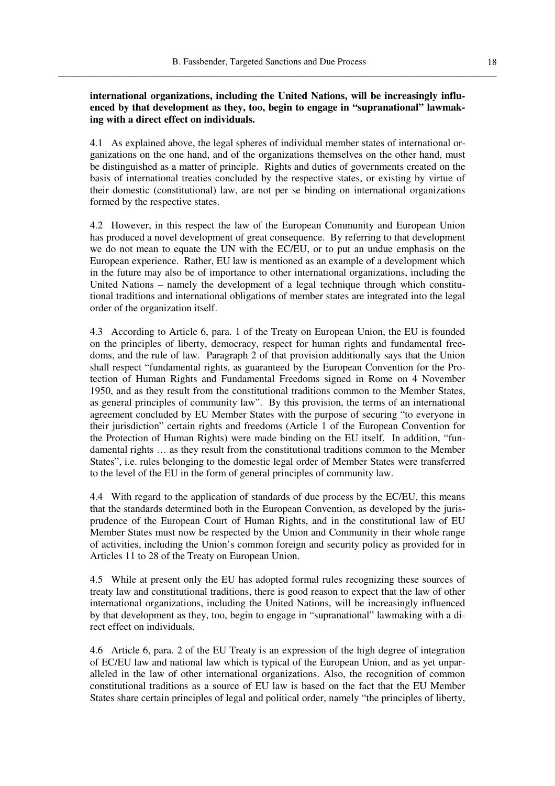## **international organizations, including the United Nations, will be increasingly influenced by that development as they, too, begin to engage in "supranational" lawmaking with a direct effect on individuals.**

\_\_\_\_\_\_\_\_\_\_\_\_\_\_\_\_\_\_\_\_\_\_\_\_\_\_\_\_\_\_\_\_\_\_\_\_\_\_\_\_\_\_\_\_\_\_\_\_\_\_\_\_\_\_\_\_\_\_\_\_\_\_\_\_\_\_\_\_\_\_\_\_\_\_\_\_\_\_\_\_\_\_\_\_\_\_\_\_\_\_\_\_\_\_

4.1 As explained above, the legal spheres of individual member states of international organizations on the one hand, and of the organizations themselves on the other hand, must be distinguished as a matter of principle. Rights and duties of governments created on the basis of international treaties concluded by the respective states, or existing by virtue of their domestic (constitutional) law, are not per se binding on international organizations formed by the respective states.

4.2 However, in this respect the law of the European Community and European Union has produced a novel development of great consequence. By referring to that development we do not mean to equate the UN with the EC/EU, or to put an undue emphasis on the European experience. Rather, EU law is mentioned as an example of a development which in the future may also be of importance to other international organizations, including the United Nations – namely the development of a legal technique through which constitutional traditions and international obligations of member states are integrated into the legal order of the organization itself.

4.3 According to Article 6, para. 1 of the Treaty on European Union, the EU is founded on the principles of liberty, democracy, respect for human rights and fundamental freedoms, and the rule of law. Paragraph 2 of that provision additionally says that the Union shall respect "fundamental rights, as guaranteed by the European Convention for the Protection of Human Rights and Fundamental Freedoms signed in Rome on 4 November 1950, and as they result from the constitutional traditions common to the Member States, as general principles of community law". By this provision, the terms of an international agreement concluded by EU Member States with the purpose of securing "to everyone in their jurisdiction" certain rights and freedoms (Article 1 of the European Convention for the Protection of Human Rights) were made binding on the EU itself. In addition, "fundamental rights … as they result from the constitutional traditions common to the Member States", i.e. rules belonging to the domestic legal order of Member States were transferred to the level of the EU in the form of general principles of community law.

4.4 With regard to the application of standards of due process by the EC/EU, this means that the standards determined both in the European Convention, as developed by the jurisprudence of the European Court of Human Rights, and in the constitutional law of EU Member States must now be respected by the Union and Community in their whole range of activities, including the Union's common foreign and security policy as provided for in Articles 11 to 28 of the Treaty on European Union.

4.5 While at present only the EU has adopted formal rules recognizing these sources of treaty law and constitutional traditions, there is good reason to expect that the law of other international organizations, including the United Nations, will be increasingly influenced by that development as they, too, begin to engage in "supranational" lawmaking with a direct effect on individuals.

4.6 Article 6, para. 2 of the EU Treaty is an expression of the high degree of integration of EC/EU law and national law which is typical of the European Union, and as yet unparalleled in the law of other international organizations. Also, the recognition of common constitutional traditions as a source of EU law is based on the fact that the EU Member States share certain principles of legal and political order, namely "the principles of liberty,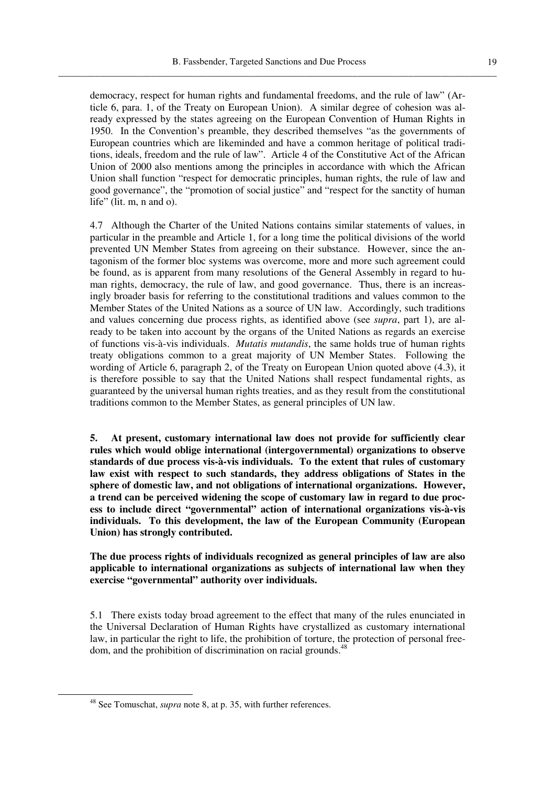democracy, respect for human rights and fundamental freedoms, and the rule of law" (Article 6, para. 1, of the Treaty on European Union). A similar degree of cohesion was already expressed by the states agreeing on the European Convention of Human Rights in 1950. In the Convention's preamble, they described themselves "as the governments of European countries which are likeminded and have a common heritage of political traditions, ideals, freedom and the rule of law". Article 4 of the Constitutive Act of the African Union of 2000 also mentions among the principles in accordance with which the African Union shall function "respect for democratic principles, human rights, the rule of law and good governance", the "promotion of social justice" and "respect for the sanctity of human life" (lit. m, n and o).

4.7 Although the Charter of the United Nations contains similar statements of values, in particular in the preamble and Article 1, for a long time the political divisions of the world prevented UN Member States from agreeing on their substance. However, since the antagonism of the former bloc systems was overcome, more and more such agreement could be found, as is apparent from many resolutions of the General Assembly in regard to human rights, democracy, the rule of law, and good governance. Thus, there is an increasingly broader basis for referring to the constitutional traditions and values common to the Member States of the United Nations as a source of UN law. Accordingly, such traditions and values concerning due process rights, as identified above (see *supra*, part 1), are already to be taken into account by the organs of the United Nations as regards an exercise of functions vis-à-vis individuals. *Mutatis mutandis*, the same holds true of human rights treaty obligations common to a great majority of UN Member States. Following the wording of Article 6, paragraph 2, of the Treaty on European Union quoted above (4.3), it is therefore possible to say that the United Nations shall respect fundamental rights, as guaranteed by the universal human rights treaties, and as they result from the constitutional traditions common to the Member States, as general principles of UN law.

**5. At present, customary international law does not provide for sufficiently clear rules which would oblige international (intergovernmental) organizations to observe standards of due process vis-à-vis individuals. To the extent that rules of customary law exist with respect to such standards, they address obligations of States in the sphere of domestic law, and not obligations of international organizations. However, a trend can be perceived widening the scope of customary law in regard to due process to include direct "governmental" action of international organizations vis-à-vis individuals. To this development, the law of the European Community (European Union) has strongly contributed.**

**The due process rights of individuals recognized as general principles of law are also applicable to international organizations as subjects of international law when they exercise "governmental" authority over individuals.**

5.1 There exists today broad agreement to the effect that many of the rules enunciated in the Universal Declaration of Human Rights have crystallized as customary international law, in particular the right to life, the prohibition of torture, the protection of personal freedom, and the prohibition of discrimination on racial grounds.<sup>48</sup>

<sup>48</sup> See Tomuschat, *supra* note 8, at p. 35, with further references.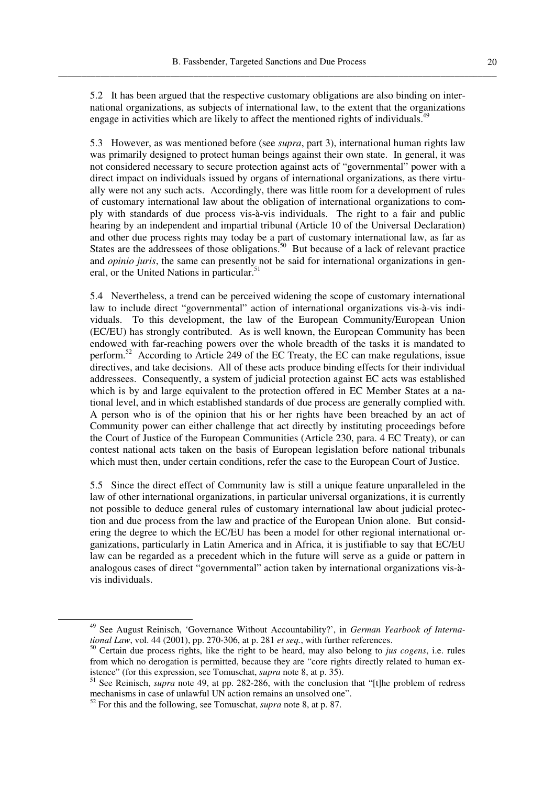5.2 It has been argued that the respective customary obligations are also binding on international organizations, as subjects of international law, to the extent that the organizations engage in activities which are likely to affect the mentioned rights of individuals.<sup>49</sup>

\_\_\_\_\_\_\_\_\_\_\_\_\_\_\_\_\_\_\_\_\_\_\_\_\_\_\_\_\_\_\_\_\_\_\_\_\_\_\_\_\_\_\_\_\_\_\_\_\_\_\_\_\_\_\_\_\_\_\_\_\_\_\_\_\_\_\_\_\_\_\_\_\_\_\_\_\_\_\_\_\_\_\_\_\_\_\_\_\_\_\_\_\_\_

5.3 However, as was mentioned before (see *supra*, part 3), international human rights law was primarily designed to protect human beings against their own state. In general, it was not considered necessary to secure protection against acts of "governmental" power with a direct impact on individuals issued by organs of international organizations, as there virtually were not any such acts. Accordingly, there was little room for a development of rules of customary international law about the obligation of international organizations to comply with standards of due process vis-à-vis individuals. The right to a fair and public hearing by an independent and impartial tribunal (Article 10 of the Universal Declaration) and other due process rights may today be a part of customary international law, as far as States are the addressees of those obligations.<sup>50</sup> But because of a lack of relevant practice and *opinio juris*, the same can presently not be said for international organizations in general, or the United Nations in particular.<sup>51</sup>

5.4 Nevertheless, a trend can be perceived widening the scope of customary international law to include direct "governmental" action of international organizations vis-à-vis individuals. To this development, the law of the European Community/European Union (EC/EU) has strongly contributed. As is well known, the European Community has been endowed with far-reaching powers over the whole breadth of the tasks it is mandated to perform.<sup>52</sup> According to Article 249 of the EC Treaty, the EC can make regulations, issue directives, and take decisions. All of these acts produce binding effects for their individual addressees. Consequently, a system of judicial protection against EC acts was established which is by and large equivalent to the protection offered in EC Member States at a national level, and in which established standards of due process are generally complied with. A person who is of the opinion that his or her rights have been breached by an act of Community power can either challenge that act directly by instituting proceedings before the Court of Justice of the European Communities (Article 230, para. 4 EC Treaty), or can contest national acts taken on the basis of European legislation before national tribunals which must then, under certain conditions, refer the case to the European Court of Justice.

5.5 Since the direct effect of Community law is still a unique feature unparalleled in the law of other international organizations, in particular universal organizations, it is currently not possible to deduce general rules of customary international law about judicial protection and due process from the law and practice of the European Union alone. But considering the degree to which the EC/EU has been a model for other regional international organizations, particularly in Latin America and in Africa, it is justifiable to say that EC/EU law can be regarded as a precedent which in the future will serve as a guide or pattern in analogous cases of direct "governmental" action taken by international organizations vis-àvis individuals.

<sup>49</sup> See August Reinisch, 'Governance Without Accountability?', in *German Yearbook of International Law*, vol. 44 (2001), pp. 270-306, at p. 281 *et seq.*, with further references.

<sup>50</sup> Certain due process rights, like the right to be heard, may also belong to *jus cogens*, i.e. rules from which no derogation is permitted, because they are "core rights directly related to human existence" (for this expression, see Tomuschat, *supra* note 8, at p. 35).

<sup>51</sup> See Reinisch, *supra* note 49, at pp. 282-286, with the conclusion that "[t]he problem of redress mechanisms in case of unlawful UN action remains an unsolved one".

<sup>52</sup> For this and the following, see Tomuschat, *supra* note 8, at p. 87.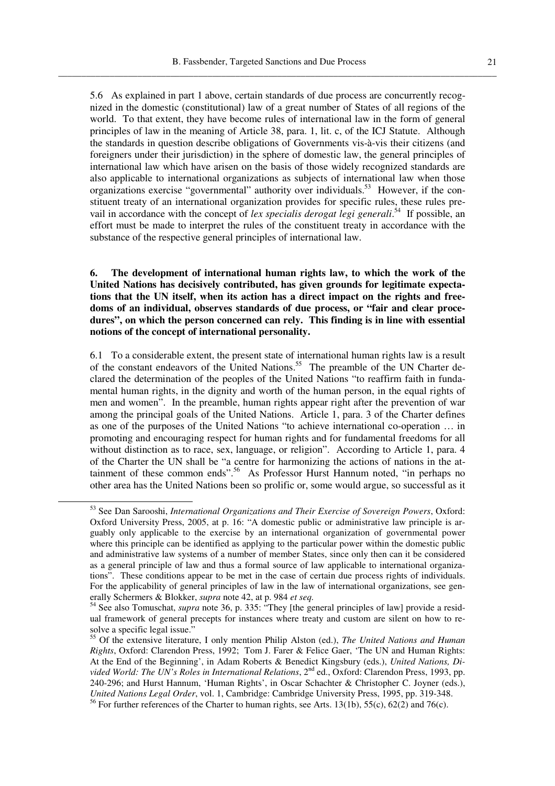5.6 As explained in part 1 above, certain standards of due process are concurrently recognized in the domestic (constitutional) law of a great number of States of all regions of the world. To that extent, they have become rules of international law in the form of general principles of law in the meaning of Article 38, para. 1, lit. c, of the ICJ Statute. Although the standards in question describe obligations of Governments vis-à-vis their citizens (and foreigners under their jurisdiction) in the sphere of domestic law, the general principles of international law which have arisen on the basis of those widely recognized standards are also applicable to international organizations as subjects of international law when those organizations exercise "governmental" authority over individuals.<sup>53</sup> However, if the constituent treaty of an international organization provides for specific rules, these rules prevail in accordance with the concept of *lex specialis derogat legi generali*. <sup>54</sup> If possible, an effort must be made to interpret the rules of the constituent treaty in accordance with the substance of the respective general principles of international law.

**6. The development of international human rights law, to which the work of the United Nations has decisively contributed, has given grounds for legitimate expectations that the UN itself, when its action has a direct impact on the rights and freedoms of an individual, observes standards of due process, or "fair and clear procedures", on which the person concerned can rely. This finding is in line with essential notions of the concept of international personality.**

6.1 To a considerable extent, the present state of international human rights law is a result of the constant endeavors of the United Nations.<sup>55</sup> The preamble of the UN Charter declared the determination of the peoples of the United Nations "to reaffirm faith in fundamental human rights, in the dignity and worth of the human person, in the equal rights of men and women". In the preamble, human rights appear right after the prevention of war among the principal goals of the United Nations. Article 1, para. 3 of the Charter defines as one of the purposes of the United Nations "to achieve international co-operation … in promoting and encouraging respect for human rights and for fundamental freedoms for all without distinction as to race, sex, language, or religion". According to Article 1, para. 4 of the Charter the UN shall be "a centre for harmonizing the actions of nations in the attainment of these common ends".<sup>56</sup> As Professor Hurst Hannum noted, "in perhaps no other area has the United Nations been so prolific or, some would argue, so successful as it

l

<sup>53</sup> See Dan Sarooshi, *International Organizations and Their Exercise of Sovereign Powers*, Oxford: Oxford University Press, 2005, at p. 16: "A domestic public or administrative law principle is arguably only applicable to the exercise by an international organization of governmental power where this principle can be identified as applying to the particular power within the domestic public and administrative law systems of a number of member States, since only then can it be considered as a general principle of law and thus a formal source of law applicable to international organizations". These conditions appear to be met in the case of certain due process rights of individuals. For the applicability of general principles of law in the law of international organizations, see generally Schermers & Blokker, *supra* note 42, at p. 984 *et seq.*

<sup>54</sup> See also Tomuschat, *supra* note 36, p. 335: "They [the general principles of law] provide a residual framework of general precepts for instances where treaty and custom are silent on how to resolve a specific legal issue."

<sup>55</sup> Of the extensive literature, I only mention Philip Alston (ed.), *The United Nations and Human Rights*, Oxford: Clarendon Press, 1992; Tom J. Farer & Felice Gaer, 'The UN and Human Rights: At the End of the Beginning', in Adam Roberts & Benedict Kingsbury (eds.), *United Nations, Di*vided World: The UN's Roles in International Relations, 2<sup>nd</sup> ed., Oxford: Clarendon Press, 1993, pp. 240-296; and Hurst Hannum, 'Human Rights', in Oscar Schachter & Christopher C. Joyner (eds.), *United Nations Legal Order*, vol. 1, Cambridge: Cambridge University Press, 1995, pp. 319-348.

<sup>&</sup>lt;sup>56</sup> For further references of the Charter to human rights, see Arts. 13(1b), 55(c), 62(2) and 76(c).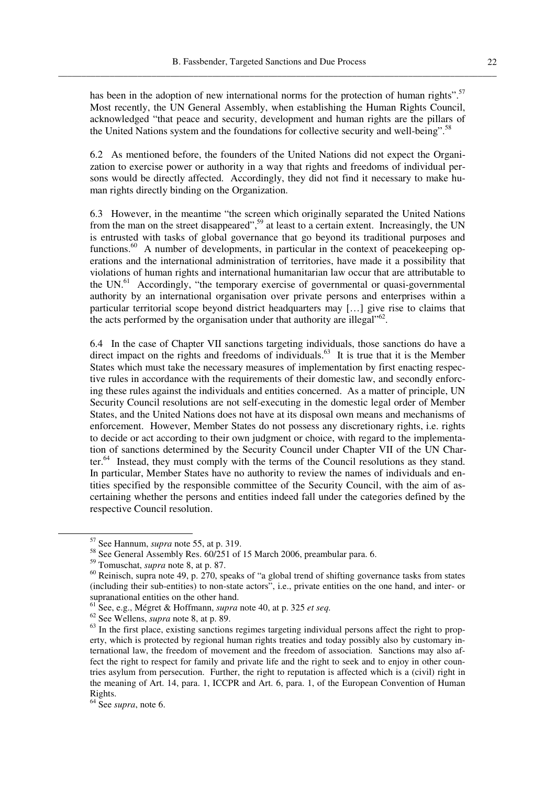has been in the adoption of new international norms for the protection of human rights".<sup>57</sup> Most recently, the UN General Assembly, when establishing the Human Rights Council, acknowledged "that peace and security, development and human rights are the pillars of the United Nations system and the foundations for collective security and well-being".<sup>58</sup>

\_\_\_\_\_\_\_\_\_\_\_\_\_\_\_\_\_\_\_\_\_\_\_\_\_\_\_\_\_\_\_\_\_\_\_\_\_\_\_\_\_\_\_\_\_\_\_\_\_\_\_\_\_\_\_\_\_\_\_\_\_\_\_\_\_\_\_\_\_\_\_\_\_\_\_\_\_\_\_\_\_\_\_\_\_\_\_\_\_\_\_\_\_\_

6.2 As mentioned before, the founders of the United Nations did not expect the Organization to exercise power or authority in a way that rights and freedoms of individual persons would be directly affected. Accordingly, they did not find it necessary to make human rights directly binding on the Organization.

6.3 However, in the meantime "the screen which originally separated the United Nations from the man on the street disappeared",<sup>59</sup> at least to a certain extent. Increasingly, the UN is entrusted with tasks of global governance that go beyond its traditional purposes and functions.<sup>60</sup> A number of developments, in particular in the context of peacekeeping operations and the international administration of territories, have made it a possibility that violations of human rights and international humanitarian law occur that are attributable to the  $UN<sup>61</sup>$  Accordingly, "the temporary exercise of governmental or quasi-governmental authority by an international organisation over private persons and enterprises within a particular territorial scope beyond district headquarters may […] give rise to claims that the acts performed by the organisation under that authority are illegal"<sup>62</sup>.

6.4 In the case of Chapter VII sanctions targeting individuals, those sanctions do have a direct impact on the rights and freedoms of individuals.<sup>63</sup> It is true that it is the Member States which must take the necessary measures of implementation by first enacting respective rules in accordance with the requirements of their domestic law, and secondly enforcing these rules against the individuals and entities concerned. As a matter of principle, UN Security Council resolutions are not self-executing in the domestic legal order of Member States, and the United Nations does not have at its disposal own means and mechanisms of enforcement. However, Member States do not possess any discretionary rights, i.e. rights to decide or act according to their own judgment or choice, with regard to the implementation of sanctions determined by the Security Council under Chapter VII of the UN Charter.<sup>64</sup> Instead, they must comply with the terms of the Council resolutions as they stand. In particular, Member States have no authority to review the names of individuals and entities specified by the responsible committee of the Security Council, with the aim of ascertaining whether the persons and entities indeed fall under the categories defined by the respective Council resolution.

 $\overline{a}$ 

<sup>57</sup> See Hannum, *supra* note 55, at p. 319.

 $58$  See General Assembly Res.  $60/251$  of 15 March 2006, preambular para. 6.

<sup>59</sup> Tomuschat, *supra* note 8, at p. 87.

 $60$  Reinisch, supra note 49, p. 270, speaks of "a global trend of shifting governance tasks from states (including their sub-entities) to non-state actors", i.e., private entities on the one hand, and inter- or supranational entities on the other hand.

<sup>61</sup> See, e.g., Mégret & Hoffmann, *supra* note 40, at p. 325 *et seq.*

<sup>62</sup> See Wellens, *supra* note 8, at p. 89.

 $63$  In the first place, existing sanctions regimes targeting individual persons affect the right to property, which is protected by regional human rights treaties and today possibly also by customary international law, the freedom of movement and the freedom of association. Sanctions may also affect the right to respect for family and private life and the right to seek and to enjoy in other countries asylum from persecution. Further, the right to reputation is affected which is a (civil) right in the meaning of Art. 14, para. 1, ICCPR and Art. 6, para. 1, of the European Convention of Human Rights.

<sup>64</sup> See *supra*, note 6.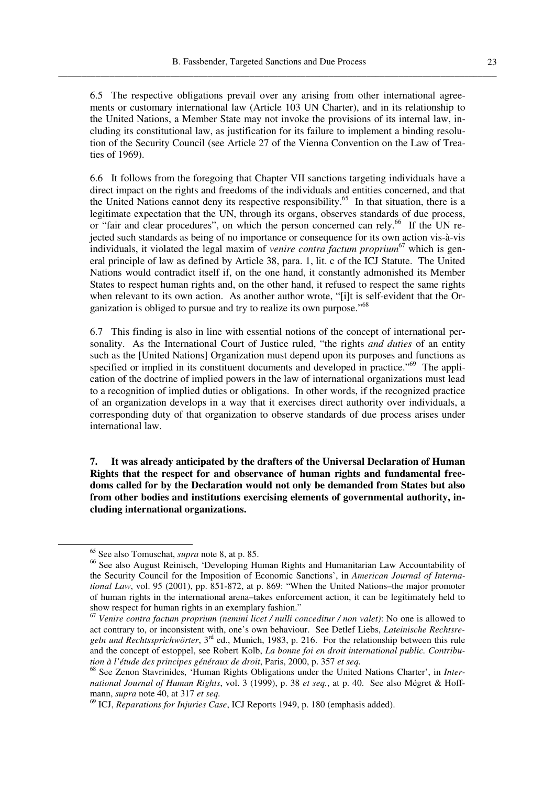6.5 The respective obligations prevail over any arising from other international agreements or customary international law (Article 103 UN Charter), and in its relationship to the United Nations, a Member State may not invoke the provisions of its internal law, including its constitutional law, as justification for its failure to implement a binding resolution of the Security Council (see Article 27 of the Vienna Convention on the Law of Treaties of 1969).

6.6 It follows from the foregoing that Chapter VII sanctions targeting individuals have a direct impact on the rights and freedoms of the individuals and entities concerned, and that the United Nations cannot deny its respective responsibility.<sup>65</sup> In that situation, there is a legitimate expectation that the UN, through its organs, observes standards of due process, or "fair and clear procedures", on which the person concerned can rely.<sup>66</sup> If the UN rejected such standards as being of no importance or consequence for its own action vis-à-vis individuals, it violated the legal maxim of *venire contra factum proprium*<sup>67</sup> which is general principle of law as defined by Article 38, para. 1, lit. c of the ICJ Statute. The United Nations would contradict itself if, on the one hand, it constantly admonished its Member States to respect human rights and, on the other hand, it refused to respect the same rights when relevant to its own action. As another author wrote, "[i]t is self-evident that the Organization is obliged to pursue and try to realize its own purpose."<sup>68</sup>

6.7 This finding is also in line with essential notions of the concept of international personality. As the International Court of Justice ruled, "the rights *and duties* of an entity such as the [United Nations] Organization must depend upon its purposes and functions as specified or implied in its constituent documents and developed in practice."<sup>69</sup> The application of the doctrine of implied powers in the law of international organizations must lead to a recognition of implied duties or obligations. In other words, if the recognized practice of an organization develops in a way that it exercises direct authority over individuals, a corresponding duty of that organization to observe standards of due process arises under international law.

**7. It was already anticipated by the drafters of the Universal Declaration of Human Rights that the respect for and observance of human rights and fundamental freedoms called for by the Declaration would not only be demanded from States but also from other bodies and institutions exercising elements of governmental authority, including international organizations.**

 $\overline{a}$ 

<sup>65</sup> See also Tomuschat, *supra* note 8, at p. 85.

<sup>66</sup> See also August Reinisch, 'Developing Human Rights and Humanitarian Law Accountability of the Security Council for the Imposition of Economic Sanctions', in *American Journal of International Law*, vol. 95 (2001), pp. 851-872, at p. 869: "When the United Nations–the major promoter of human rights in the international arena–takes enforcement action, it can be legitimately held to show respect for human rights in an exemplary fashion."

<sup>67</sup> *Venire contra factum proprium (nemini licet / nulli conceditur / non valet)*: No one is allowed to act contrary to, or inconsistent with, one's own behaviour. See Detlef Liebs, *Lateinische Rechtsregeln und Rechtssprichwörter*, 3rd ed., Munich, 1983, p. 216. For the relationship between this rule and the concept of estoppel, see Robert Kolb, *La bonne foi en droit international public. Contribution à l'étude des principes généraux de droit*, Paris, 2000, p. 357 *et seq.*

<sup>68</sup> See Zenon Stavrinides, 'Human Rights Obligations under the United Nations Charter', in *International Journal of Human Rights*, vol. 3 (1999), p. 38 *et seq.*, at p. 40. See also Mégret & Hoffmann, *supra* note 40, at 317 *et seq.*

<sup>69</sup> ICJ, *Reparations for Injuries Case*, ICJ Reports 1949, p. 180 (emphasis added).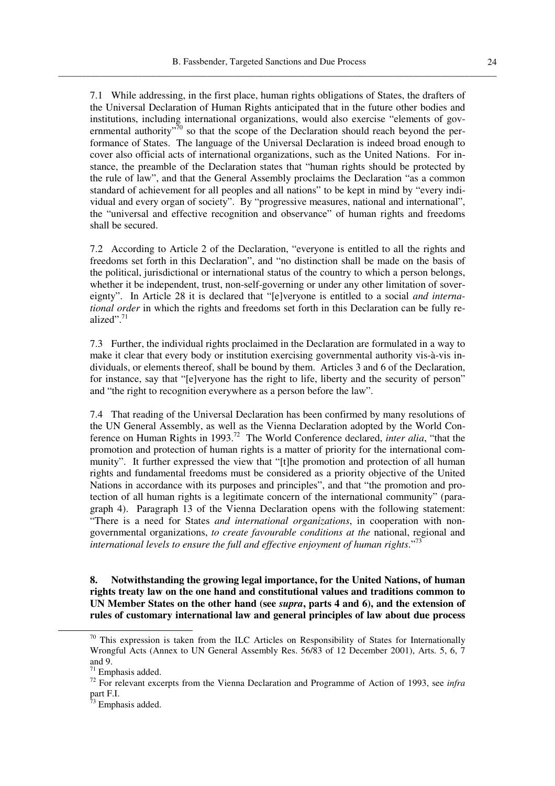7.1 While addressing, in the first place, human rights obligations of States, the drafters of the Universal Declaration of Human Rights anticipated that in the future other bodies and institutions, including international organizations, would also exercise "elements of governmental authority"<sup>70</sup> so that the scope of the Declaration should reach beyond the performance of States. The language of the Universal Declaration is indeed broad enough to cover also official acts of international organizations, such as the United Nations. For instance, the preamble of the Declaration states that "human rights should be protected by the rule of law", and that the General Assembly proclaims the Declaration "as a common standard of achievement for all peoples and all nations" to be kept in mind by "every individual and every organ of society". By "progressive measures, national and international", the "universal and effective recognition and observance" of human rights and freedoms shall be secured.

7.2 According to Article 2 of the Declaration, "everyone is entitled to all the rights and freedoms set forth in this Declaration", and "no distinction shall be made on the basis of the political, jurisdictional or international status of the country to which a person belongs, whether it be independent, trust, non-self-governing or under any other limitation of sovereignty". In Article 28 it is declared that "[e]veryone is entitled to a social *and international order* in which the rights and freedoms set forth in this Declaration can be fully realized". $71$ 

7.3 Further, the individual rights proclaimed in the Declaration are formulated in a way to make it clear that every body or institution exercising governmental authority vis-à-vis individuals, or elements thereof, shall be bound by them. Articles 3 and 6 of the Declaration, for instance, say that "[e]veryone has the right to life, liberty and the security of person" and "the right to recognition everywhere as a person before the law".

7.4 That reading of the Universal Declaration has been confirmed by many resolutions of the UN General Assembly, as well as the Vienna Declaration adopted by the World Conference on Human Rights in 1993.<sup>72</sup> The World Conference declared, *inter alia*, "that the promotion and protection of human rights is a matter of priority for the international community". It further expressed the view that "[t]he promotion and protection of all human rights and fundamental freedoms must be considered as a priority objective of the United Nations in accordance with its purposes and principles", and that "the promotion and protection of all human rights is a legitimate concern of the international community" (paragraph 4). Paragraph 13 of the Vienna Declaration opens with the following statement: "There is a need for States *and international organizations*, in cooperation with nongovernmental organizations, *to create favourable conditions at the* national, regional and *international levels to ensure the full and effective enjoyment of human rights*."<sup>73</sup>

**8. Notwithstanding the growing legal importance, for the United Nations, of human rights treaty law on the one hand and constitutional values and traditions common to UN Member States on the other hand (see** *supra***, parts 4 and 6), and the extension of rules of customary international law and general principles of law about due process**

 $70$  This expression is taken from the ILC Articles on Responsibility of States for Internationally Wrongful Acts (Annex to UN General Assembly Res. 56/83 of 12 December 2001), Arts. 5, 6, 7 and 9.

<sup>71</sup> Emphasis added.

<sup>72</sup> For relevant excerpts from the Vienna Declaration and Programme of Action of 1993, see *infra* part F.I.

 $73$  Emphasis added.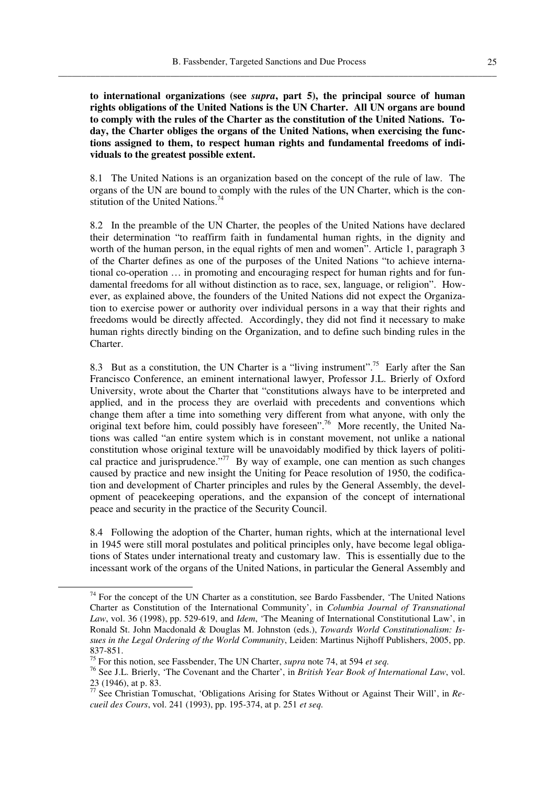**to international organizations (see** *supra***, part 5), the principal source of human rights obligations of the United Nations is the UN Charter. All UN organs are bound to comply with the rules of the Charter as the constitution of the United Nations. Today, the Charter obliges the organs of the United Nations, when exercising the functions assigned to them, to respect human rights and fundamental freedoms of individuals to the greatest possible extent.**

8.1 The United Nations is an organization based on the concept of the rule of law. The organs of the UN are bound to comply with the rules of the UN Charter, which is the constitution of the United Nations.<sup>74</sup>

8.2 In the preamble of the UN Charter, the peoples of the United Nations have declared their determination "to reaffirm faith in fundamental human rights, in the dignity and worth of the human person, in the equal rights of men and women". Article 1, paragraph 3 of the Charter defines as one of the purposes of the United Nations "to achieve international co-operation … in promoting and encouraging respect for human rights and for fundamental freedoms for all without distinction as to race, sex, language, or religion". However, as explained above, the founders of the United Nations did not expect the Organization to exercise power or authority over individual persons in a way that their rights and freedoms would be directly affected. Accordingly, they did not find it necessary to make human rights directly binding on the Organization, and to define such binding rules in the Charter.

8.3 But as a constitution, the UN Charter is a "living instrument".<sup>75</sup> Early after the San Francisco Conference, an eminent international lawyer, Professor J.L. Brierly of Oxford University, wrote about the Charter that "constitutions always have to be interpreted and applied, and in the process they are overlaid with precedents and conventions which change them after a time into something very different from what anyone, with only the original text before him, could possibly have foreseen".<sup>76</sup> More recently, the United Nations was called "an entire system which is in constant movement, not unlike a national constitution whose original texture will be unavoidably modified by thick layers of political practice and jurisprudence."<sup>77</sup> By way of example, one can mention as such changes caused by practice and new insight the Uniting for Peace resolution of 1950, the codification and development of Charter principles and rules by the General Assembly, the development of peacekeeping operations, and the expansion of the concept of international peace and security in the practice of the Security Council.

8.4 Following the adoption of the Charter, human rights, which at the international level in 1945 were still moral postulates and political principles only, have become legal obligations of States under international treaty and customary law. This is essentially due to the incessant work of the organs of the United Nations, in particular the General Assembly and

<sup>&</sup>lt;sup>74</sup> For the concept of the UN Charter as a constitution, see Bardo Fassbender, 'The United Nations Charter as Constitution of the International Community', in *Columbia Journal of Transnational Law*, vol. 36 (1998), pp. 529-619, and *Idem*, 'The Meaning of International Constitutional Law', in Ronald St. John Macdonald & Douglas M. Johnston (eds.), *Towards World Constitutionalism: Issues in the Legal Ordering of the World Community*, Leiden: Martinus Nijhoff Publishers, 2005, pp. 837-851.

<sup>75</sup> For this notion, see Fassbender, The UN Charter, *supra* note 74, at 594 *et seq.*

<sup>76</sup> See J.L. Brierly, 'The Covenant and the Charter', in *British Year Book of International Law*, vol. 23 (1946), at p. 83.

<sup>77</sup> See Christian Tomuschat, 'Obligations Arising for States Without or Against Their Will', in *Recueil des Cours*, vol. 241 (1993), pp. 195-374, at p. 251 *et seq.*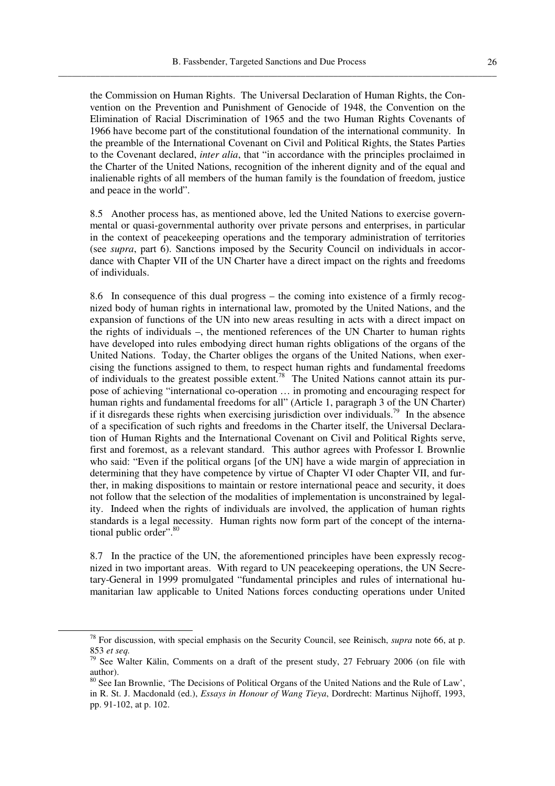the Commission on Human Rights. The Universal Declaration of Human Rights, the Convention on the Prevention and Punishment of Genocide of 1948, the Convention on the Elimination of Racial Discrimination of 1965 and the two Human Rights Covenants of 1966 have become part of the constitutional foundation of the international community. In the preamble of the International Covenant on Civil and Political Rights, the States Parties to the Covenant declared, *inter alia*, that "in accordance with the principles proclaimed in the Charter of the United Nations, recognition of the inherent dignity and of the equal and inalienable rights of all members of the human family is the foundation of freedom, justice and peace in the world".

8.5 Another process has, as mentioned above, led the United Nations to exercise governmental or quasi-governmental authority over private persons and enterprises, in particular in the context of peacekeeping operations and the temporary administration of territories (see *supra*, part 6). Sanctions imposed by the Security Council on individuals in accordance with Chapter VII of the UN Charter have a direct impact on the rights and freedoms of individuals.

8.6 In consequence of this dual progress – the coming into existence of a firmly recognized body of human rights in international law, promoted by the United Nations, and the expansion of functions of the UN into new areas resulting in acts with a direct impact on the rights of individuals –, the mentioned references of the UN Charter to human rights have developed into rules embodying direct human rights obligations of the organs of the United Nations. Today, the Charter obliges the organs of the United Nations, when exercising the functions assigned to them, to respect human rights and fundamental freedoms of individuals to the greatest possible extent.<sup>78</sup> The United Nations cannot attain its purpose of achieving "international co-operation … in promoting and encouraging respect for human rights and fundamental freedoms for all" (Article 1, paragraph 3 of the UN Charter) if it disregards these rights when exercising jurisdiction over individuals.<sup>79</sup> In the absence of a specification of such rights and freedoms in the Charter itself, the Universal Declaration of Human Rights and the International Covenant on Civil and Political Rights serve, first and foremost, as a relevant standard. This author agrees with Professor I. Brownlie who said: "Even if the political organs [of the UN] have a wide margin of appreciation in determining that they have competence by virtue of Chapter VI oder Chapter VII, and further, in making dispositions to maintain or restore international peace and security, it does not follow that the selection of the modalities of implementation is unconstrained by legality. Indeed when the rights of individuals are involved, the application of human rights standards is a legal necessity. Human rights now form part of the concept of the international public order".<sup>80</sup>

8.7 In the practice of the UN, the aforementioned principles have been expressly recognized in two important areas. With regard to UN peacekeeping operations, the UN Secretary-General in 1999 promulgated "fundamental principles and rules of international humanitarian law applicable to United Nations forces conducting operations under United

<sup>78</sup> For discussion, with special emphasis on the Security Council, see Reinisch, *supra* note 66, at p. 853 *et seq.*

 $79$  See Walter Kälin, Comments on a draft of the present study, 27 February 2006 (on file with author).

<sup>&</sup>lt;sup>80</sup> See Ian Brownlie, 'The Decisions of Political Organs of the United Nations and the Rule of Law', in R. St. J. Macdonald (ed.), *Essays in Honour of Wang Tieya*, Dordrecht: Martinus Nijhoff, 1993, pp. 91-102, at p. 102.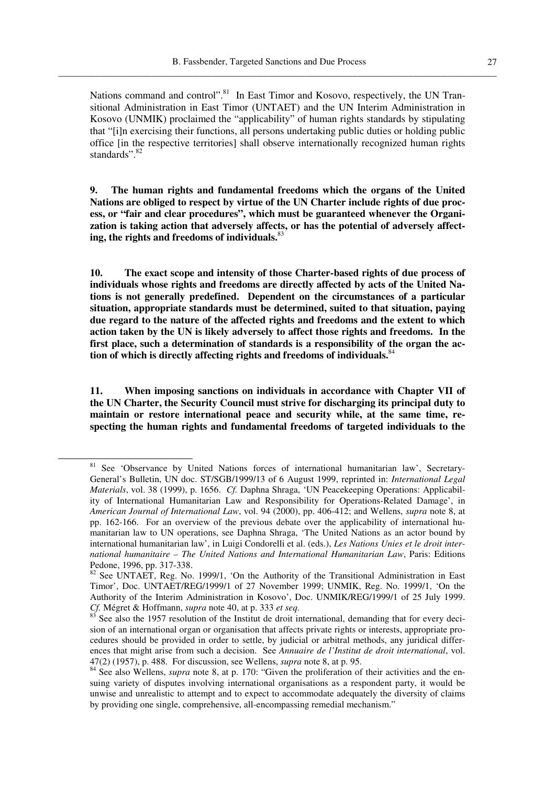Nations command and control".<sup>81</sup> In East Timor and Kosovo, respectively, the UN Transitional Administration in East Timor (UNTAET) and the UN Interim Administration in Kosovo (UNMIK) proclaimed the "applicability" of human rights standards by stipulating that "[i]n exercising their functions, all persons undertaking public duties or holding public office [in the respective territories] shall observe internationally recognized human rights standards".<sup>82</sup>

\_\_\_\_\_\_\_\_\_\_\_\_\_\_\_\_\_\_\_\_\_\_\_\_\_\_\_\_\_\_\_\_\_\_\_\_\_\_\_\_\_\_\_\_\_\_\_\_\_\_\_\_\_\_\_\_\_\_\_\_\_\_\_\_\_\_\_\_\_\_\_\_\_\_\_\_\_\_\_\_\_\_\_\_\_\_\_\_\_\_\_\_\_\_

**9. The human rights and fundamental freedoms which the organs of the United Nations are obliged to respect by virtue of the UN Charter include rights of due process, or "fair and clear procedures", which must be guaranteed whenever the Organization is taking action that adversely affects, or has the potential of adversely affecting, the rights and freedoms of individuals.**<sup>83</sup>

**10. The exact scope and intensity of those Charter-based rights of due process of individuals whose rights and freedoms are directly affected by acts of the United Nations is not generally predefined. Dependent on the circumstances of a particular situation, appropriate standards must be determined, suited to that situation, paying due regard to the nature of the affected rights and freedoms and the extent to which action taken by the UN is likely adversely to affect those rights and freedoms. In the first place, such a determination of standards is a responsibility of the organ the action of which is directly affecting rights and freedoms of individuals.**<sup>84</sup>

**11. When imposing sanctions on individuals in accordance with Chapter VII of the UN Charter, the Security Council must strive for discharging its principal duty to maintain or restore international peace and security while, at the same time, respecting the human rights and fundamental freedoms of targeted individuals to the**

See 'Observance by United Nations forces of international humanitarian law', Secretary-General's Bulletin, UN doc. ST/SGB/1999/13 of 6 August 1999, reprinted in: *International Legal Materials*, vol. 38 (1999), p. 1656. *Cf.* Daphna Shraga, 'UN Peacekeeping Operations: Applicability of International Humanitarian Law and Responsibility for Operations-Related Damage', in *American Journal of International Law*, vol. 94 (2000), pp. 406-412; and Wellens, *supra* note 8, at pp. 162-166. For an overview of the previous debate over the applicability of international humanitarian law to UN operations, see Daphna Shraga, 'The United Nations as an actor bound by international humanitarian law', in Luigi Condorelli et al. (eds.), *Les Nations Unies et le droit international humanitaire – The United Nations and International Humanitarian Law*, Paris: Editions Pedone, 1996, pp. 317-338.

<sup>&</sup>lt;sup>82</sup> See UNTAET, Reg. No. 1999/1, 'On the Authority of the Transitional Administration in East Timor', Doc. UNTAET/REG/1999/1 of 27 November 1999; UNMIK, Reg. No. 1999/1, 'On the Authority of the Interim Administration in Kosovo', Doc. UNMIK/REG/1999/1 of 25 July 1999. *Cf.* Mégret & Hoffmann, *supra* note 40, at p. 333 *et seq.*

See also the 1957 resolution of the Institut de droit international, demanding that for every decision of an international organ or organisation that affects private rights or interests, appropriate procedures should be provided in order to settle, by judicial or arbitral methods, any juridical differences that might arise from such a decision. See *Annuaire de l'Institut de droit international*, vol. 47(2) (1957), p. 488. For discussion, see Wellens, *supra* note 8, at p. 95.

<sup>&</sup>lt;sup>84</sup> See also Wellens, *supra* note 8, at p. 170: "Given the proliferation of their activities and the ensuing variety of disputes involving international organisations as a respondent party, it would be unwise and unrealistic to attempt and to expect to accommodate adequately the diversity of claims by providing one single, comprehensive, all-encompassing remedial mechanism."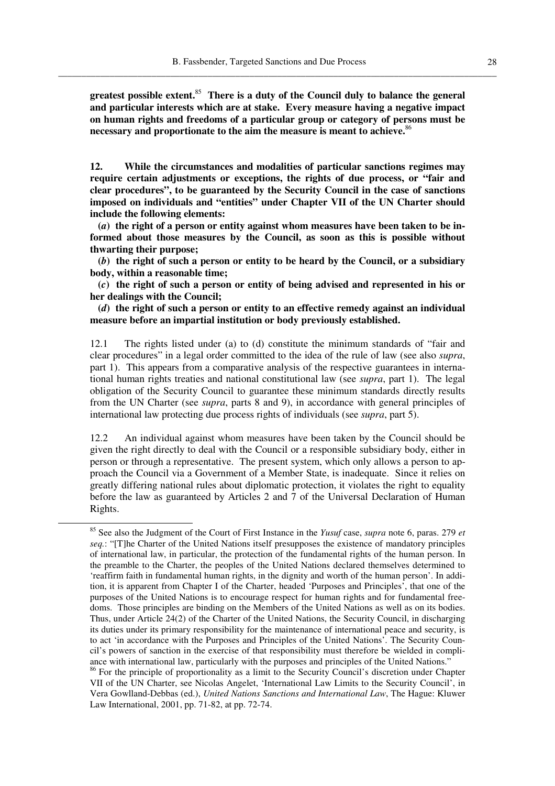**greatest possible extent.**<sup>85</sup> **There is a duty of the Council duly to balance the general and particular interests which are at stake. Every measure having a negative impact on human rights and freedoms of a particular group or category of persons must be necessary and proportionate to the aim the measure is meant to achieve.**<sup>86</sup>

\_\_\_\_\_\_\_\_\_\_\_\_\_\_\_\_\_\_\_\_\_\_\_\_\_\_\_\_\_\_\_\_\_\_\_\_\_\_\_\_\_\_\_\_\_\_\_\_\_\_\_\_\_\_\_\_\_\_\_\_\_\_\_\_\_\_\_\_\_\_\_\_\_\_\_\_\_\_\_\_\_\_\_\_\_\_\_\_\_\_\_\_\_\_

**12. While the circumstances and modalities of particular sanctions regimes may require certain adjustments or exceptions, the rights of due process, or "fair and clear procedures", to be guaranteed by the Security Council in the case of sanctions imposed on individuals and "entities" under Chapter VII of the UN Charter should include the following elements:**

**(***a***) the right of a person or entity against whom measures have been taken to be informed about those measures by the Council, as soon as this is possible without thwarting their purpose;**

**(***b***) the right of such a person or entity to be heard by the Council, or a subsidiary body, within a reasonable time;**

**(***c***) the right of such a person or entity of being advised and represented in his or her dealings with the Council;**

**(***d***) the right of such a person or entity to an effective remedy against an individual measure before an impartial institution or body previously established.**

12.1 The rights listed under (a) to (d) constitute the minimum standards of "fair and clear procedures" in a legal order committed to the idea of the rule of law (see also *supra*, part 1). This appears from a comparative analysis of the respective guarantees in international human rights treaties and national constitutional law (see *supra*, part 1). The legal obligation of the Security Council to guarantee these minimum standards directly results from the UN Charter (see *supra*, parts 8 and 9), in accordance with general principles of international law protecting due process rights of individuals (see *supra*, part 5).

12.2 An individual against whom measures have been taken by the Council should be given the right directly to deal with the Council or a responsible subsidiary body, either in person or through a representative. The present system, which only allows a person to approach the Council via a Government of a Member State, is inadequate. Since it relies on greatly differing national rules about diplomatic protection, it violates the right to equality before the law as guaranteed by Articles 2 and 7 of the Universal Declaration of Human Rights.

<sup>85</sup> See also the Judgment of the Court of First Instance in the *Yusuf* case, *supra* note 6, paras. 279 *et seq.*: "[T]he Charter of the United Nations itself presupposes the existence of mandatory principles of international law, in particular, the protection of the fundamental rights of the human person. In the preamble to the Charter, the peoples of the United Nations declared themselves determined to 'reaffirm faith in fundamental human rights, in the dignity and worth of the human person'. In addition, it is apparent from Chapter I of the Charter, headed 'Purposes and Principles', that one of the purposes of the United Nations is to encourage respect for human rights and for fundamental freedoms. Those principles are binding on the Members of the United Nations as well as on its bodies. Thus, under Article 24(2) of the Charter of the United Nations, the Security Council, in discharging its duties under its primary responsibility for the maintenance of international peace and security, is to act 'in accordance with the Purposes and Principles of the United Nations'. The Security Council's powers of sanction in the exercise of that responsibility must therefore be wielded in compliance with international law, particularly with the purposes and principles of the United Nations."

<sup>&</sup>lt;sup>86</sup> For the principle of proportionality as a limit to the Security Council's discretion under Chapter VII of the UN Charter, see Nicolas Angelet, 'International Law Limits to the Security Council', in Vera Gowlland-Debbas (ed.), *United Nations Sanctions and International Law*, The Hague: Kluwer Law International, 2001, pp. 71-82, at pp. 72-74.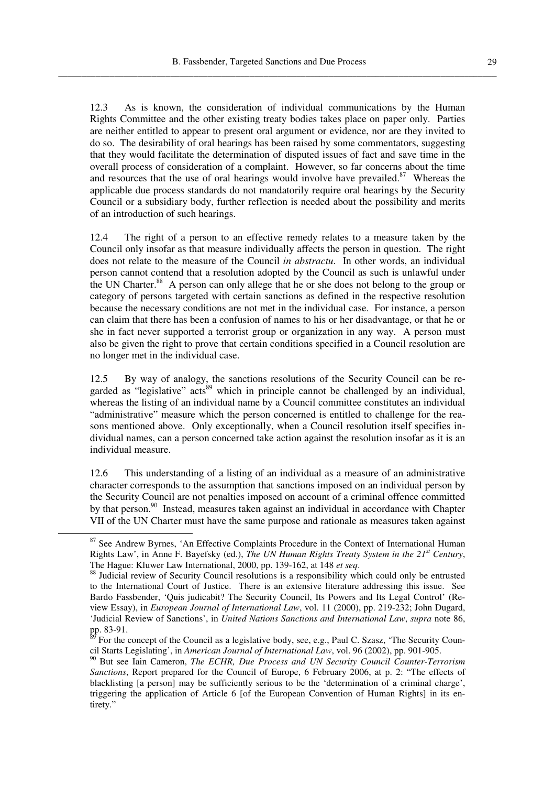12.3 As is known, the consideration of individual communications by the Human Rights Committee and the other existing treaty bodies takes place on paper only. Parties are neither entitled to appear to present oral argument or evidence, nor are they invited to do so. The desirability of oral hearings has been raised by some commentators, suggesting that they would facilitate the determination of disputed issues of fact and save time in the overall process of consideration of a complaint. However, so far concerns about the time and resources that the use of oral hearings would involve have prevailed. $87$  Whereas the applicable due process standards do not mandatorily require oral hearings by the Security Council or a subsidiary body, further reflection is needed about the possibility and merits of an introduction of such hearings.

12.4 The right of a person to an effective remedy relates to a measure taken by the Council only insofar as that measure individually affects the person in question. The right does not relate to the measure of the Council *in abstractu*. In other words, an individual person cannot contend that a resolution adopted by the Council as such is unlawful under the UN Charter.<sup>88</sup> A person can only allege that he or she does not belong to the group or category of persons targeted with certain sanctions as defined in the respective resolution because the necessary conditions are not met in the individual case. For instance, a person can claim that there has been a confusion of names to his or her disadvantage, or that he or she in fact never supported a terrorist group or organization in any way. A person must also be given the right to prove that certain conditions specified in a Council resolution are no longer met in the individual case.

12.5 By way of analogy, the sanctions resolutions of the Security Council can be regarded as "legislative" acts<sup>89</sup> which in principle cannot be challenged by an individual, whereas the listing of an individual name by a Council committee constitutes an individual "administrative" measure which the person concerned is entitled to challenge for the reasons mentioned above. Only exceptionally, when a Council resolution itself specifies individual names, can a person concerned take action against the resolution insofar as it is an individual measure.

12.6 This understanding of a listing of an individual as a measure of an administrative character corresponds to the assumption that sanctions imposed on an individual person by the Security Council are not penalties imposed on account of a criminal offence committed by that person.<sup>90</sup> Instead, measures taken against an individual in accordance with Chapter VII of the UN Charter must have the same purpose and rationale as measures taken against

 $\overline{a}$ 

<sup>&</sup>lt;sup>87</sup> See Andrew Byrnes, 'An Effective Complaints Procedure in the Context of International Human Rights Law', in Anne F. Bayefsky (ed.), *The UN Human Rights Treaty System in the 21st Century*, The Hague: Kluwer Law International, 2000, pp. 139-162, at 148 *et seq*.

<sup>&</sup>lt;sup>88</sup> Judicial review of Security Council resolutions is a responsibility which could only be entrusted to the International Court of Justice. There is an extensive literature addressing this issue. See Bardo Fassbender, 'Quis judicabit? The Security Council, Its Powers and Its Legal Control' (Review Essay), in *European Journal of International Law*, vol. 11 (2000), pp. 219-232; John Dugard, 'Judicial Review of Sanctions', in *United Nations Sanctions and International Law*, *supra* note 86, pp. 83-91.

<sup>89</sup> For the concept of the Council as a legislative body, see, e.g., Paul C. Szasz, 'The Security Council Starts Legislating', in *American Journal of International Law*, vol. 96 (2002), pp. 901-905.

<sup>90</sup> But see Iain Cameron, *The ECHR, Due Process and UN Security Council Counter-Terrorism Sanctions*, Report prepared for the Council of Europe, 6 February 2006, at p. 2: "The effects of blacklisting [a person] may be sufficiently serious to be the 'determination of a criminal charge', triggering the application of Article 6 [of the European Convention of Human Rights] in its entirety."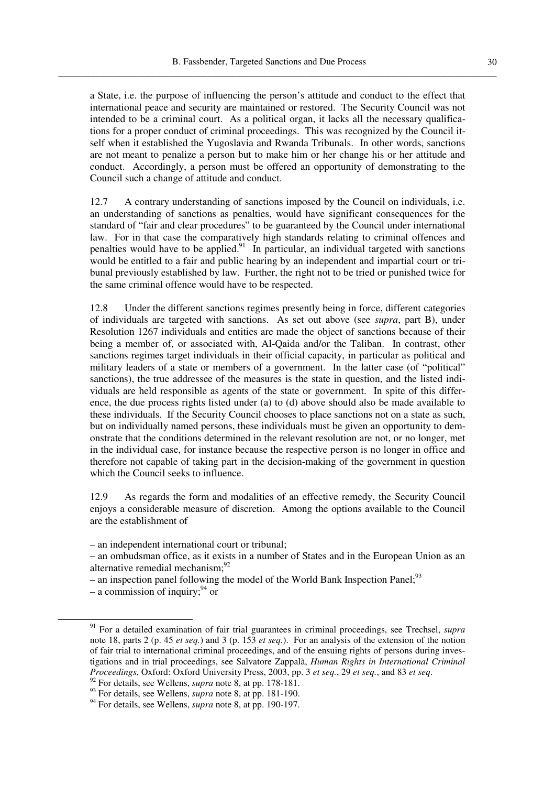a State, i.e. the purpose of influencing the person's attitude and conduct to the effect that international peace and security are maintained or restored. The Security Council was not intended to be a criminal court. As a political organ, it lacks all the necessary qualifications for a proper conduct of criminal proceedings. This was recognized by the Council itself when it established the Yugoslavia and Rwanda Tribunals. In other words, sanctions are not meant to penalize a person but to make him or her change his or her attitude and conduct. Accordingly, a person must be offered an opportunity of demonstrating to the Council such a change of attitude and conduct.

12.7 A contrary understanding of sanctions imposed by the Council on individuals, i.e. an understanding of sanctions as penalties, would have significant consequences for the standard of "fair and clear procedures" to be guaranteed by the Council under international law. For in that case the comparatively high standards relating to criminal offences and penalties would have to be applied.<sup>91</sup> In particular, an individual targeted with sanctions would be entitled to a fair and public hearing by an independent and impartial court or tribunal previously established by law. Further, the right not to be tried or punished twice for the same criminal offence would have to be respected.

12.8 Under the different sanctions regimes presently being in force, different categories of individuals are targeted with sanctions. As set out above (see *supra*, part B), under Resolution 1267 individuals and entities are made the object of sanctions because of their being a member of, or associated with, Al-Qaida and/or the Taliban. In contrast, other sanctions regimes target individuals in their official capacity, in particular as political and military leaders of a state or members of a government. In the latter case (of "political" sanctions), the true addressee of the measures is the state in question, and the listed individuals are held responsible as agents of the state or government. In spite of this difference, the due process rights listed under (a) to (d) above should also be made available to these individuals. If the Security Council chooses to place sanctions not on a state as such, but on individually named persons, these individuals must be given an opportunity to demonstrate that the conditions determined in the relevant resolution are not, or no longer, met in the individual case, for instance because the respective person is no longer in office and therefore not capable of taking part in the decision-making of the government in question which the Council seeks to influence.

12.9 As regards the form and modalities of an effective remedy, the Security Council enjoys a considerable measure of discretion. Among the options available to the Council are the establishment of

- an independent international court or tribunal;
- an ombudsman office, as it exists in a number of States and in the European Union as an alternative remedial mechanism;<sup>92</sup>

– an inspection panel following the model of the World Bank Inspection Panel;<sup>93</sup>

– a commission of inquiry;  $94$  or

<sup>91</sup> For a detailed examination of fair trial guarantees in criminal proceedings, see Trechsel, *supra* note 18, parts 2 (p. 45 *et seq.*) and 3 (p. 153 *et seq.*). For an analysis of the extension of the notion of fair trial to international criminal proceedings, and of the ensuing rights of persons during investigations and in trial proceedings, see Salvatore Zappalà, *Human Rights in International Criminal Proceedings*, Oxford: Oxford University Press, 2003, pp. 3 *et seq.*, 29 *et seq.*, and 83 *et seq*.

<sup>92</sup> For details, see Wellens, *supra* note 8, at pp. 178-181.

<sup>93</sup> For details, see Wellens, *supra* note 8, at pp. 181-190.

<sup>94</sup> For details, see Wellens, *supra* note 8, at pp. 190-197.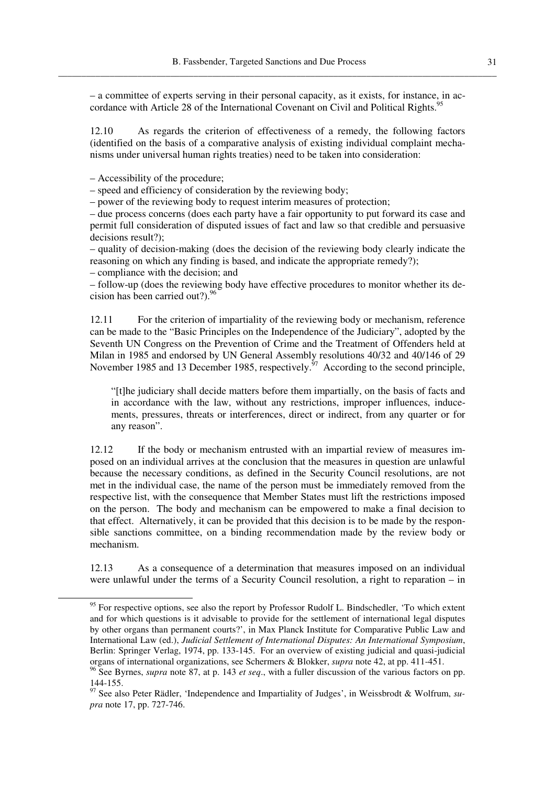– a committee of experts serving in their personal capacity, as it exists, for instance, in accordance with Article 28 of the International Covenant on Civil and Political Rights.<sup>95</sup>

\_\_\_\_\_\_\_\_\_\_\_\_\_\_\_\_\_\_\_\_\_\_\_\_\_\_\_\_\_\_\_\_\_\_\_\_\_\_\_\_\_\_\_\_\_\_\_\_\_\_\_\_\_\_\_\_\_\_\_\_\_\_\_\_\_\_\_\_\_\_\_\_\_\_\_\_\_\_\_\_\_\_\_\_\_\_\_\_\_\_\_\_\_\_

12.10 As regards the criterion of effectiveness of a remedy, the following factors (identified on the basis of a comparative analysis of existing individual complaint mechanisms under universal human rights treaties) need to be taken into consideration:

– Accessibility of the procedure;

– speed and efficiency of consideration by the reviewing body;

– power of the reviewing body to request interim measures of protection;

– due process concerns (does each party have a fair opportunity to put forward its case and permit full consideration of disputed issues of fact and law so that credible and persuasive decisions result?);

– quality of decision-making (does the decision of the reviewing body clearly indicate the reasoning on which any finding is based, and indicate the appropriate remedy?);

– compliance with the decision; and

 $\overline{a}$ 

– follow-up (does the reviewing body have effective procedures to monitor whether its decision has been carried out? $.96$ 

12.11 For the criterion of impartiality of the reviewing body or mechanism, reference can be made to the "Basic Principles on the Independence of the Judiciary", adopted by the Seventh UN Congress on the Prevention of Crime and the Treatment of Offenders held at Milan in 1985 and endorsed by UN General Assembly resolutions 40/32 and 40/146 of 29 November 1985 and 13 December 1985, respectively.<sup>97</sup> According to the second principle,

"[t]he judiciary shall decide matters before them impartially, on the basis of facts and in accordance with the law, without any restrictions, improper influences, inducements, pressures, threats or interferences, direct or indirect, from any quarter or for any reason".

12.12 If the body or mechanism entrusted with an impartial review of measures imposed on an individual arrives at the conclusion that the measures in question are unlawful because the necessary conditions, as defined in the Security Council resolutions, are not met in the individual case, the name of the person must be immediately removed from the respective list, with the consequence that Member States must lift the restrictions imposed on the person. The body and mechanism can be empowered to make a final decision to that effect. Alternatively, it can be provided that this decision is to be made by the responsible sanctions committee, on a binding recommendation made by the review body or mechanism.

12.13 As a consequence of a determination that measures imposed on an individual were unlawful under the terms of a Security Council resolution, a right to reparation – in

 $95$  For respective options, see also the report by Professor Rudolf L. Bindschedler, 'To which extent and for which questions is it advisable to provide for the settlement of international legal disputes by other organs than permanent courts?', in Max Planck Institute for Comparative Public Law and International Law (ed.), *Judicial Settlement of International Disputes: An International Symposium*, Berlin: Springer Verlag, 1974, pp. 133-145. For an overview of existing judicial and quasi-judicial organs of international organizations, see Schermers & Blokker, *supra* note 42, at pp. 411-451.

<sup>96</sup> See Byrnes, *supra* note 87, at p. 143 *et seq*., with a fuller discussion of the various factors on pp. 144-155.

<sup>97</sup> See also Peter Rädler, 'Independence and Impartiality of Judges', in Weissbrodt & Wolfrum, *supra* note 17, pp. 727-746.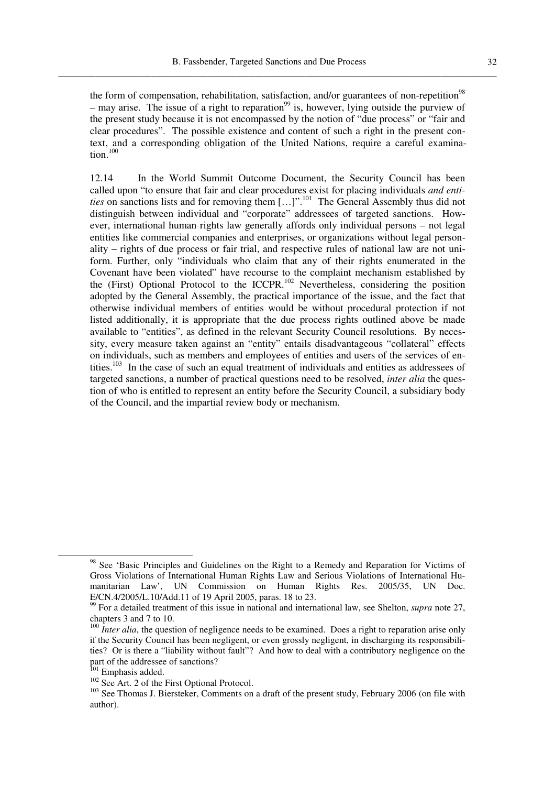the form of compensation, rehabilitation, satisfaction, and/or guarantees of non-repetition<sup>98</sup> – may arise. The issue of a right to reparation<sup>99</sup> is, however, lying outside the purview of the present study because it is not encompassed by the notion of "due process" or "fair and clear procedures". The possible existence and content of such a right in the present context, and a corresponding obligation of the United Nations, require a careful examination. $100$ 

12.14 In the World Summit Outcome Document, the Security Council has been called upon "to ensure that fair and clear procedures exist for placing individuals *and entities* on sanctions lists and for removing them [...]".<sup>101</sup> The General Assembly thus did not distinguish between individual and "corporate" addressees of targeted sanctions. However, international human rights law generally affords only individual persons – not legal entities like commercial companies and enterprises, or organizations without legal personality – rights of due process or fair trial, and respective rules of national law are not uniform. Further, only "individuals who claim that any of their rights enumerated in the Covenant have been violated" have recourse to the complaint mechanism established by the (First) Optional Protocol to the ICCPR.<sup>102</sup> Nevertheless, considering the position adopted by the General Assembly, the practical importance of the issue, and the fact that otherwise individual members of entities would be without procedural protection if not listed additionally, it is appropriate that the due process rights outlined above be made available to "entities", as defined in the relevant Security Council resolutions. By necessity, every measure taken against an "entity" entails disadvantageous "collateral" effects on individuals, such as members and employees of entities and users of the services of entities.<sup>103</sup> In the case of such an equal treatment of individuals and entities as addressees of targeted sanctions, a number of practical questions need to be resolved, *inter alia* the question of who is entitled to represent an entity before the Security Council, a subsidiary body of the Council, and the impartial review body or mechanism.

<sup>&</sup>lt;sup>98</sup> See 'Basic Principles and Guidelines on the Right to a Remedy and Reparation for Victims of Gross Violations of International Human Rights Law and Serious Violations of International Humanitarian Law', UN Commission on Human Rights Res. 2005/35, UN Doc. E/CN.4/2005/L.10/Add.11 of 19 April 2005, paras. 18 to 23.

<sup>99</sup> For a detailed treatment of this issue in national and international law, see Shelton, *supra* note 27, chapters 3 and 7 to 10.

<sup>&</sup>lt;sup>100</sup> *Inter alia*, the question of negligence needs to be examined. Does a right to reparation arise only if the Security Council has been negligent, or even grossly negligent, in discharging its responsibilities? Or is there a "liability without fault"? And how to deal with a contributory negligence on the part of the addressee of sanctions?

<sup>&</sup>lt;sup>101</sup> Emphasis added.

 $102$  See Art. 2 of the First Optional Protocol.

<sup>&</sup>lt;sup>103</sup> See Thomas J. Biersteker, Comments on a draft of the present study, February 2006 (on file with author).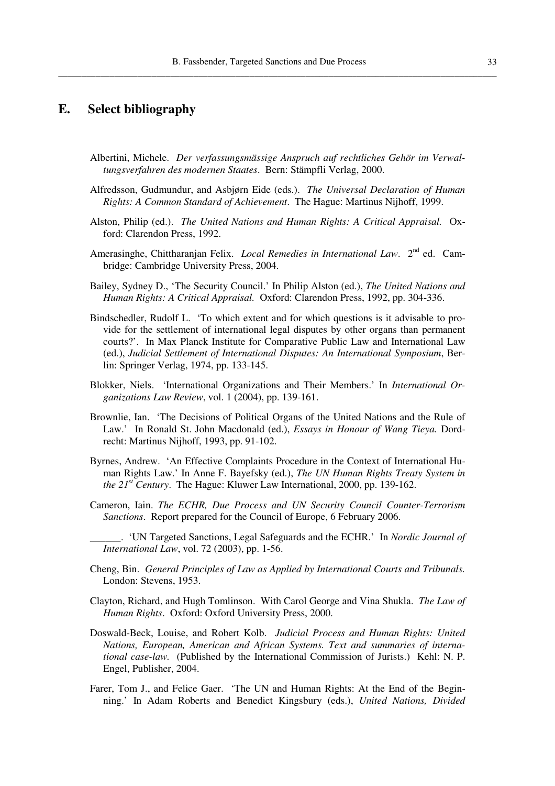## **E. Select bibliography**

- Albertini, Michele. *Der verfassungsmässige Anspruch auf rechtliches Gehör im Verwaltungsverfahren des modernen Staates*. Bern: Stämpfli Verlag, 2000.
- Alfredsson, Gudmundur, and Asbjørn Eide (eds.). *The Universal Declaration of Human Rights: A Common Standard of Achievement*. The Hague: Martinus Nijhoff, 1999.
- Alston, Philip (ed.). *The United Nations and Human Rights: A Critical Appraisal.* Oxford: Clarendon Press, 1992.
- Amerasinghe, Chittharanian Felix. *Local Remedies in International Law*. 2<sup>nd</sup> ed. Cambridge: Cambridge University Press, 2004.
- Bailey, Sydney D., 'The Security Council.' In Philip Alston (ed.), *The United Nations and Human Rights: A Critical Appraisal.* Oxford: Clarendon Press, 1992, pp. 304-336.
- Bindschedler, Rudolf L. 'To which extent and for which questions is it advisable to provide for the settlement of international legal disputes by other organs than permanent courts?'. In Max Planck Institute for Comparative Public Law and International Law (ed.), *Judicial Settlement of International Disputes: An International Symposium*, Berlin: Springer Verlag, 1974, pp. 133-145.
- Blokker, Niels. 'International Organizations and Their Members.' In *International Organizations Law Review*, vol. 1 (2004), pp. 139-161.
- Brownlie, Ian. 'The Decisions of Political Organs of the United Nations and the Rule of Law.' In Ronald St. John Macdonald (ed.), *Essays in Honour of Wang Tieya.* Dordrecht: Martinus Nijhoff, 1993, pp. 91-102.
- Byrnes, Andrew. 'An Effective Complaints Procedure in the Context of International Human Rights Law.' In Anne F. Bayefsky (ed.), *The UN Human Rights Treaty System in the 21st Century*. The Hague: Kluwer Law International, 2000, pp. 139-162.
- Cameron, Iain. *The ECHR, Due Process and UN Security Council Counter-Terrorism Sanctions*. Report prepared for the Council of Europe, 6 February 2006.
	- \_\_\_\_\_\_. 'UN Targeted Sanctions, Legal Safeguards and the ECHR.' In *Nordic Journal of International Law*, vol. 72 (2003), pp. 1-56.
- Cheng, Bin. *General Principles of Law as Applied by International Courts and Tribunals.* London: Stevens, 1953.
- Clayton, Richard, and Hugh Tomlinson. With Carol George and Vina Shukla. *The Law of Human Rights*. Oxford: Oxford University Press, 2000.
- Doswald-Beck, Louise, and Robert Kolb. *Judicial Process and Human Rights: United Nations, European, American and African Systems. Text and summaries of international case-law.* (Published by the International Commission of Jurists.) Kehl: N. P. Engel, Publisher, 2004.
- Farer, Tom J., and Felice Gaer. 'The UN and Human Rights: At the End of the Beginning.' In Adam Roberts and Benedict Kingsbury (eds.), *United Nations, Divided*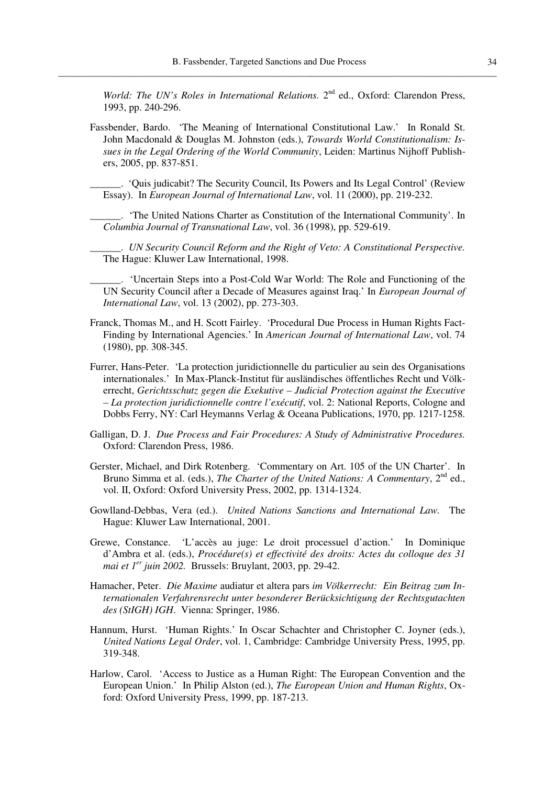*World: The UN's Roles in International Relations.* 2<sup>nd</sup> ed., Oxford: Clarendon Press, 1993, pp. 240-296.

Fassbender, Bardo. 'The Meaning of International Constitutional Law.' In Ronald St. John Macdonald & Douglas M. Johnston (eds.), *Towards World Constitutionalism: Issues in the Legal Ordering of the World Community*, Leiden: Martinus Nijhoff Publishers, 2005, pp. 837-851.

\_\_\_\_\_\_. 'Quis judicabit? The Security Council, Its Powers and Its Legal Control' (Review Essay). In *European Journal of International Law*, vol. 11 (2000), pp. 219-232.

\_\_\_\_\_\_. 'The United Nations Charter as Constitution of the International Community'. In *Columbia Journal of Transnational Law*, vol. 36 (1998), pp. 529-619.

\_\_\_\_\_\_. *UN Security Council Reform and the Right of Veto: A Constitutional Perspective.* The Hague: Kluwer Law International, 1998.

\_\_\_\_\_\_. 'Uncertain Steps into a Post-Cold War World: The Role and Functioning of the UN Security Council after a Decade of Measures against Iraq.' In *European Journal of International Law*, vol. 13 (2002), pp. 273-303.

- Franck, Thomas M., and H. Scott Fairley. 'Procedural Due Process in Human Rights Fact-Finding by International Agencies.' In *American Journal of International Law*, vol. 74 (1980), pp. 308-345.
- Furrer, Hans-Peter. 'La protection juridictionnelle du particulier au sein des Organisations internationales.' In Max-Planck-Institut für ausländisches öffentliches Recht und Völkerrecht, *Gerichtsschutz gegen die Exekutive – Judicial Protection against the Executive – La protection juridictionnelle contre l'exécutif*, vol. 2: National Reports, Cologne and Dobbs Ferry, NY: Carl Heymanns Verlag & Oceana Publications, 1970, pp. 1217-1258.
- Galligan, D. J. *Due Process and Fair Procedures: A Study of Administrative Procedures.* Oxford: Clarendon Press, 1986.
- Gerster, Michael, and Dirk Rotenberg. 'Commentary on Art. 105 of the UN Charter'. In Bruno Simma et al. (eds.), *The Charter of the United Nations: A Commentary*,  $2^{nd}$  ed., vol. II, Oxford: Oxford University Press, 2002, pp. 1314-1324.
- Gowlland-Debbas, Vera (ed.). *United Nations Sanctions and International Law.* The Hague: Kluwer Law International, 2001.
- Grewe, Constance. 'L'accès au juge: Le droit processuel d'action.' In Dominique d'Ambra et al. (eds.), *Procédure(s) et effectivité des droits: Actes du colloque des 31 mai et 1er juin 2002.* Brussels: Bruylant, 2003, pp. 29-42.
- Hamacher, Peter. *Die Maxime* audiatur et altera pars *im Völkerrecht: Ein Beitrag zum Internationalen Verfahrensrecht unter besonderer Berücksichtigung der Rechtsgutachten des (StIGH) IGH*. Vienna: Springer, 1986.
- Hannum, Hurst. 'Human Rights.' In Oscar Schachter and Christopher C. Joyner (eds.), *United Nations Legal Order*, vol. 1, Cambridge: Cambridge University Press, 1995, pp. 319-348.
- Harlow, Carol. 'Access to Justice as a Human Right: The European Convention and the European Union.' In Philip Alston (ed.), *The European Union and Human Rights*, Oxford: Oxford University Press, 1999, pp. 187-213.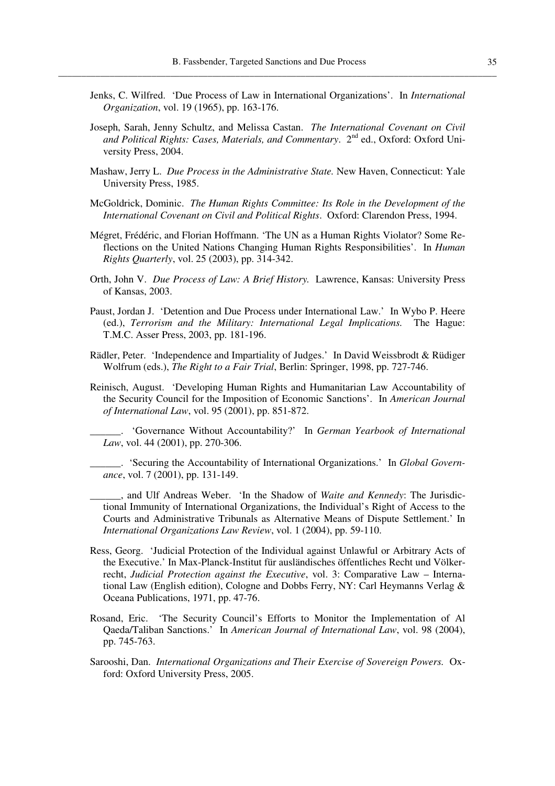Jenks, C. Wilfred. 'Due Process of Law in International Organizations'. In *International Organization*, vol. 19 (1965), pp. 163-176.

\_\_\_\_\_\_\_\_\_\_\_\_\_\_\_\_\_\_\_\_\_\_\_\_\_\_\_\_\_\_\_\_\_\_\_\_\_\_\_\_\_\_\_\_\_\_\_\_\_\_\_\_\_\_\_\_\_\_\_\_\_\_\_\_\_\_\_\_\_\_\_\_\_\_\_\_\_\_\_\_\_\_\_\_\_\_\_\_\_\_\_\_\_\_

- Joseph, Sarah, Jenny Schultz, and Melissa Castan. *The International Covenant on Civil* and Political Rights: Cases, Materials, and Commentary. 2<sup>nd</sup> ed., Oxford: Oxford University Press, 2004.
- Mashaw, Jerry L. *Due Process in the Administrative State.* New Haven, Connecticut: Yale University Press, 1985.
- McGoldrick, Dominic. *The Human Rights Committee: Its Role in the Development of the International Covenant on Civil and Political Rights*. Oxford: Clarendon Press, 1994.
- Mégret, Frédéric, and Florian Hoffmann. 'The UN as a Human Rights Violator? Some Reflections on the United Nations Changing Human Rights Responsibilities'. In *Human Rights Quarterly*, vol. 25 (2003), pp. 314-342.
- Orth, John V. *Due Process of Law: A Brief History.* Lawrence, Kansas: University Press of Kansas, 2003.
- Paust, Jordan J. 'Detention and Due Process under International Law.' In Wybo P. Heere (ed.), *Terrorism and the Military: International Legal Implications.* The Hague: T.M.C. Asser Press, 2003, pp. 181-196.
- Rädler, Peter. 'Independence and Impartiality of Judges.' In David Weissbrodt & Rüdiger Wolfrum (eds.), *The Right to a Fair Trial*, Berlin: Springer, 1998, pp. 727-746.
- Reinisch, August. 'Developing Human Rights and Humanitarian Law Accountability of the Security Council for the Imposition of Economic Sanctions'. In *American Journal of International Law*, vol. 95 (2001), pp. 851-872.

\_\_\_\_\_\_. 'Governance Without Accountability?' In *German Yearbook of International Law*, vol. 44 (2001), pp. 270-306.

\_\_\_\_\_\_. 'Securing the Accountability of International Organizations.' In *Global Governance*, vol. 7 (2001), pp. 131-149.

- \_\_\_\_\_\_, and Ulf Andreas Weber. 'In the Shadow of *Waite and Kennedy*: The Jurisdictional Immunity of International Organizations, the Individual's Right of Access to the Courts and Administrative Tribunals as Alternative Means of Dispute Settlement.' In *International Organizations Law Review*, vol. 1 (2004), pp. 59-110.
- Ress, Georg. 'Judicial Protection of the Individual against Unlawful or Arbitrary Acts of the Executive.' In Max-Planck-Institut für ausländisches öffentliches Recht und Völkerrecht, *Judicial Protection against the Executive*, vol. 3: Comparative Law – International Law (English edition), Cologne and Dobbs Ferry, NY: Carl Heymanns Verlag & Oceana Publications, 1971, pp. 47-76.
- Rosand, Eric. 'The Security Council's Efforts to Monitor the Implementation of Al Qaeda/Taliban Sanctions.' In *American Journal of International Law*, vol. 98 (2004), pp. 745-763.
- Sarooshi, Dan. *International Organizations and Their Exercise of Sovereign Powers.* Oxford: Oxford University Press, 2005.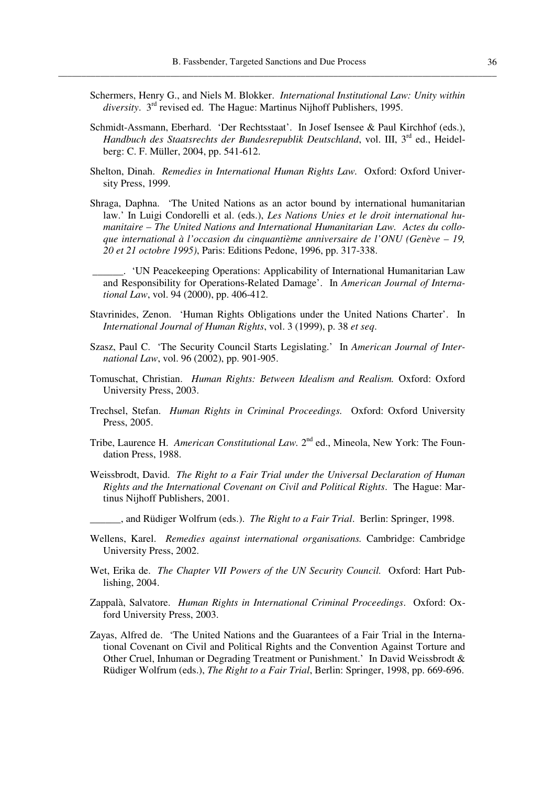Schermers, Henry G., and Niels M. Blokker. *International Institutional Law: Unity within diversity*. 3rd revised ed. The Hague: Martinus Nijhoff Publishers, 1995.

\_\_\_\_\_\_\_\_\_\_\_\_\_\_\_\_\_\_\_\_\_\_\_\_\_\_\_\_\_\_\_\_\_\_\_\_\_\_\_\_\_\_\_\_\_\_\_\_\_\_\_\_\_\_\_\_\_\_\_\_\_\_\_\_\_\_\_\_\_\_\_\_\_\_\_\_\_\_\_\_\_\_\_\_\_\_\_\_\_\_\_\_\_\_

- Schmidt-Assmann, Eberhard. 'Der Rechtsstaat'. In Josef Isensee & Paul Kirchhof (eds.), Handbuch des Staatsrechts der Bundesrepublik Deutschland, vol. III, 3<sup>rd</sup> ed., Heidelberg: C. F. Müller, 2004, pp. 541-612.
- Shelton, Dinah. *Remedies in International Human Rights Law.* Oxford: Oxford University Press, 1999.
- Shraga, Daphna. 'The United Nations as an actor bound by international humanitarian law.' In Luigi Condorelli et al. (eds.), *Les Nations Unies et le droit international humanitaire – The United Nations and International Humanitarian Law. Actes du colloque international à l'occasion du cinquantième anniversaire de l'ONU (Genève – 19, 20 et 21 octobre 1995)*, Paris: Editions Pedone, 1996, pp. 317-338.
	- \_\_\_\_\_\_. 'UN Peacekeeping Operations: Applicability of International Humanitarian Law and Responsibility for Operations-Related Damage'. In *American Journal of International Law*, vol. 94 (2000), pp. 406-412.
- Stavrinides, Zenon. 'Human Rights Obligations under the United Nations Charter'. In *International Journal of Human Rights*, vol. 3 (1999), p. 38 *et seq*.
- Szasz, Paul C. 'The Security Council Starts Legislating.' In *American Journal of International Law*, vol. 96 (2002), pp. 901-905.
- Tomuschat, Christian. *Human Rights: Between Idealism and Realism.* Oxford: Oxford University Press, 2003.
- Trechsel, Stefan. *Human Rights in Criminal Proceedings.* Oxford: Oxford University Press, 2005.
- Tribe, Laurence H. *American Constitutional Law.* 2<sup>nd</sup> ed., Mineola, New York: The Foundation Press, 1988.
- Weissbrodt, David. *The Right to a Fair Trial under the Universal Declaration of Human Rights and the International Covenant on Civil and Political Rights*. The Hague: Martinus Nijhoff Publishers, 2001.
	- \_\_\_\_\_\_, and Rüdiger Wolfrum (eds.). *The Right to a Fair Trial*. Berlin: Springer, 1998.
- Wellens, Karel. *Remedies against international organisations.* Cambridge: Cambridge University Press, 2002.
- Wet, Erika de. *The Chapter VII Powers of the UN Security Council.* Oxford: Hart Publishing, 2004.
- Zappalà, Salvatore. *Human Rights in International Criminal Proceedings*. Oxford: Oxford University Press, 2003.
- Zayas, Alfred de. 'The United Nations and the Guarantees of a Fair Trial in the International Covenant on Civil and Political Rights and the Convention Against Torture and Other Cruel, Inhuman or Degrading Treatment or Punishment.' In David Weissbrodt & Rüdiger Wolfrum (eds.), *The Right to a Fair Trial*, Berlin: Springer, 1998, pp. 669-696.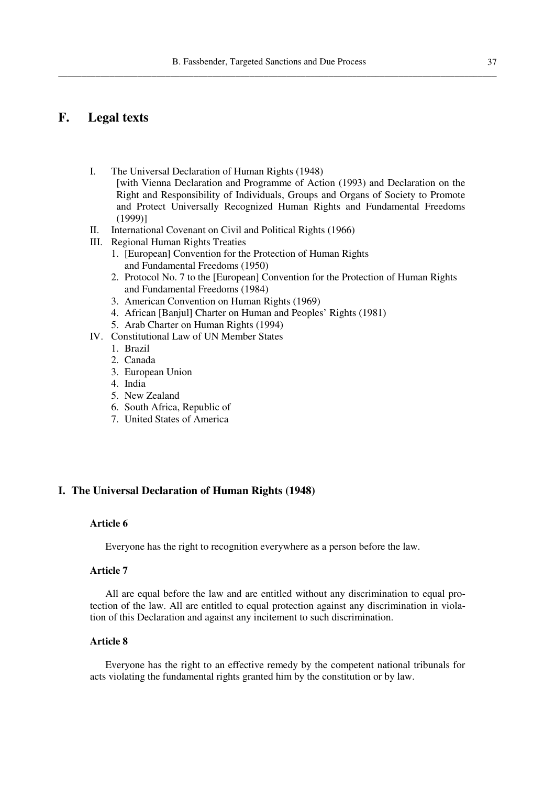## **F. Legal texts**

- I. The Universal Declaration of Human Rights (1948) [with Vienna Declaration and Programme of Action (1993) and Declaration on the Right and Responsibility of Individuals, Groups and Organs of Society to Promote and Protect Universally Recognized Human Rights and Fundamental Freedoms (1999)]
- II. International Covenant on Civil and Political Rights (1966)
- III. Regional Human Rights Treaties
	- 1. [European] Convention for the Protection of Human Rights and Fundamental Freedoms (1950)
	- 2. Protocol No. 7 to the [European] Convention for the Protection of Human Rights and Fundamental Freedoms (1984)
	- 3. American Convention on Human Rights (1969)
	- 4. African [Banjul] Charter on Human and Peoples' Rights (1981)
	- 5. Arab Charter on Human Rights (1994)
- IV. Constitutional Law of UN Member States
	- 1. Brazil
	- 2. Canada
	- 3. European Union
	- 4. India
	- 5. New Zealand
	- 6. South Africa, Republic of
	- 7. United States of America

## **I. The Universal Declaration of Human Rights (1948)**

#### **Article 6**

Everyone has the right to recognition everywhere as a person before the law.

## **Article 7**

 All are equal before the law and are entitled without any discrimination to equal protection of the law. All are entitled to equal protection against any discrimination in violation of this Declaration and against any incitement to such discrimination.

#### **Article 8**

 Everyone has the right to an effective remedy by the competent national tribunals for acts violating the fundamental rights granted him by the constitution or by law.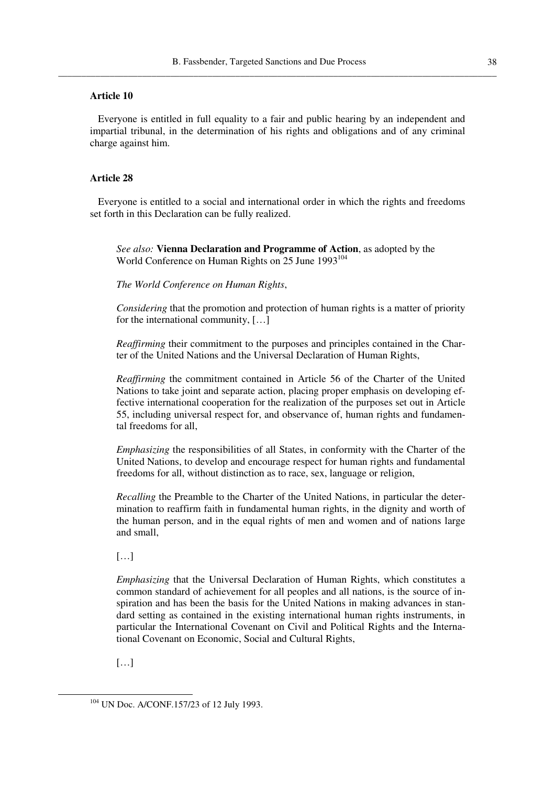#### **Article 10**

Everyone is entitled in full equality to a fair and public hearing by an independent and impartial tribunal, in the determination of his rights and obligations and of any criminal charge against him.

## **Article 28**

Everyone is entitled to a social and international order in which the rights and freedoms set forth in this Declaration can be fully realized.

*See also:* **Vienna Declaration and Programme of Action**, as adopted by the World Conference on Human Rights on 25 June 1993<sup>104</sup>

*The World Conference on Human Rights*,

*Considering* that the promotion and protection of human rights is a matter of priority for the international community, […]

*Reaffirming* their commitment to the purposes and principles contained in the Charter of the United Nations and the Universal Declaration of Human Rights,

*Reaffirming* the commitment contained in Article 56 of the Charter of the United Nations to take joint and separate action, placing proper emphasis on developing effective international cooperation for the realization of the purposes set out in Article 55, including universal respect for, and observance of, human rights and fundamental freedoms for all,

*Emphasizing* the responsibilities of all States, in conformity with the Charter of the United Nations, to develop and encourage respect for human rights and fundamental freedoms for all, without distinction as to race, sex, language or religion,

*Recalling* the Preamble to the Charter of the United Nations, in particular the determination to reaffirm faith in fundamental human rights, in the dignity and worth of the human person, and in the equal rights of men and women and of nations large and small,

 $[...]$ 

*Emphasizing* that the Universal Declaration of Human Rights, which constitutes a common standard of achievement for all peoples and all nations, is the source of inspiration and has been the basis for the United Nations in making advances in standard setting as contained in the existing international human rights instruments, in particular the International Covenant on Civil and Political Rights and the International Covenant on Economic, Social and Cultural Rights,

 $[...]$ 

<sup>&</sup>lt;sup>104</sup> UN Doc. A/CONF.157/23 of 12 July 1993.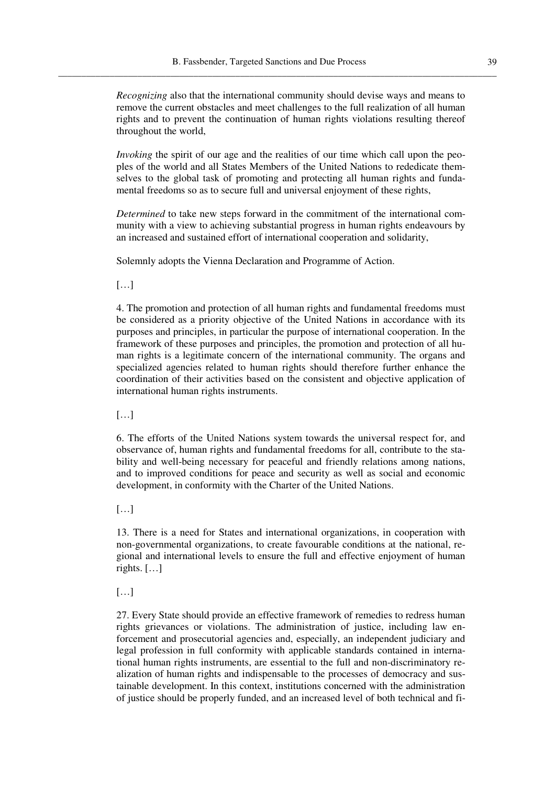*Recognizing* also that the international community should devise ways and means to remove the current obstacles and meet challenges to the full realization of all human rights and to prevent the continuation of human rights violations resulting thereof throughout the world,

*Invoking* the spirit of our age and the realities of our time which call upon the peoples of the world and all States Members of the United Nations to rededicate themselves to the global task of promoting and protecting all human rights and fundamental freedoms so as to secure full and universal enjoyment of these rights,

*Determined* to take new steps forward in the commitment of the international community with a view to achieving substantial progress in human rights endeavours by an increased and sustained effort of international cooperation and solidarity,

Solemnly adopts the Vienna Declaration and Programme of Action.

 $[\dots]$ 

4. The promotion and protection of all human rights and fundamental freedoms must be considered as a priority objective of the United Nations in accordance with its purposes and principles, in particular the purpose of international cooperation. In the framework of these purposes and principles, the promotion and protection of all human rights is a legitimate concern of the international community. The organs and specialized agencies related to human rights should therefore further enhance the coordination of their activities based on the consistent and objective application of international human rights instruments.

 $[\ldots]$ 

6. The efforts of the United Nations system towards the universal respect for, and observance of, human rights and fundamental freedoms for all, contribute to the stability and well-being necessary for peaceful and friendly relations among nations, and to improved conditions for peace and security as well as social and economic development, in conformity with the Charter of the United Nations.

 $[...]$ 

13. There is a need for States and international organizations, in cooperation with non-governmental organizations, to create favourable conditions at the national, regional and international levels to ensure the full and effective enjoyment of human rights. […]

[…]

27. Every State should provide an effective framework of remedies to redress human rights grievances or violations. The administration of justice, including law enforcement and prosecutorial agencies and, especially, an independent judiciary and legal profession in full conformity with applicable standards contained in international human rights instruments, are essential to the full and non-discriminatory realization of human rights and indispensable to the processes of democracy and sustainable development. In this context, institutions concerned with the administration of justice should be properly funded, and an increased level of both technical and fi-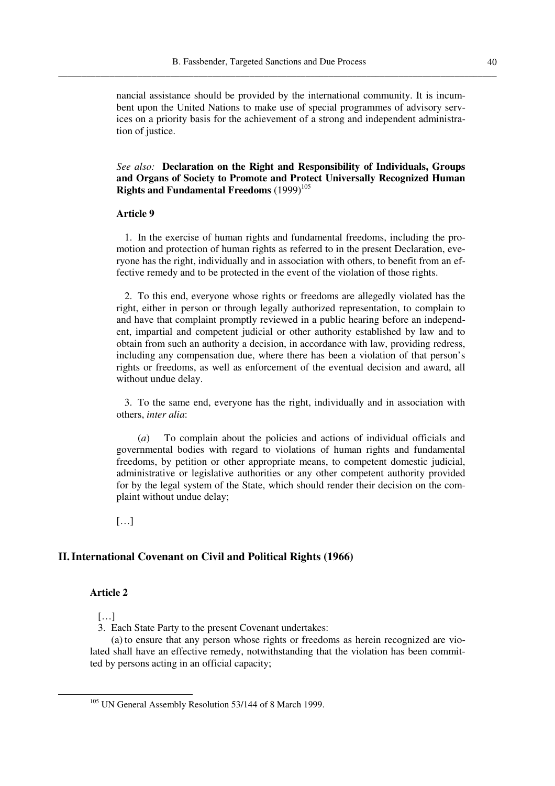nancial assistance should be provided by the international community. It is incumbent upon the United Nations to make use of special programmes of advisory services on a priority basis for the achievement of a strong and independent administration of justice.

*See also:* **Declaration on the Right and Responsibility of Individuals, Groups and Organs of Society to Promote and Protect Universally Recognized Human Rights and Fundamental Freedoms** (1999)<sup>105</sup>

#### **Article 9**

1. In the exercise of human rights and fundamental freedoms, including the promotion and protection of human rights as referred to in the present Declaration, everyone has the right, individually and in association with others, to benefit from an effective remedy and to be protected in the event of the violation of those rights.

2. To this end, everyone whose rights or freedoms are allegedly violated has the right, either in person or through legally authorized representation, to complain to and have that complaint promptly reviewed in a public hearing before an independent, impartial and competent judicial or other authority established by law and to obtain from such an authority a decision, in accordance with law, providing redress, including any compensation due, where there has been a violation of that person's rights or freedoms, as well as enforcement of the eventual decision and award, all without undue delay.

3. To the same end, everyone has the right, individually and in association with others, *inter alia*:

(*a*) To complain about the policies and actions of individual officials and governmental bodies with regard to violations of human rights and fundamental freedoms, by petition or other appropriate means, to competent domestic judicial, administrative or legislative authorities or any other competent authority provided for by the legal system of the State, which should render their decision on the complaint without undue delay;

[…]

## **II. International Covenant on Civil and Political Rights (1966)**

## **Article 2**

[…]

j

3. Each State Party to the present Covenant undertakes:

(a) to ensure that any person whose rights or freedoms as herein recognized are violated shall have an effective remedy, notwithstanding that the violation has been committed by persons acting in an official capacity;

<sup>&</sup>lt;sup>105</sup> UN General Assembly Resolution 53/144 of 8 March 1999.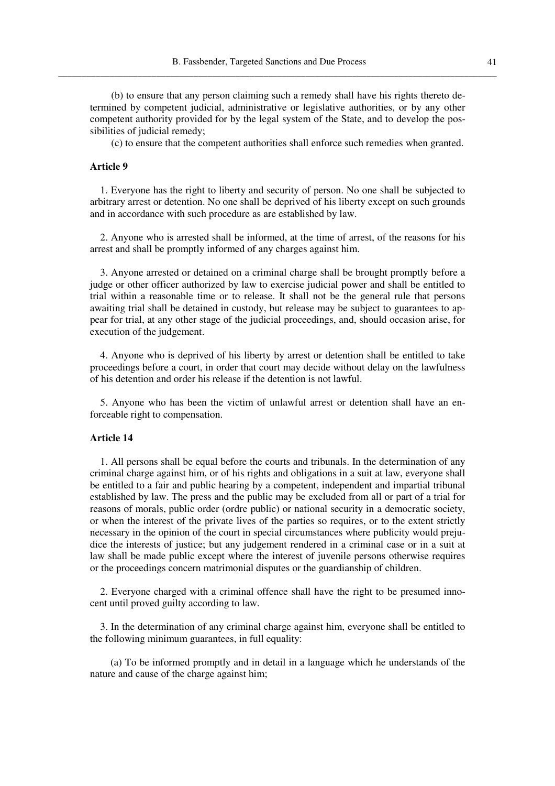(b) to ensure that any person claiming such a remedy shall have his rights thereto determined by competent judicial, administrative or legislative authorities, or by any other competent authority provided for by the legal system of the State, and to develop the possibilities of judicial remedy;

\_\_\_\_\_\_\_\_\_\_\_\_\_\_\_\_\_\_\_\_\_\_\_\_\_\_\_\_\_\_\_\_\_\_\_\_\_\_\_\_\_\_\_\_\_\_\_\_\_\_\_\_\_\_\_\_\_\_\_\_\_\_\_\_\_\_\_\_\_\_\_\_\_\_\_\_\_\_\_\_\_\_\_\_\_\_\_\_\_\_\_\_\_\_

(c) to ensure that the competent authorities shall enforce such remedies when granted.

#### **Article 9**

 1. Everyone has the right to liberty and security of person. No one shall be subjected to arbitrary arrest or detention. No one shall be deprived of his liberty except on such grounds and in accordance with such procedure as are established by law.

 2. Anyone who is arrested shall be informed, at the time of arrest, of the reasons for his arrest and shall be promptly informed of any charges against him.

 3. Anyone arrested or detained on a criminal charge shall be brought promptly before a judge or other officer authorized by law to exercise judicial power and shall be entitled to trial within a reasonable time or to release. It shall not be the general rule that persons awaiting trial shall be detained in custody, but release may be subject to guarantees to appear for trial, at any other stage of the judicial proceedings, and, should occasion arise, for execution of the judgement.

 4. Anyone who is deprived of his liberty by arrest or detention shall be entitled to take proceedings before a court, in order that court may decide without delay on the lawfulness of his detention and order his release if the detention is not lawful.

 5. Anyone who has been the victim of unlawful arrest or detention shall have an enforceable right to compensation.

#### **Article 14**

 1. All persons shall be equal before the courts and tribunals. In the determination of any criminal charge against him, or of his rights and obligations in a suit at law, everyone shall be entitled to a fair and public hearing by a competent, independent and impartial tribunal established by law. The press and the public may be excluded from all or part of a trial for reasons of morals, public order (ordre public) or national security in a democratic society, or when the interest of the private lives of the parties so requires, or to the extent strictly necessary in the opinion of the court in special circumstances where publicity would prejudice the interests of justice; but any judgement rendered in a criminal case or in a suit at law shall be made public except where the interest of juvenile persons otherwise requires or the proceedings concern matrimonial disputes or the guardianship of children.

 2. Everyone charged with a criminal offence shall have the right to be presumed innocent until proved guilty according to law.

 3. In the determination of any criminal charge against him, everyone shall be entitled to the following minimum guarantees, in full equality:

 (a) To be informed promptly and in detail in a language which he understands of the nature and cause of the charge against him;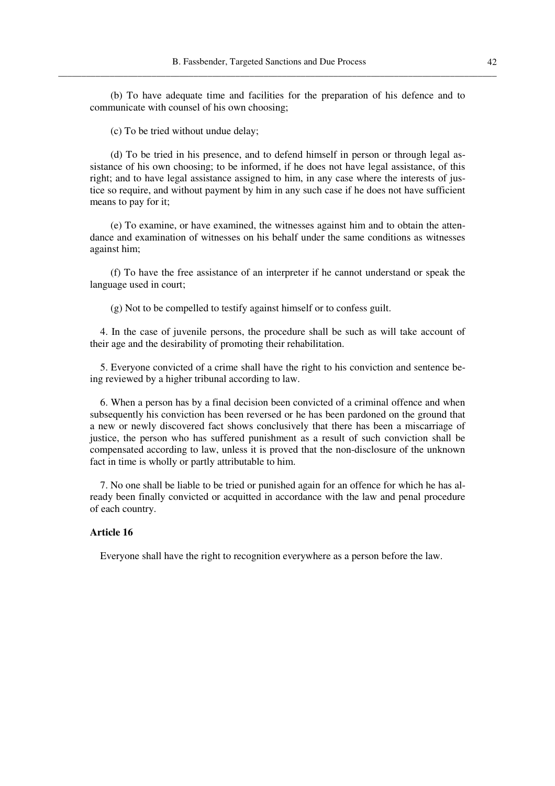(b) To have adequate time and facilities for the preparation of his defence and to communicate with counsel of his own choosing;

\_\_\_\_\_\_\_\_\_\_\_\_\_\_\_\_\_\_\_\_\_\_\_\_\_\_\_\_\_\_\_\_\_\_\_\_\_\_\_\_\_\_\_\_\_\_\_\_\_\_\_\_\_\_\_\_\_\_\_\_\_\_\_\_\_\_\_\_\_\_\_\_\_\_\_\_\_\_\_\_\_\_\_\_\_\_\_\_\_\_\_\_\_\_

(c) To be tried without undue delay;

 (d) To be tried in his presence, and to defend himself in person or through legal assistance of his own choosing; to be informed, if he does not have legal assistance, of this right; and to have legal assistance assigned to him, in any case where the interests of justice so require, and without payment by him in any such case if he does not have sufficient means to pay for it;

 (e) To examine, or have examined, the witnesses against him and to obtain the attendance and examination of witnesses on his behalf under the same conditions as witnesses against him;

 (f) To have the free assistance of an interpreter if he cannot understand or speak the language used in court;

(g) Not to be compelled to testify against himself or to confess guilt.

 4. In the case of juvenile persons, the procedure shall be such as will take account of their age and the desirability of promoting their rehabilitation.

 5. Everyone convicted of a crime shall have the right to his conviction and sentence being reviewed by a higher tribunal according to law.

 6. When a person has by a final decision been convicted of a criminal offence and when subsequently his conviction has been reversed or he has been pardoned on the ground that a new or newly discovered fact shows conclusively that there has been a miscarriage of justice, the person who has suffered punishment as a result of such conviction shall be compensated according to law, unless it is proved that the non-disclosure of the unknown fact in time is wholly or partly attributable to him.

 7. No one shall be liable to be tried or punished again for an offence for which he has already been finally convicted or acquitted in accordance with the law and penal procedure of each country.

#### **Article 16**

Everyone shall have the right to recognition everywhere as a person before the law.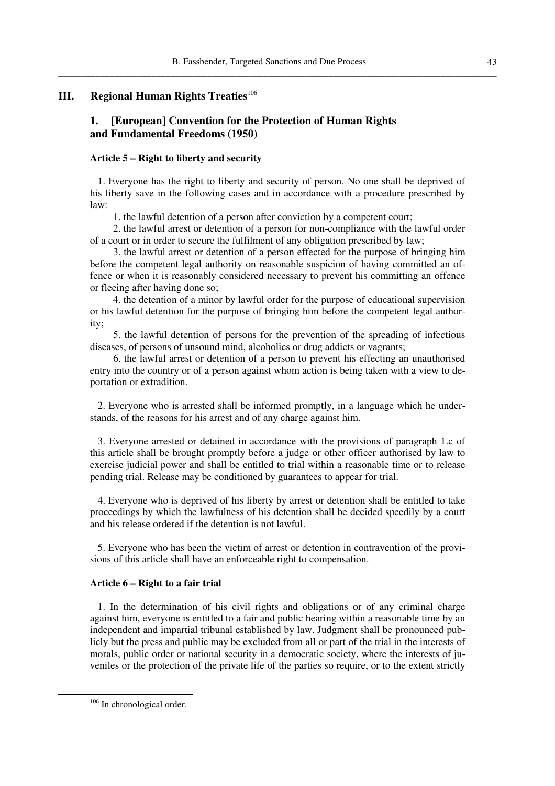## **III.** Regional Human Rights Treaties<sup>106</sup>

## **1. [European] Convention for the Protection of Human Rights and Fundamental Freedoms (1950)**

## **Article 5 – Right to liberty and security**

 1. Everyone has the right to liberty and security of person. No one shall be deprived of his liberty save in the following cases and in accordance with a procedure prescribed by law:

1. the lawful detention of a person after conviction by a competent court;

 2. the lawful arrest or detention of a person for non-compliance with the lawful order of a court or in order to secure the fulfilment of any obligation prescribed by law;

 3. the lawful arrest or detention of a person effected for the purpose of bringing him before the competent legal authority on reasonable suspicion of having committed an offence or when it is reasonably considered necessary to prevent his committing an offence or fleeing after having done so;

 4. the detention of a minor by lawful order for the purpose of educational supervision or his lawful detention for the purpose of bringing him before the competent legal authority;

 5. the lawful detention of persons for the prevention of the spreading of infectious diseases, of persons of unsound mind, alcoholics or drug addicts or vagrants;

 6. the lawful arrest or detention of a person to prevent his effecting an unauthorised entry into the country or of a person against whom action is being taken with a view to deportation or extradition.

 2. Everyone who is arrested shall be informed promptly, in a language which he understands, of the reasons for his arrest and of any charge against him.

 3. Everyone arrested or detained in accordance with the provisions of paragraph 1.c of this article shall be brought promptly before a judge or other officer authorised by law to exercise judicial power and shall be entitled to trial within a reasonable time or to release pending trial. Release may be conditioned by guarantees to appear for trial.

 4. Everyone who is deprived of his liberty by arrest or detention shall be entitled to take proceedings by which the lawfulness of his detention shall be decided speedily by a court and his release ordered if the detention is not lawful.

 5. Everyone who has been the victim of arrest or detention in contravention of the provisions of this article shall have an enforceable right to compensation.

#### **Article 6 – Right to a fair trial**

 1. In the determination of his civil rights and obligations or of any criminal charge against him, everyone is entitled to a fair and public hearing within a reasonable time by an independent and impartial tribunal established by law. Judgment shall be pronounced publicly but the press and public may be excluded from all or part of the trial in the interests of morals, public order or national security in a democratic society, where the interests of juveniles or the protection of the private life of the parties so require, or to the extent strictly

<sup>&</sup>lt;sup>106</sup> In chronological order.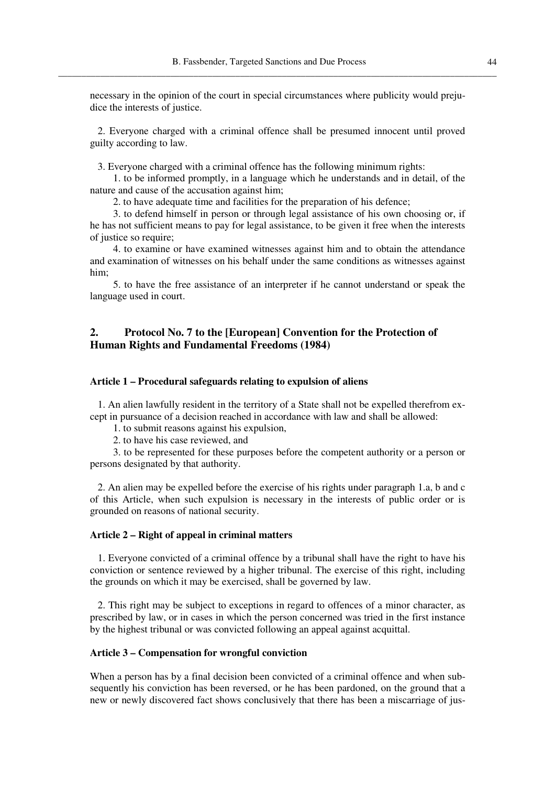necessary in the opinion of the court in special circumstances where publicity would prejudice the interests of justice.

\_\_\_\_\_\_\_\_\_\_\_\_\_\_\_\_\_\_\_\_\_\_\_\_\_\_\_\_\_\_\_\_\_\_\_\_\_\_\_\_\_\_\_\_\_\_\_\_\_\_\_\_\_\_\_\_\_\_\_\_\_\_\_\_\_\_\_\_\_\_\_\_\_\_\_\_\_\_\_\_\_\_\_\_\_\_\_\_\_\_\_\_\_\_

 2. Everyone charged with a criminal offence shall be presumed innocent until proved guilty according to law.

3. Everyone charged with a criminal offence has the following minimum rights:

 1. to be informed promptly, in a language which he understands and in detail, of the nature and cause of the accusation against him;

2. to have adequate time and facilities for the preparation of his defence;

 3. to defend himself in person or through legal assistance of his own choosing or, if he has not sufficient means to pay for legal assistance, to be given it free when the interests of justice so require;

 4. to examine or have examined witnesses against him and to obtain the attendance and examination of witnesses on his behalf under the same conditions as witnesses against him;

 5. to have the free assistance of an interpreter if he cannot understand or speak the language used in court.

## **2. Protocol No. 7 to the [European] Convention for the Protection of Human Rights and Fundamental Freedoms (1984)**

#### **Article 1 – Procedural safeguards relating to expulsion of aliens**

1. An alien lawfully resident in the territory of a State shall not be expelled therefrom except in pursuance of a decision reached in accordance with law and shall be allowed:

1. to submit reasons against his expulsion,

2. to have his case reviewed, and

 3. to be represented for these purposes before the competent authority or a person or persons designated by that authority.

 2. An alien may be expelled before the exercise of his rights under paragraph 1.a, b and c of this Article, when such expulsion is necessary in the interests of public order or is grounded on reasons of national security.

#### **Article 2 – Right of appeal in criminal matters**

 1. Everyone convicted of a criminal offence by a tribunal shall have the right to have his conviction or sentence reviewed by a higher tribunal. The exercise of this right, including the grounds on which it may be exercised, shall be governed by law.

 2. This right may be subject to exceptions in regard to offences of a minor character, as prescribed by law, or in cases in which the person concerned was tried in the first instance by the highest tribunal or was convicted following an appeal against acquittal.

#### **Article 3 – Compensation for wrongful conviction**

When a person has by a final decision been convicted of a criminal offence and when subsequently his conviction has been reversed, or he has been pardoned, on the ground that a new or newly discovered fact shows conclusively that there has been a miscarriage of jus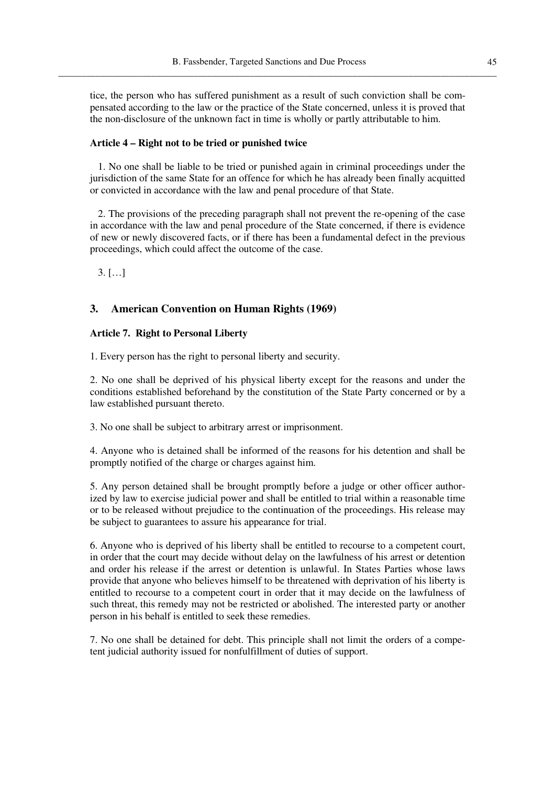tice, the person who has suffered punishment as a result of such conviction shall be compensated according to the law or the practice of the State concerned, unless it is proved that the non-disclosure of the unknown fact in time is wholly or partly attributable to him.

\_\_\_\_\_\_\_\_\_\_\_\_\_\_\_\_\_\_\_\_\_\_\_\_\_\_\_\_\_\_\_\_\_\_\_\_\_\_\_\_\_\_\_\_\_\_\_\_\_\_\_\_\_\_\_\_\_\_\_\_\_\_\_\_\_\_\_\_\_\_\_\_\_\_\_\_\_\_\_\_\_\_\_\_\_\_\_\_\_\_\_\_\_\_

## **Article 4 – Right not to be tried or punished twice**

1. No one shall be liable to be tried or punished again in criminal proceedings under the jurisdiction of the same State for an offence for which he has already been finally acquitted or convicted in accordance with the law and penal procedure of that State.

2. The provisions of the preceding paragraph shall not prevent the re-opening of the case in accordance with the law and penal procedure of the State concerned, if there is evidence of new or newly discovered facts, or if there has been a fundamental defect in the previous proceedings, which could affect the outcome of the case.

3. […]

## **3. American Convention on Human Rights (1969)**

## **Article 7. Right to Personal Liberty**

1. Every person has the right to personal liberty and security.

2. No one shall be deprived of his physical liberty except for the reasons and under the conditions established beforehand by the constitution of the State Party concerned or by a law established pursuant thereto.

3. No one shall be subject to arbitrary arrest or imprisonment.

4. Anyone who is detained shall be informed of the reasons for his detention and shall be promptly notified of the charge or charges against him.

5. Any person detained shall be brought promptly before a judge or other officer authorized by law to exercise judicial power and shall be entitled to trial within a reasonable time or to be released without prejudice to the continuation of the proceedings. His release may be subject to guarantees to assure his appearance for trial.

6. Anyone who is deprived of his liberty shall be entitled to recourse to a competent court, in order that the court may decide without delay on the lawfulness of his arrest or detention and order his release if the arrest or detention is unlawful. In States Parties whose laws provide that anyone who believes himself to be threatened with deprivation of his liberty is entitled to recourse to a competent court in order that it may decide on the lawfulness of such threat, this remedy may not be restricted or abolished. The interested party or another person in his behalf is entitled to seek these remedies.

7. No one shall be detained for debt. This principle shall not limit the orders of a competent judicial authority issued for nonfulfillment of duties of support.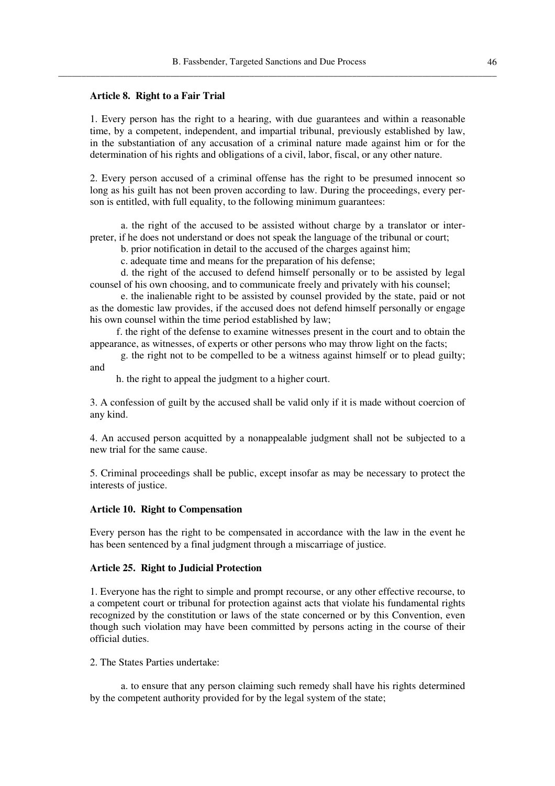#### **Article 8. Right to a Fair Trial**

1. Every person has the right to a hearing, with due guarantees and within a reasonable time, by a competent, independent, and impartial tribunal, previously established by law, in the substantiation of any accusation of a criminal nature made against him or for the determination of his rights and obligations of a civil, labor, fiscal, or any other nature.

2. Every person accused of a criminal offense has the right to be presumed innocent so long as his guilt has not been proven according to law. During the proceedings, every person is entitled, with full equality, to the following minimum guarantees:

 a. the right of the accused to be assisted without charge by a translator or interpreter, if he does not understand or does not speak the language of the tribunal or court;

b. prior notification in detail to the accused of the charges against him;

c. adequate time and means for the preparation of his defense;

 d. the right of the accused to defend himself personally or to be assisted by legal counsel of his own choosing, and to communicate freely and privately with his counsel;

 e. the inalienable right to be assisted by counsel provided by the state, paid or not as the domestic law provides, if the accused does not defend himself personally or engage his own counsel within the time period established by law;

 f. the right of the defense to examine witnesses present in the court and to obtain the appearance, as witnesses, of experts or other persons who may throw light on the facts;

 g. the right not to be compelled to be a witness against himself or to plead guilty; and

h. the right to appeal the judgment to a higher court.

3. A confession of guilt by the accused shall be valid only if it is made without coercion of any kind.

4. An accused person acquitted by a nonappealable judgment shall not be subjected to a new trial for the same cause.

5. Criminal proceedings shall be public, except insofar as may be necessary to protect the interests of justice.

## **Article 10. Right to Compensation**

Every person has the right to be compensated in accordance with the law in the event he has been sentenced by a final judgment through a miscarriage of justice.

#### **Article 25. Right to Judicial Protection**

1. Everyone has the right to simple and prompt recourse, or any other effective recourse, to a competent court or tribunal for protection against acts that violate his fundamental rights recognized by the constitution or laws of the state concerned or by this Convention, even though such violation may have been committed by persons acting in the course of their official duties.

2. The States Parties undertake:

 a. to ensure that any person claiming such remedy shall have his rights determined by the competent authority provided for by the legal system of the state;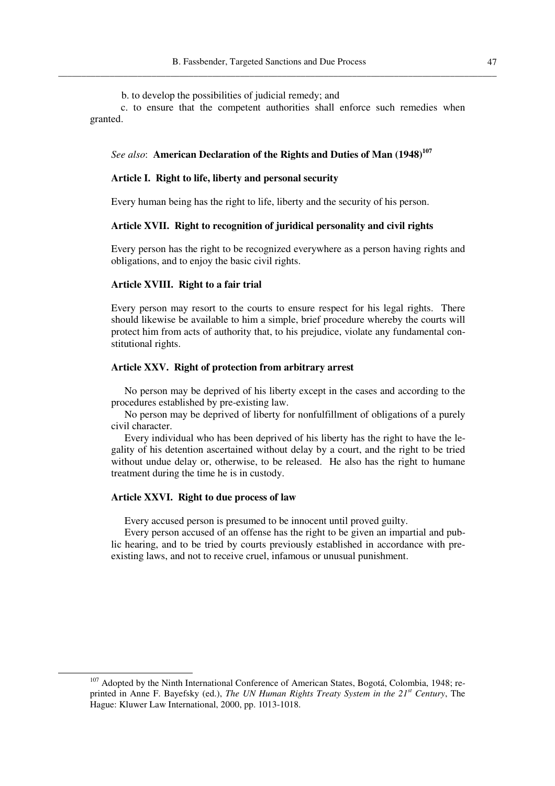b. to develop the possibilities of judicial remedy; and

 c. to ensure that the competent authorities shall enforce such remedies when granted.

\_\_\_\_\_\_\_\_\_\_\_\_\_\_\_\_\_\_\_\_\_\_\_\_\_\_\_\_\_\_\_\_\_\_\_\_\_\_\_\_\_\_\_\_\_\_\_\_\_\_\_\_\_\_\_\_\_\_\_\_\_\_\_\_\_\_\_\_\_\_\_\_\_\_\_\_\_\_\_\_\_\_\_\_\_\_\_\_\_\_\_\_\_\_

## *See also*: **American Declaration of the Rights and Duties of Man (1948)<sup>107</sup>**

## **Article I. Right to life, liberty and personal security**

Every human being has the right to life, liberty and the security of his person.

#### **Article XVII. Right to recognition of juridical personality and civil rights**

Every person has the right to be recognized everywhere as a person having rights and obligations, and to enjoy the basic civil rights.

#### **Article XVIII. Right to a fair trial**

Every person may resort to the courts to ensure respect for his legal rights. There should likewise be available to him a simple, brief procedure whereby the courts will protect him from acts of authority that, to his prejudice, violate any fundamental constitutional rights.

## **Article XXV. Right of protection from arbitrary arrest**

No person may be deprived of his liberty except in the cases and according to the procedures established by pre-existing law.

No person may be deprived of liberty for nonfulfillment of obligations of a purely civil character.

Every individual who has been deprived of his liberty has the right to have the legality of his detention ascertained without delay by a court, and the right to be tried without undue delay or, otherwise, to be released. He also has the right to humane treatment during the time he is in custody.

#### **Article XXVI. Right to due process of law**

 $\overline{a}$ 

Every accused person is presumed to be innocent until proved guilty.

Every person accused of an offense has the right to be given an impartial and public hearing, and to be tried by courts previously established in accordance with preexisting laws, and not to receive cruel, infamous or unusual punishment.

<sup>&</sup>lt;sup>107</sup> Adopted by the Ninth International Conference of American States, Bogotá, Colombia, 1948; reprinted in Anne F. Bayefsky (ed.), *The UN Human Rights Treaty System in the 21st Century*, The Hague: Kluwer Law International, 2000, pp. 1013-1018.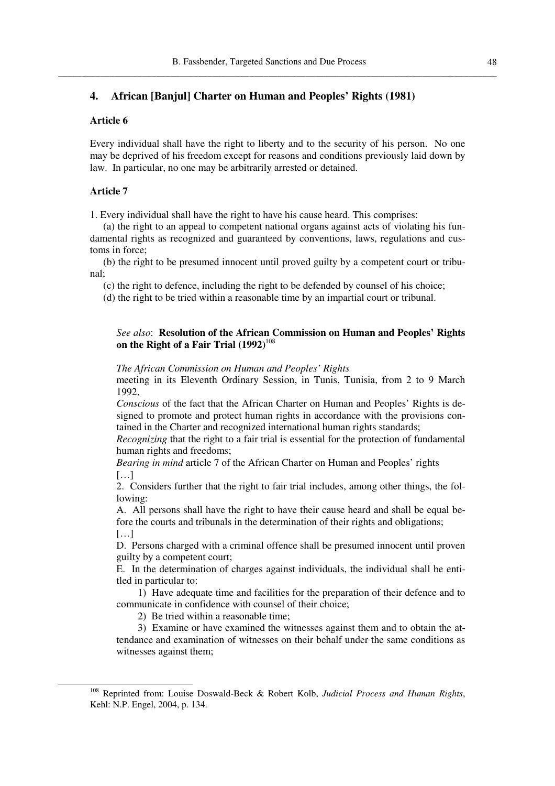## **4. African [Banjul] Charter on Human and Peoples' Rights (1981)**

### **Article 6**

Every individual shall have the right to liberty and to the security of his person. No one may be deprived of his freedom except for reasons and conditions previously laid down by law. In particular, no one may be arbitrarily arrested or detained.

#### **Article 7**

 $\overline{a}$ 

1. Every individual shall have the right to have his cause heard. This comprises:

(a) the right to an appeal to competent national organs against acts of violating his fundamental rights as recognized and guaranteed by conventions, laws, regulations and customs in force;

(b) the right to be presumed innocent until proved guilty by a competent court or tribunal;

(c) the right to defence, including the right to be defended by counsel of his choice;

(d) the right to be tried within a reasonable time by an impartial court or tribunal.

## *See also*: **Resolution of the African Commission on Human and Peoples' Rights on the Right of a Fair Trial (1992)**<sup>108</sup>

*The African Commission on Human and Peoples' Rights*

meeting in its Eleventh Ordinary Session, in Tunis, Tunisia, from 2 to 9 March 1992,

*Conscious* of the fact that the African Charter on Human and Peoples' Rights is designed to promote and protect human rights in accordance with the provisions contained in the Charter and recognized international human rights standards;

*Recognizing* that the right to a fair trial is essential for the protection of fundamental human rights and freedoms;

*Bearing in mind* article 7 of the African Charter on Human and Peoples' rights  $[\ldots]$ 

2. Considers further that the right to fair trial includes, among other things, the following:

A. All persons shall have the right to have their cause heard and shall be equal before the courts and tribunals in the determination of their rights and obligations;  $[\ldots]$ 

D. Persons charged with a criminal offence shall be presumed innocent until proven guilty by a competent court;

E. In the determination of charges against individuals, the individual shall be entitled in particular to:

1) Have adequate time and facilities for the preparation of their defence and to communicate in confidence with counsel of their choice;

2) Be tried within a reasonable time;

3) Examine or have examined the witnesses against them and to obtain the attendance and examination of witnesses on their behalf under the same conditions as witnesses against them;

<sup>108</sup> Reprinted from: Louise Doswald-Beck & Robert Kolb, *Judicial Process and Human Rights*, Kehl: N.P. Engel, 2004, p. 134.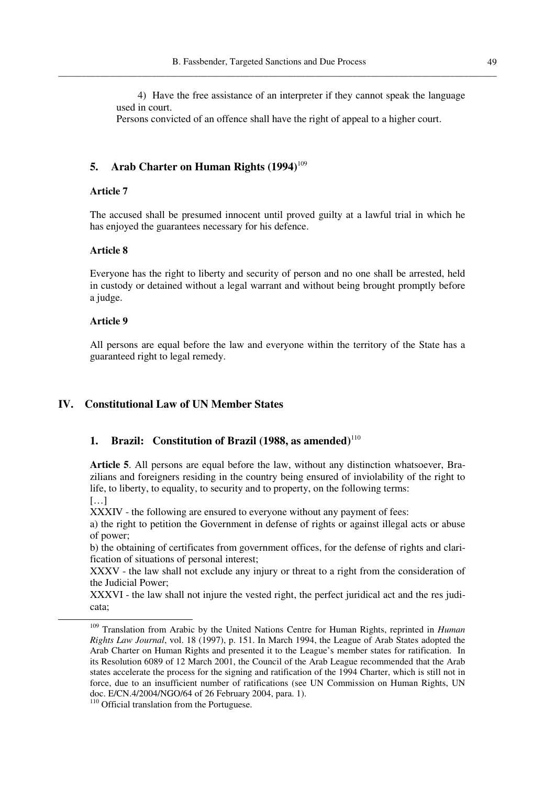4) Have the free assistance of an interpreter if they cannot speak the language used in court.

Persons convicted of an offence shall have the right of appeal to a higher court.

\_\_\_\_\_\_\_\_\_\_\_\_\_\_\_\_\_\_\_\_\_\_\_\_\_\_\_\_\_\_\_\_\_\_\_\_\_\_\_\_\_\_\_\_\_\_\_\_\_\_\_\_\_\_\_\_\_\_\_\_\_\_\_\_\_\_\_\_\_\_\_\_\_\_\_\_\_\_\_\_\_\_\_\_\_\_\_\_\_\_\_\_\_\_

## **5.** Arab Charter on Human Rights (1994)<sup>109</sup>

#### **Article 7**

The accused shall be presumed innocent until proved guilty at a lawful trial in which he has enjoyed the guarantees necessary for his defence.

#### **Article 8**

Everyone has the right to liberty and security of person and no one shall be arrested, held in custody or detained without a legal warrant and without being brought promptly before a judge.

## **Article 9**

j

All persons are equal before the law and everyone within the territory of the State has a guaranteed right to legal remedy.

## **IV. Constitutional Law of UN Member States**

## **1. Brazil: Constitution of Brazil (1988, as amended)**<sup>110</sup>

**Article 5**. All persons are equal before the law, without any distinction whatsoever, Brazilians and foreigners residing in the country being ensured of inviolability of the right to life, to liberty, to equality, to security and to property, on the following terms: […]

XXXIV - the following are ensured to everyone without any payment of fees:

a) the right to petition the Government in defense of rights or against illegal acts or abuse of power;

b) the obtaining of certificates from government offices, for the defense of rights and clarification of situations of personal interest;

XXXV - the law shall not exclude any injury or threat to a right from the consideration of the Judicial Power;

XXXVI - the law shall not injure the vested right, the perfect juridical act and the res judicata;

<sup>109</sup> Translation from Arabic by the United Nations Centre for Human Rights, reprinted in *Human Rights Law Journal*, vol. 18 (1997), p. 151. In March 1994, the League of Arab States adopted the Arab Charter on Human Rights and presented it to the League's member states for ratification. In its Resolution 6089 of 12 March 2001, the Council of the Arab League recommended that the Arab states accelerate the process for the signing and ratification of the 1994 Charter, which is still not in force, due to an insufficient number of ratifications (see UN Commission on Human Rights, UN doc. E/CN.4/2004/NGO/64 of 26 February 2004, para. 1).

<sup>&</sup>lt;sup>110</sup> Official translation from the Portuguese.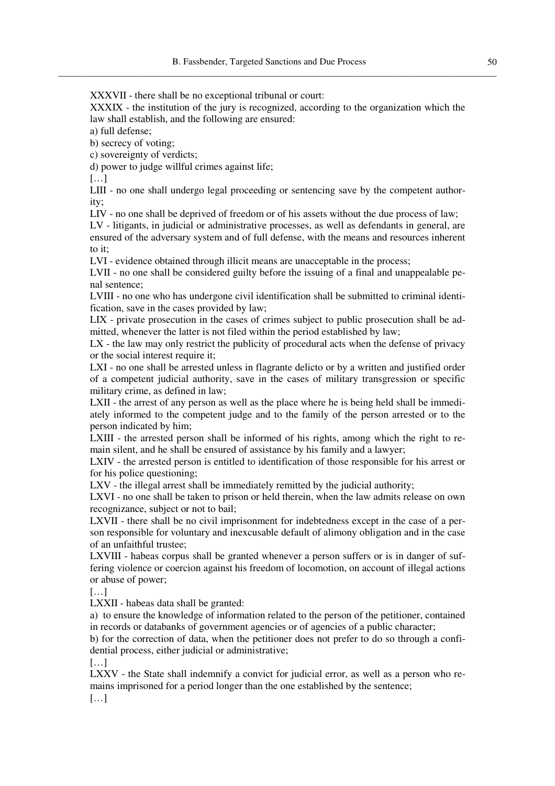XXXVII - there shall be no exceptional tribunal or court:

XXXIX - the institution of the jury is recognized, according to the organization which the law shall establish, and the following are ensured:

\_\_\_\_\_\_\_\_\_\_\_\_\_\_\_\_\_\_\_\_\_\_\_\_\_\_\_\_\_\_\_\_\_\_\_\_\_\_\_\_\_\_\_\_\_\_\_\_\_\_\_\_\_\_\_\_\_\_\_\_\_\_\_\_\_\_\_\_\_\_\_\_\_\_\_\_\_\_\_\_\_\_\_\_\_\_\_\_\_\_\_\_\_\_

a) full defense;

b) secrecy of voting;

c) sovereignty of verdicts;

d) power to judge willful crimes against life;

 $[\ldots]$ 

LIII - no one shall undergo legal proceeding or sentencing save by the competent authority;

LIV - no one shall be deprived of freedom or of his assets without the due process of law;

LV - litigants, in judicial or administrative processes, as well as defendants in general, are ensured of the adversary system and of full defense, with the means and resources inherent to it;

LVI - evidence obtained through illicit means are unacceptable in the process;

LVII - no one shall be considered guilty before the issuing of a final and unappealable penal sentence;

LVIII - no one who has undergone civil identification shall be submitted to criminal identification, save in the cases provided by law;

LIX - private prosecution in the cases of crimes subject to public prosecution shall be admitted, whenever the latter is not filed within the period established by law;

LX - the law may only restrict the publicity of procedural acts when the defense of privacy or the social interest require it;

LXI - no one shall be arrested unless in flagrante delicto or by a written and justified order of a competent judicial authority, save in the cases of military transgression or specific military crime, as defined in law;

LXII - the arrest of any person as well as the place where he is being held shall be immediately informed to the competent judge and to the family of the person arrested or to the person indicated by him;

LXIII - the arrested person shall be informed of his rights, among which the right to remain silent, and he shall be ensured of assistance by his family and a lawyer;

LXIV - the arrested person is entitled to identification of those responsible for his arrest or for his police questioning;

LXV - the illegal arrest shall be immediately remitted by the judicial authority;

LXVI - no one shall be taken to prison or held therein, when the law admits release on own recognizance, subject or not to bail;

LXVII - there shall be no civil imprisonment for indebtedness except in the case of a person responsible for voluntary and inexcusable default of alimony obligation and in the case of an unfaithful trustee;

LXVIII - habeas corpus shall be granted whenever a person suffers or is in danger of suffering violence or coercion against his freedom of locomotion, on account of illegal actions or abuse of power;

[…]

LXXII - habeas data shall be granted:

a) to ensure the knowledge of information related to the person of the petitioner, contained in records or databanks of government agencies or of agencies of a public character;

b) for the correction of data, when the petitioner does not prefer to do so through a confidential process, either judicial or administrative;

[…]

LXXV - the State shall indemnify a convict for judicial error, as well as a person who remains imprisoned for a period longer than the one established by the sentence;  $[...]$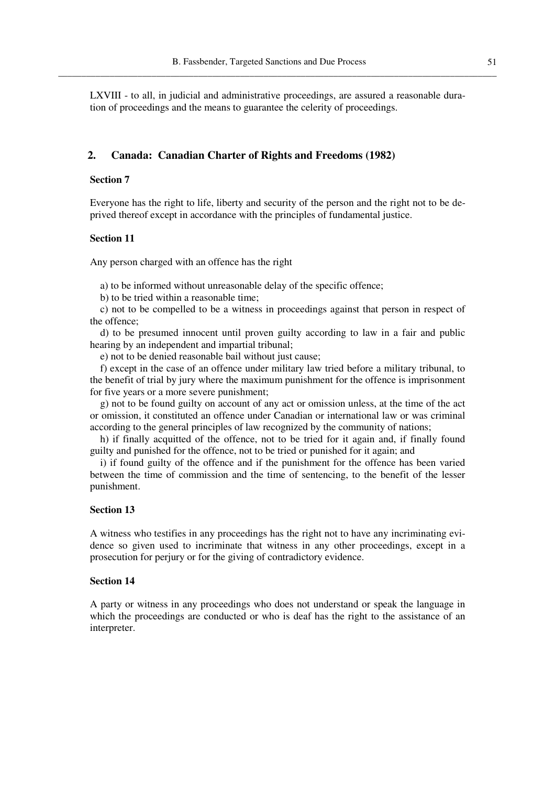LXVIII - to all, in judicial and administrative proceedings, are assured a reasonable duration of proceedings and the means to guarantee the celerity of proceedings.

\_\_\_\_\_\_\_\_\_\_\_\_\_\_\_\_\_\_\_\_\_\_\_\_\_\_\_\_\_\_\_\_\_\_\_\_\_\_\_\_\_\_\_\_\_\_\_\_\_\_\_\_\_\_\_\_\_\_\_\_\_\_\_\_\_\_\_\_\_\_\_\_\_\_\_\_\_\_\_\_\_\_\_\_\_\_\_\_\_\_\_\_\_\_

#### **2. Canada: Canadian Charter of Rights and Freedoms (1982)**

## **Section 7**

Everyone has the right to life, liberty and security of the person and the right not to be deprived thereof except in accordance with the principles of fundamental justice.

#### **Section 11**

Any person charged with an offence has the right

a) to be informed without unreasonable delay of the specific offence;

b) to be tried within a reasonable time;

 c) not to be compelled to be a witness in proceedings against that person in respect of the offence;

 d) to be presumed innocent until proven guilty according to law in a fair and public hearing by an independent and impartial tribunal;

e) not to be denied reasonable bail without just cause;

 f) except in the case of an offence under military law tried before a military tribunal, to the benefit of trial by jury where the maximum punishment for the offence is imprisonment for five years or a more severe punishment;

 g) not to be found guilty on account of any act or omission unless, at the time of the act or omission, it constituted an offence under Canadian or international law or was criminal according to the general principles of law recognized by the community of nations;

 h) if finally acquitted of the offence, not to be tried for it again and, if finally found guilty and punished for the offence, not to be tried or punished for it again; and

 i) if found guilty of the offence and if the punishment for the offence has been varied between the time of commission and the time of sentencing, to the benefit of the lesser punishment.

#### **Section 13**

A witness who testifies in any proceedings has the right not to have any incriminating evidence so given used to incriminate that witness in any other proceedings, except in a prosecution for perjury or for the giving of contradictory evidence.

#### **Section 14**

A party or witness in any proceedings who does not understand or speak the language in which the proceedings are conducted or who is deaf has the right to the assistance of an interpreter.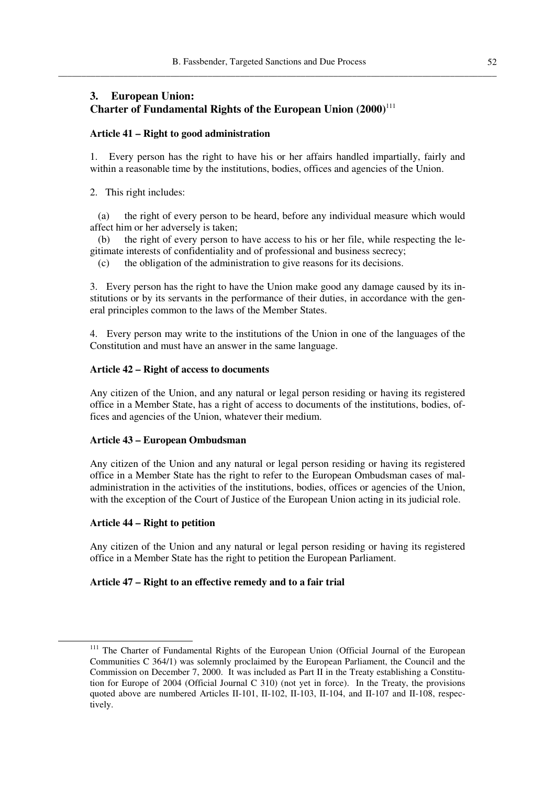## **3. European Union: Charter of Fundamental Rights of the European Union (2000)**<sup>111</sup>

#### **Article 41 – Right to good administration**

1. Every person has the right to have his or her affairs handled impartially, fairly and within a reasonable time by the institutions, bodies, offices and agencies of the Union.

2. This right includes:

(a) the right of every person to be heard, before any individual measure which would affect him or her adversely is taken;

(b) the right of every person to have access to his or her file, while respecting the legitimate interests of confidentiality and of professional and business secrecy;

(c) the obligation of the administration to give reasons for its decisions.

3. Every person has the right to have the Union make good any damage caused by its institutions or by its servants in the performance of their duties, in accordance with the general principles common to the laws of the Member States.

4. Every person may write to the institutions of the Union in one of the languages of the Constitution and must have an answer in the same language.

#### **Article 42 – Right of access to documents**

Any citizen of the Union, and any natural or legal person residing or having its registered office in a Member State, has a right of access to documents of the institutions, bodies, offices and agencies of the Union, whatever their medium.

#### **Article 43 – European Ombudsman**

Any citizen of the Union and any natural or legal person residing or having its registered office in a Member State has the right to refer to the European Ombudsman cases of maladministration in the activities of the institutions, bodies, offices or agencies of the Union, with the exception of the Court of Justice of the European Union acting in its judicial role.

#### **Article 44 – Right to petition**

 $\overline{a}$ 

Any citizen of the Union and any natural or legal person residing or having its registered office in a Member State has the right to petition the European Parliament.

## **Article 47 – Right to an effective remedy and to a fair trial**

<sup>&</sup>lt;sup>111</sup> The Charter of Fundamental Rights of the European Union (Official Journal of the European Communities C 364/1) was solemnly proclaimed by the European Parliament, the Council and the Commission on December 7, 2000. It was included as Part II in the Treaty establishing a Constitution for Europe of 2004 (Official Journal C 310) (not yet in force). In the Treaty, the provisions quoted above are numbered Articles II-101, II-102, II-103, II-104, and II-107 and II-108, respectively.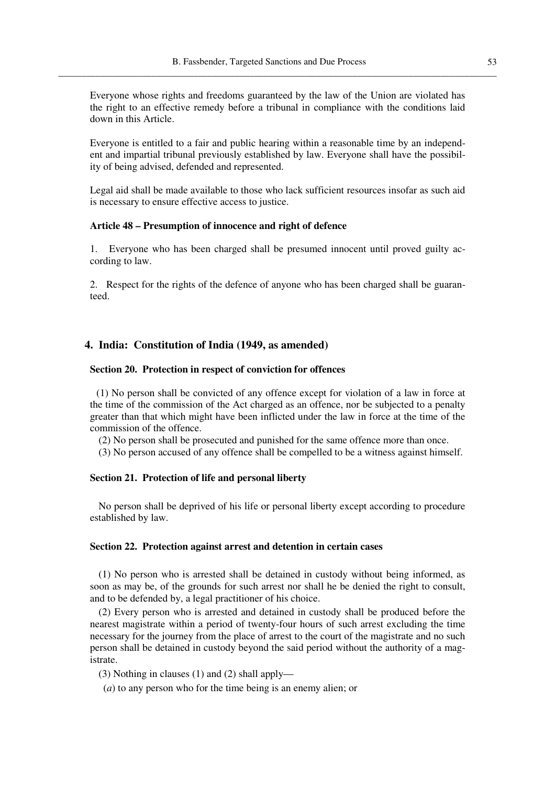Everyone whose rights and freedoms guaranteed by the law of the Union are violated has the right to an effective remedy before a tribunal in compliance with the conditions laid down in this Article.

\_\_\_\_\_\_\_\_\_\_\_\_\_\_\_\_\_\_\_\_\_\_\_\_\_\_\_\_\_\_\_\_\_\_\_\_\_\_\_\_\_\_\_\_\_\_\_\_\_\_\_\_\_\_\_\_\_\_\_\_\_\_\_\_\_\_\_\_\_\_\_\_\_\_\_\_\_\_\_\_\_\_\_\_\_\_\_\_\_\_\_\_\_\_

Everyone is entitled to a fair and public hearing within a reasonable time by an independent and impartial tribunal previously established by law. Everyone shall have the possibility of being advised, defended and represented.

Legal aid shall be made available to those who lack sufficient resources insofar as such aid is necessary to ensure effective access to justice.

#### **Article 48 – Presumption of innocence and right of defence**

1. Everyone who has been charged shall be presumed innocent until proved guilty according to law.

2. Respect for the rights of the defence of anyone who has been charged shall be guaranteed.

#### **4. India: Constitution of India (1949, as amended)**

#### **Section 20. Protection in respect of conviction for offences**

 (1) No person shall be convicted of any offence except for violation of a law in force at the time of the commission of the Act charged as an offence, nor be subjected to a penalty greater than that which might have been inflicted under the law in force at the time of the commission of the offence.

(2) No person shall be prosecuted and punished for the same offence more than once.

(3) No person accused of any offence shall be compelled to be a witness against himself.

#### **Section 21. Protection of life and personal liberty**

No person shall be deprived of his life or personal liberty except according to procedure established by law.

#### **Section 22. Protection against arrest and detention in certain cases**

(1) No person who is arrested shall be detained in custody without being informed, as soon as may be, of the grounds for such arrest nor shall he be denied the right to consult, and to be defended by, a legal practitioner of his choice.

(2) Every person who is arrested and detained in custody shall be produced before the nearest magistrate within a period of twenty-four hours of such arrest excluding the time necessary for the journey from the place of arrest to the court of the magistrate and no such person shall be detained in custody beyond the said period without the authority of a magistrate.

(3) Nothing in clauses (1) and (2) shall apply—

(*a*) to any person who for the time being is an enemy alien; or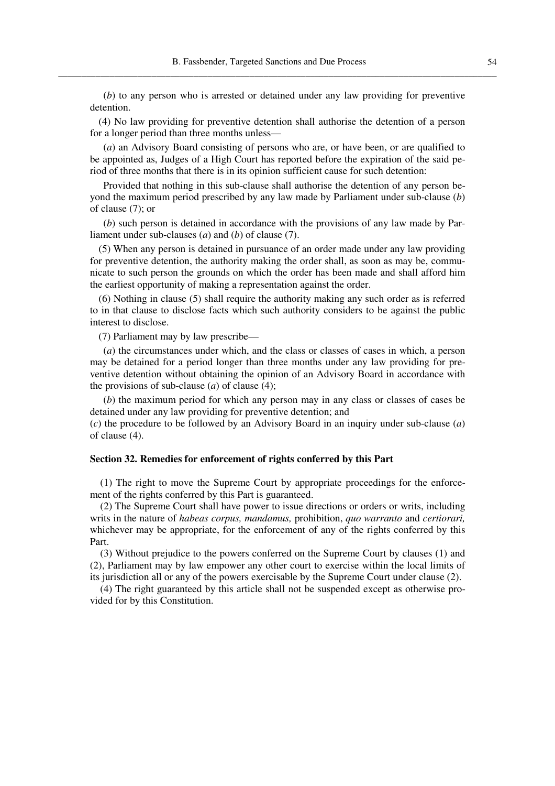(*b*) to any person who is arrested or detained under any law providing for preventive detention.

\_\_\_\_\_\_\_\_\_\_\_\_\_\_\_\_\_\_\_\_\_\_\_\_\_\_\_\_\_\_\_\_\_\_\_\_\_\_\_\_\_\_\_\_\_\_\_\_\_\_\_\_\_\_\_\_\_\_\_\_\_\_\_\_\_\_\_\_\_\_\_\_\_\_\_\_\_\_\_\_\_\_\_\_\_\_\_\_\_\_\_\_\_\_

(4) No law providing for preventive detention shall authorise the detention of a person for a longer period than three months unless—

(*a*) an Advisory Board consisting of persons who are, or have been, or are qualified to be appointed as, Judges of a High Court has reported before the expiration of the said period of three months that there is in its opinion sufficient cause for such detention:

Provided that nothing in this sub-clause shall authorise the detention of any person beyond the maximum period prescribed by any law made by Parliament under sub-clause (*b*) of clause (7); or

(*b*) such person is detained in accordance with the provisions of any law made by Parliament under sub-clauses (*a*) and (*b*) of clause (7).

(5) When any person is detained in pursuance of an order made under any law providing for preventive detention, the authority making the order shall, as soon as may be, communicate to such person the grounds on which the order has been made and shall afford him the earliest opportunity of making a representation against the order.

(6) Nothing in clause (5) shall require the authority making any such order as is referred to in that clause to disclose facts which such authority considers to be against the public interest to disclose.

(7) Parliament may by law prescribe—

(*a*) the circumstances under which, and the class or classes of cases in which, a person may be detained for a period longer than three months under any law providing for preventive detention without obtaining the opinion of an Advisory Board in accordance with the provisions of sub-clause (*a*) of clause (4);

(*b*) the maximum period for which any person may in any class or classes of cases be detained under any law providing for preventive detention; and

(*c*) the procedure to be followed by an Advisory Board in an inquiry under sub-clause (*a*) of clause (4).

#### **Section 32. Remedies for enforcement of rights conferred by this Part**

 (1) The right to move the Supreme Court by appropriate proceedings for the enforcement of the rights conferred by this Part is guaranteed.

 (2) The Supreme Court shall have power to issue directions or orders or writs, including writs in the nature of *habeas corpus, mandamus,* prohibition, *quo warranto* and *certiorari,* whichever may be appropriate, for the enforcement of any of the rights conferred by this Part.

 (3) Without prejudice to the powers conferred on the Supreme Court by clauses (1) and (2), Parliament may by law empower any other court to exercise within the local limits of its jurisdiction all or any of the powers exercisable by the Supreme Court under clause (2).

 (4) The right guaranteed by this article shall not be suspended except as otherwise provided for by this Constitution.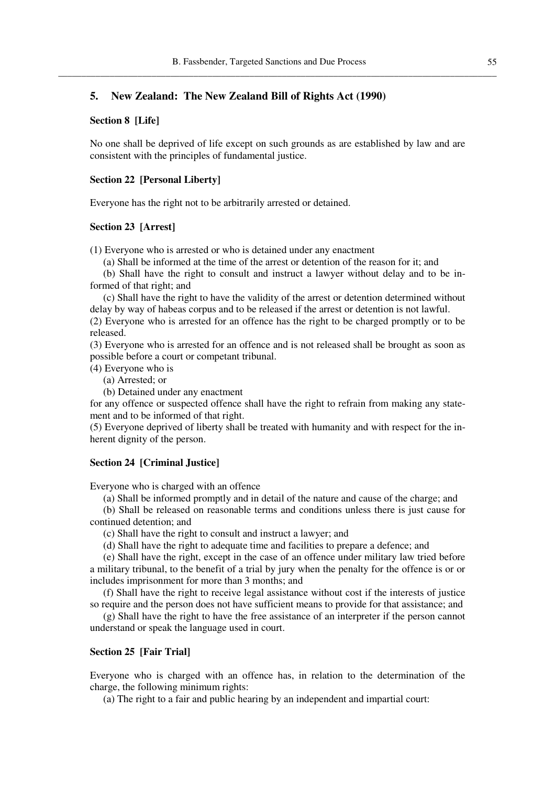## **5. New Zealand: The New Zealand Bill of Rights Act (1990)**

#### **Section 8 [Life]**

No one shall be deprived of life except on such grounds as are established by law and are consistent with the principles of fundamental justice.

## **Section 22 [Personal Liberty]**

Everyone has the right not to be arbitrarily arrested or detained.

#### **Section 23 [Arrest]**

(1) Everyone who is arrested or who is detained under any enactment

(a) Shall be informed at the time of the arrest or detention of the reason for it; and

(b) Shall have the right to consult and instruct a lawyer without delay and to be informed of that right; and

(c) Shall have the right to have the validity of the arrest or detention determined without delay by way of habeas corpus and to be released if the arrest or detention is not lawful. (2) Everyone who is arrested for an offence has the right to be charged promptly or to be released.

(3) Everyone who is arrested for an offence and is not released shall be brought as soon as possible before a court or competant tribunal.

(4) Everyone who is

(a) Arrested; or

(b) Detained under any enactment

for any offence or suspected offence shall have the right to refrain from making any statement and to be informed of that right.

(5) Everyone deprived of liberty shall be treated with humanity and with respect for the inherent dignity of the person.

#### **Section 24 [Criminal Justice]**

Everyone who is charged with an offence

(a) Shall be informed promptly and in detail of the nature and cause of the charge; and

(b) Shall be released on reasonable terms and conditions unless there is just cause for continued detention; and

(c) Shall have the right to consult and instruct a lawyer; and

(d) Shall have the right to adequate time and facilities to prepare a defence; and

(e) Shall have the right, except in the case of an offence under military law tried before a military tribunal, to the benefit of a trial by jury when the penalty for the offence is or or includes imprisonment for more than 3 months; and

(f) Shall have the right to receive legal assistance without cost if the interests of justice so require and the person does not have sufficient means to provide for that assistance; and

(g) Shall have the right to have the free assistance of an interpreter if the person cannot understand or speak the language used in court.

#### **Section 25 [Fair Trial]**

Everyone who is charged with an offence has, in relation to the determination of the charge, the following minimum rights:

(a) The right to a fair and public hearing by an independent and impartial court: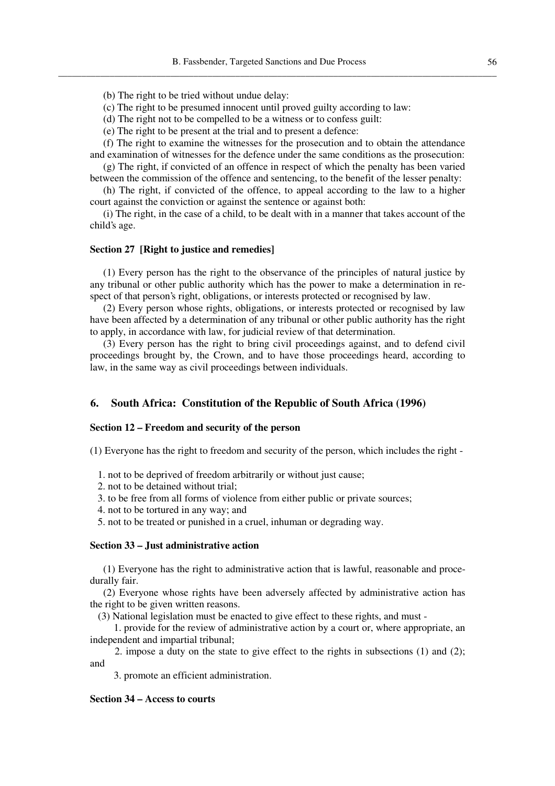- (b) The right to be tried without undue delay:
- (c) The right to be presumed innocent until proved guilty according to law:
- (d) The right not to be compelled to be a witness or to confess guilt:
- (e) The right to be present at the trial and to present a defence:

(f) The right to examine the witnesses for the prosecution and to obtain the attendance and examination of witnesses for the defence under the same conditions as the prosecution:

(g) The right, if convicted of an offence in respect of which the penalty has been varied between the commission of the offence and sentencing, to the benefit of the lesser penalty:

(h) The right, if convicted of the offence, to appeal according to the law to a higher court against the conviction or against the sentence or against both:

(i) The right, in the case of a child, to be dealt with in a manner that takes account of the child's age.

#### **Section 27 [Right to justice and remedies]**

(1) Every person has the right to the observance of the principles of natural justice by any tribunal or other public authority which has the power to make a determination in respect of that person's right, obligations, or interests protected or recognised by law.

(2) Every person whose rights, obligations, or interests protected or recognised by law have been affected by a determination of any tribunal or other public authority has the right to apply, in accordance with law, for judicial review of that determination.

(3) Every person has the right to bring civil proceedings against, and to defend civil proceedings brought by, the Crown, and to have those proceedings heard, according to law, in the same way as civil proceedings between individuals.

## **6. South Africa: Constitution of the Republic of South Africa (1996)**

#### **Section 12 – Freedom and security of the person**

(1) Everyone has the right to freedom and security of the person, which includes the right -

- 1. not to be deprived of freedom arbitrarily or without just cause;
- 2. not to be detained without trial;
- 3. to be free from all forms of violence from either public or private sources;
- 4. not to be tortured in any way; and

5. not to be treated or punished in a cruel, inhuman or degrading way.

### **Section 33 – Just administrative action**

(1) Everyone has the right to administrative action that is lawful, reasonable and procedurally fair.

(2) Everyone whose rights have been adversely affected by administrative action has the right to be given written reasons.

(3) National legislation must be enacted to give effect to these rights, and must -

 1. provide for the review of administrative action by a court or, where appropriate, an independent and impartial tribunal;

 2. impose a duty on the state to give effect to the rights in subsections (1) and (2); and

3. promote an efficient administration.

#### **Section 34 – Access to courts**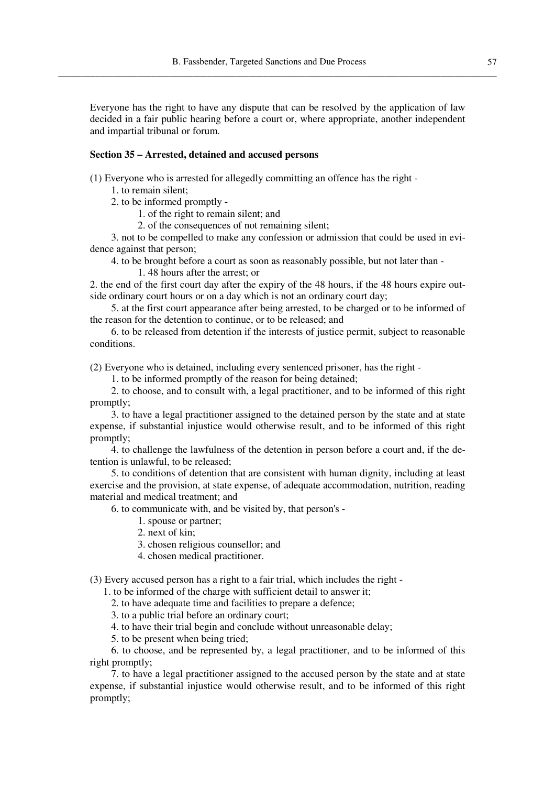Everyone has the right to have any dispute that can be resolved by the application of law decided in a fair public hearing before a court or, where appropriate, another independent and impartial tribunal or forum.

\_\_\_\_\_\_\_\_\_\_\_\_\_\_\_\_\_\_\_\_\_\_\_\_\_\_\_\_\_\_\_\_\_\_\_\_\_\_\_\_\_\_\_\_\_\_\_\_\_\_\_\_\_\_\_\_\_\_\_\_\_\_\_\_\_\_\_\_\_\_\_\_\_\_\_\_\_\_\_\_\_\_\_\_\_\_\_\_\_\_\_\_\_\_

#### **Section 35 – Arrested, detained and accused persons**

(1) Everyone who is arrested for allegedly committing an offence has the right -

1. to remain silent;

2. to be informed promptly -

1. of the right to remain silent; and

2. of the consequences of not remaining silent;

 3. not to be compelled to make any confession or admission that could be used in evidence against that person;

 4. to be brought before a court as soon as reasonably possible, but not later than - 1. 48 hours after the arrest; or

2. the end of the first court day after the expiry of the 48 hours, if the 48 hours expire outside ordinary court hours or on a day which is not an ordinary court day;

 5. at the first court appearance after being arrested, to be charged or to be informed of the reason for the detention to continue, or to be released; and

 6. to be released from detention if the interests of justice permit, subject to reasonable conditions.

(2) Everyone who is detained, including every sentenced prisoner, has the right -

1. to be informed promptly of the reason for being detained;

 2. to choose, and to consult with, a legal practitioner, and to be informed of this right promptly;

 3. to have a legal practitioner assigned to the detained person by the state and at state expense, if substantial injustice would otherwise result, and to be informed of this right promptly;

 4. to challenge the lawfulness of the detention in person before a court and, if the detention is unlawful, to be released;

 5. to conditions of detention that are consistent with human dignity, including at least exercise and the provision, at state expense, of adequate accommodation, nutrition, reading material and medical treatment; and

6. to communicate with, and be visited by, that person's -

1. spouse or partner;

2. next of kin;

3. chosen religious counsellor; and

4. chosen medical practitioner.

(3) Every accused person has a right to a fair trial, which includes the right -

1. to be informed of the charge with sufficient detail to answer it;

2. to have adequate time and facilities to prepare a defence;

3. to a public trial before an ordinary court;

4. to have their trial begin and conclude without unreasonable delay;

5. to be present when being tried;

 6. to choose, and be represented by, a legal practitioner, and to be informed of this right promptly;

 7. to have a legal practitioner assigned to the accused person by the state and at state expense, if substantial injustice would otherwise result, and to be informed of this right promptly;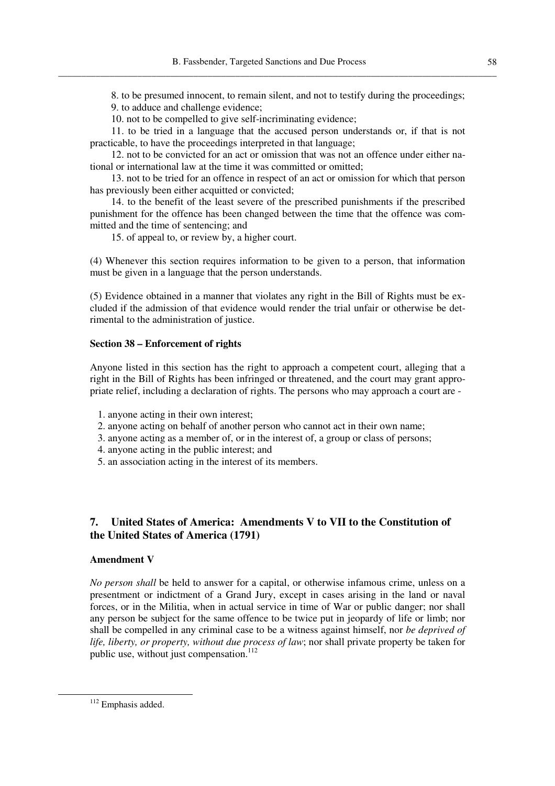8. to be presumed innocent, to remain silent, and not to testify during the proceedings; 9. to adduce and challenge evidence;

10. not to be compelled to give self-incriminating evidence;

 11. to be tried in a language that the accused person understands or, if that is not practicable, to have the proceedings interpreted in that language;

 12. not to be convicted for an act or omission that was not an offence under either national or international law at the time it was committed or omitted;

 13. not to be tried for an offence in respect of an act or omission for which that person has previously been either acquitted or convicted;

 14. to the benefit of the least severe of the prescribed punishments if the prescribed punishment for the offence has been changed between the time that the offence was committed and the time of sentencing; and

15. of appeal to, or review by, a higher court.

(4) Whenever this section requires information to be given to a person, that information must be given in a language that the person understands.

(5) Evidence obtained in a manner that violates any right in the Bill of Rights must be excluded if the admission of that evidence would render the trial unfair or otherwise be detrimental to the administration of justice.

## **Section 38 – Enforcement of rights**

Anyone listed in this section has the right to approach a competent court, alleging that a right in the Bill of Rights has been infringed or threatened, and the court may grant appropriate relief, including a declaration of rights. The persons who may approach a court are -

- 1. anyone acting in their own interest;
- 2. anyone acting on behalf of another person who cannot act in their own name;
- 3. anyone acting as a member of, or in the interest of, a group or class of persons;
- 4. anyone acting in the public interest; and
- 5. an association acting in the interest of its members.

## **7. United States of America: Amendments V to VII to the Constitution of the United States of America (1791)**

## **Amendment V**

*No person shall* be held to answer for a capital, or otherwise infamous crime, unless on a presentment or indictment of a Grand Jury, except in cases arising in the land or naval forces, or in the Militia, when in actual service in time of War or public danger; nor shall any person be subject for the same offence to be twice put in jeopardy of life or limb; nor shall be compelled in any criminal case to be a witness against himself, nor *be deprived of life, liberty, or property, without due process of law*; nor shall private property be taken for public use, without just compensation. $112$ 

<sup>112</sup> Emphasis added.